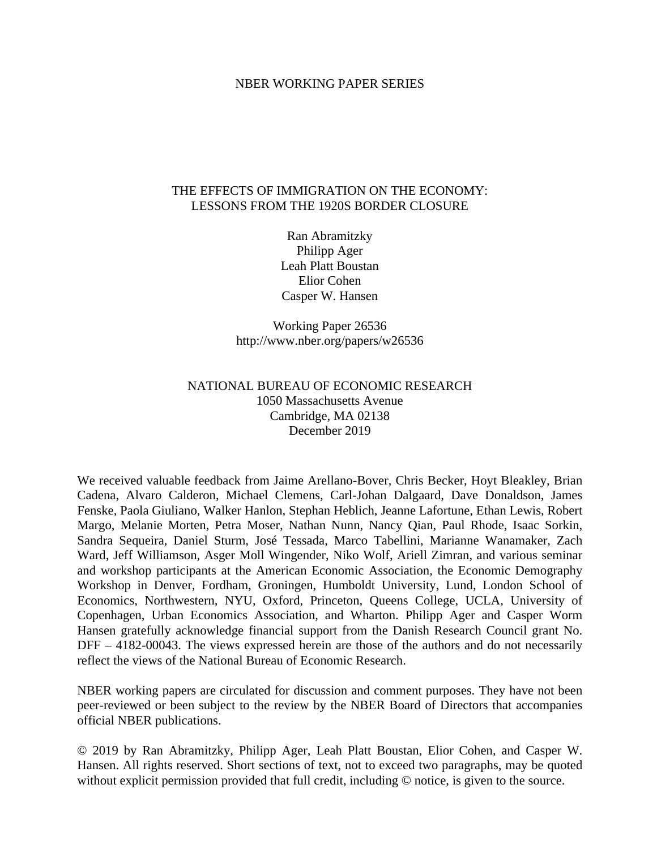#### NBER WORKING PAPER SERIES

# THE EFFECTS OF IMMIGRATION ON THE ECONOMY: LESSONS FROM THE 1920S BORDER CLOSURE

Ran Abramitzky Philipp Ager Leah Platt Boustan Elior Cohen Casper W. Hansen

Working Paper 26536 http://www.nber.org/papers/w26536

# NATIONAL BUREAU OF ECONOMIC RESEARCH 1050 Massachusetts Avenue Cambridge, MA 02138 December 2019

We received valuable feedback from Jaime Arellano-Bover, Chris Becker, Hoyt Bleakley, Brian Cadena, Alvaro Calderon, Michael Clemens, Carl-Johan Dalgaard, Dave Donaldson, James Fenske, Paola Giuliano, Walker Hanlon, Stephan Heblich, Jeanne Lafortune, Ethan Lewis, Robert Margo, Melanie Morten, Petra Moser, Nathan Nunn, Nancy Qian, Paul Rhode, Isaac Sorkin, Sandra Sequeira, Daniel Sturm, José Tessada, Marco Tabellini, Marianne Wanamaker, Zach Ward, Jeff Williamson, Asger Moll Wingender, Niko Wolf, Ariell Zimran, and various seminar and workshop participants at the American Economic Association, the Economic Demography Workshop in Denver, Fordham, Groningen, Humboldt University, Lund, London School of Economics, Northwestern, NYU, Oxford, Princeton, Queens College, UCLA, University of Copenhagen, Urban Economics Association, and Wharton. Philipp Ager and Casper Worm Hansen gratefully acknowledge financial support from the Danish Research Council grant No. DFF – 4182-00043. The views expressed herein are those of the authors and do not necessarily reflect the views of the National Bureau of Economic Research.

NBER working papers are circulated for discussion and comment purposes. They have not been peer-reviewed or been subject to the review by the NBER Board of Directors that accompanies official NBER publications.

© 2019 by Ran Abramitzky, Philipp Ager, Leah Platt Boustan, Elior Cohen, and Casper W. Hansen. All rights reserved. Short sections of text, not to exceed two paragraphs, may be quoted without explicit permission provided that full credit, including  $\odot$  notice, is given to the source.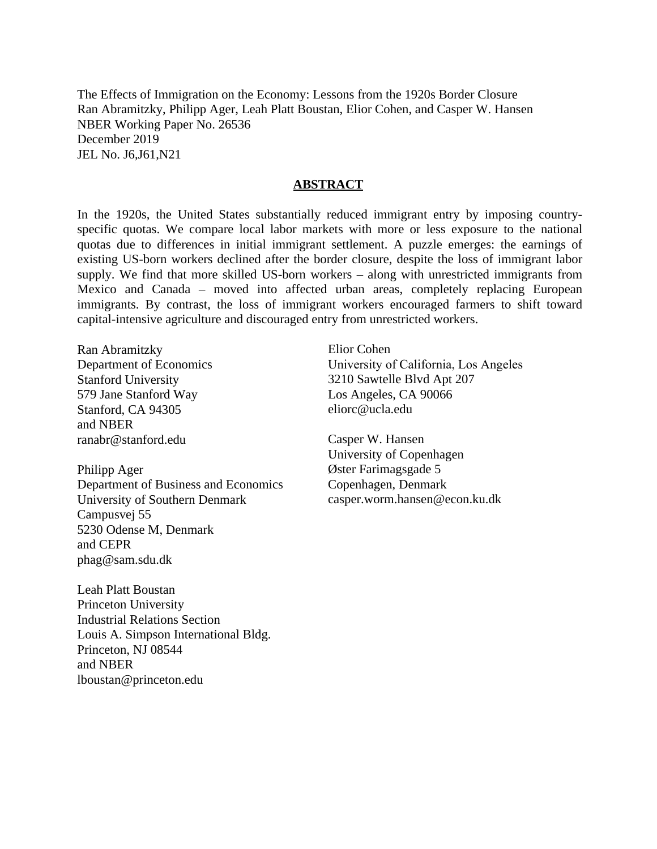The Effects of Immigration on the Economy: Lessons from the 1920s Border Closure Ran Abramitzky, Philipp Ager, Leah Platt Boustan, Elior Cohen, and Casper W. Hansen NBER Working Paper No. 26536 December 2019 JEL No. J6,J61,N21

#### **ABSTRACT**

In the 1920s, the United States substantially reduced immigrant entry by imposing countryspecific quotas. We compare local labor markets with more or less exposure to the national quotas due to differences in initial immigrant settlement. A puzzle emerges: the earnings of existing US-born workers declined after the border closure, despite the loss of immigrant labor supply. We find that more skilled US-born workers – along with unrestricted immigrants from Mexico and Canada – moved into affected urban areas, completely replacing European immigrants. By contrast, the loss of immigrant workers encouraged farmers to shift toward capital-intensive agriculture and discouraged entry from unrestricted workers.

Ran Abramitzky Department of Economics Stanford University 579 Jane Stanford Way Stanford, CA 94305 and NBER ranabr@stanford.edu

Philipp Ager Department of Business and Economics University of Southern Denmark Campusvej 55 5230 Odense M, Denmark and CEPR phag@sam.sdu.dk

Leah Platt Boustan Princeton University Industrial Relations Section Louis A. Simpson International Bldg. Princeton, NJ 08544 and NBER lboustan@princeton.edu

Elior Cohen University of California, Los Angeles 3210 Sawtelle Blvd Apt 207 Los Angeles, CA 90066 eliorc@ucla.edu

Casper W. Hansen University of Copenhagen Øster Farimagsgade 5 Copenhagen, Denmark casper.worm.hansen@econ.ku.dk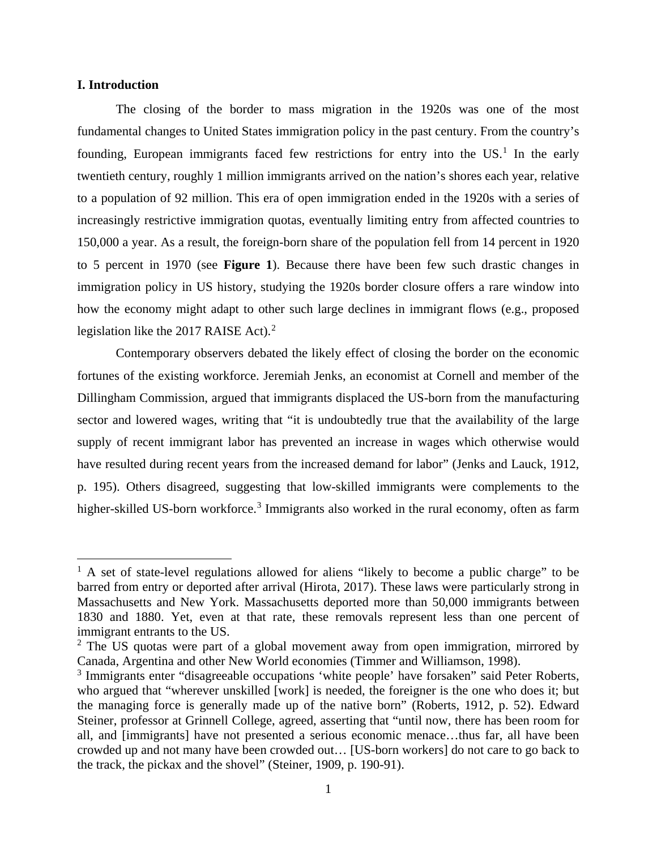## **I. Introduction**

 $\overline{a}$ 

The closing of the border to mass migration in the 1920s was one of the most fundamental changes to United States immigration policy in the past century. From the country's founding, European immigrants faced few restrictions for entry into the US.<sup>[1](#page-2-0)</sup> In the early twentieth century, roughly 1 million immigrants arrived on the nation's shores each year, relative to a population of 92 million. This era of open immigration ended in the 1920s with a series of increasingly restrictive immigration quotas, eventually limiting entry from affected countries to 150,000 a year. As a result, the foreign-born share of the population fell from 14 percent in 1920 to 5 percent in 1970 (see **Figure 1**). Because there have been few such drastic changes in immigration policy in US history, studying the 1920s border closure offers a rare window into how the economy might adapt to other such large declines in immigrant flows (e.g., proposed legislation like the [2](#page-2-1)017 RAISE Act). $2$ 

Contemporary observers debated the likely effect of closing the border on the economic fortunes of the existing workforce. Jeremiah Jenks, an economist at Cornell and member of the Dillingham Commission, argued that immigrants displaced the US-born from the manufacturing sector and lowered wages, writing that "it is undoubtedly true that the availability of the large supply of recent immigrant labor has prevented an increase in wages which otherwise would have resulted during recent years from the increased demand for labor" (Jenks and Lauck, 1912, p. 195). Others disagreed, suggesting that low-skilled immigrants were complements to the higher-skilled US-born workforce.<sup>[3](#page-2-2)</sup> Immigrants also worked in the rural economy, often as farm

<span id="page-2-0"></span><sup>&</sup>lt;sup>1</sup> A set of state-level regulations allowed for aliens "likely to become a public charge" to be barred from entry or deported after arrival (Hirota, 2017). These laws were particularly strong in Massachusetts and New York. Massachusetts deported more than 50,000 immigrants between 1830 and 1880. Yet, even at that rate, these removals represent less than one percent of immigrant entrants to the US. 2

<span id="page-2-1"></span> $2$  The US quotas were part of a global movement away from open immigration, mirrored by Canada, Argentina and other New World economies (Timmer and Williamson, 1998).

<span id="page-2-2"></span><sup>&</sup>lt;sup>3</sup> Immigrants enter "disagreeable occupations 'white people' have forsaken" said Peter Roberts, who argued that "wherever unskilled [work] is needed, the foreigner is the one who does it; but the managing force is generally made up of the native born" (Roberts, 1912, p. 52). Edward Steiner, professor at Grinnell College, agreed, asserting that "until now, there has been room for all, and [immigrants] have not presented a serious economic menace…thus far, all have been crowded up and not many have been crowded out… [US-born workers] do not care to go back to the track, the pickax and the shovel" (Steiner, 1909, p. 190-91).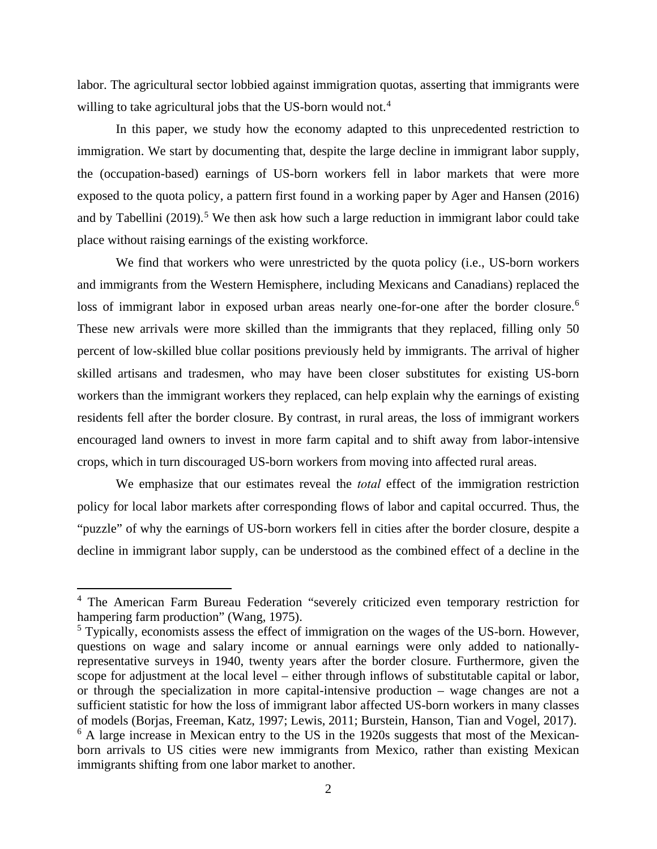labor. The agricultural sector lobbied against immigration quotas, asserting that immigrants were willing to take agricultural jobs that the US-born would not.<sup>[4](#page-3-0)</sup>

In this paper, we study how the economy adapted to this unprecedented restriction to immigration. We start by documenting that, despite the large decline in immigrant labor supply, the (occupation-based) earnings of US-born workers fell in labor markets that were more exposed to the quota policy, a pattern first found in a working paper by Ager and Hansen (2016) and by Tabellini  $(2019)$ .<sup>[5](#page-3-1)</sup> We then ask how such a large reduction in immigrant labor could take place without raising earnings of the existing workforce.

We find that workers who were unrestricted by the quota policy (i.e., US-born workers and immigrants from the Western Hemisphere, including Mexicans and Canadians) replaced the loss of immigrant labor in exposed urban areas nearly one-for-one after the border closure.<sup>[6](#page-3-2)</sup> These new arrivals were more skilled than the immigrants that they replaced, filling only 50 percent of low-skilled blue collar positions previously held by immigrants. The arrival of higher skilled artisans and tradesmen, who may have been closer substitutes for existing US-born workers than the immigrant workers they replaced, can help explain why the earnings of existing residents fell after the border closure. By contrast, in rural areas, the loss of immigrant workers encouraged land owners to invest in more farm capital and to shift away from labor-intensive crops, which in turn discouraged US-born workers from moving into affected rural areas.

We emphasize that our estimates reveal the *total* effect of the immigration restriction policy for local labor markets after corresponding flows of labor and capital occurred. Thus, the "puzzle" of why the earnings of US-born workers fell in cities after the border closure, despite a decline in immigrant labor supply, can be understood as the combined effect of a decline in the

 $\overline{\phantom{a}}$ 

<span id="page-3-0"></span><sup>4</sup> The American Farm Bureau Federation "severely criticized even temporary restriction for hampering farm production" (Wang, 1975).

<span id="page-3-2"></span><span id="page-3-1"></span><sup>&</sup>lt;sup>5</sup> Typically, economists assess the effect of immigration on the wages of the US-born. However, questions on wage and salary income or annual earnings were only added to nationallyrepresentative surveys in 1940, twenty years after the border closure. Furthermore, given the scope for adjustment at the local level – either through inflows of substitutable capital or labor, or through the specialization in more capital-intensive production – wage changes are not a sufficient statistic for how the loss of immigrant labor affected US-born workers in many classes of models (Borjas, Freeman, Katz, 1997; Lewis, 2011; Burstein, Hanson, Tian and Vogel, 2017). <sup>6</sup> A large increase in Mexican entry to the US in the 1920s suggests that most of the Mexicanborn arrivals to US cities were new immigrants from Mexico, rather than existing Mexican immigrants shifting from one labor market to another.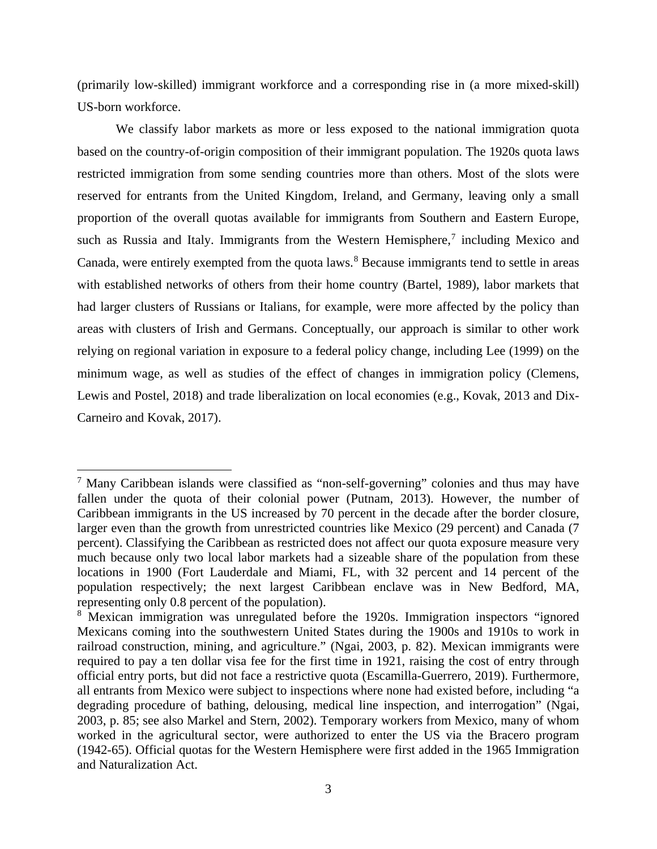(primarily low-skilled) immigrant workforce and a corresponding rise in (a more mixed-skill) US-born workforce.

We classify labor markets as more or less exposed to the national immigration quota based on the country-of-origin composition of their immigrant population. The 1920s quota laws restricted immigration from some sending countries more than others. Most of the slots were reserved for entrants from the United Kingdom, Ireland, and Germany, leaving only a small proportion of the overall quotas available for immigrants from Southern and Eastern Europe, such as Russia and Italy. Immigrants from the Western Hemisphere,<sup>[7](#page-4-0)</sup> including Mexico and Canada, were entirely exempted from the quota laws. [8](#page-4-1) Because immigrants tend to settle in areas with established networks of others from their home country (Bartel, 1989), labor markets that had larger clusters of Russians or Italians, for example, were more affected by the policy than areas with clusters of Irish and Germans. Conceptually, our approach is similar to other work relying on regional variation in exposure to a federal policy change, including Lee (1999) on the minimum wage, as well as studies of the effect of changes in immigration policy (Clemens, Lewis and Postel, 2018) and trade liberalization on local economies (e.g., Kovak, 2013 and Dix-Carneiro and Kovak, 2017).

 $\overline{a}$ 

<span id="page-4-0"></span><sup>7</sup> Many Caribbean islands were classified as "non-self-governing" colonies and thus may have fallen under the quota of their colonial power (Putnam, 2013). However, the number of Caribbean immigrants in the US increased by 70 percent in the decade after the border closure, larger even than the growth from unrestricted countries like Mexico (29 percent) and Canada (7 percent). Classifying the Caribbean as restricted does not affect our quota exposure measure very much because only two local labor markets had a sizeable share of the population from these locations in 1900 (Fort Lauderdale and Miami, FL, with 32 percent and 14 percent of the population respectively; the next largest Caribbean enclave was in New Bedford, MA, representing only 0.8 percent of the population).

<span id="page-4-1"></span><sup>8</sup> Mexican immigration was unregulated before the 1920s. Immigration inspectors "ignored Mexicans coming into the southwestern United States during the 1900s and 1910s to work in railroad construction, mining, and agriculture." (Ngai, 2003, p. 82). Mexican immigrants were required to pay a ten dollar visa fee for the first time in 1921, raising the cost of entry through official entry ports, but did not face a restrictive quota (Escamilla-Guerrero, 2019). Furthermore, all entrants from Mexico were subject to inspections where none had existed before, including "a degrading procedure of bathing, delousing, medical line inspection, and interrogation" (Ngai, 2003, p. 85; see also Markel and Stern, 2002). Temporary workers from Mexico, many of whom worked in the agricultural sector, were authorized to enter the US via the Bracero program (1942-65). Official quotas for the Western Hemisphere were first added in the 1965 Immigration and Naturalization Act.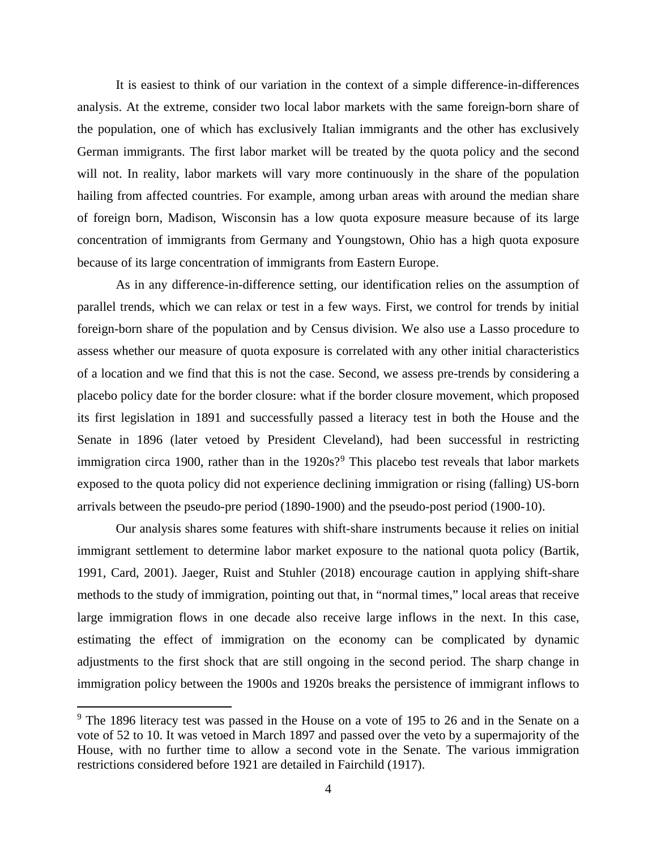It is easiest to think of our variation in the context of a simple difference-in-differences analysis. At the extreme, consider two local labor markets with the same foreign-born share of the population, one of which has exclusively Italian immigrants and the other has exclusively German immigrants. The first labor market will be treated by the quota policy and the second will not. In reality, labor markets will vary more continuously in the share of the population hailing from affected countries. For example, among urban areas with around the median share of foreign born, Madison, Wisconsin has a low quota exposure measure because of its large concentration of immigrants from Germany and Youngstown, Ohio has a high quota exposure because of its large concentration of immigrants from Eastern Europe.

As in any difference-in-difference setting, our identification relies on the assumption of parallel trends, which we can relax or test in a few ways. First, we control for trends by initial foreign-born share of the population and by Census division. We also use a Lasso procedure to assess whether our measure of quota exposure is correlated with any other initial characteristics of a location and we find that this is not the case. Second, we assess pre-trends by considering a placebo policy date for the border closure: what if the border closure movement, which proposed its first legislation in 1891 and successfully passed a literacy test in both the House and the Senate in 1896 (later vetoed by President Cleveland), had been successful in restricting immigration circa 1[9](#page-5-0)00, rather than in the  $1920s$ ?<sup>9</sup> This placebo test reveals that labor markets exposed to the quota policy did not experience declining immigration or rising (falling) US-born arrivals between the pseudo-pre period (1890-1900) and the pseudo-post period (1900-10).

Our analysis shares some features with shift-share instruments because it relies on initial immigrant settlement to determine labor market exposure to the national quota policy (Bartik, 1991, Card, 2001). Jaeger, Ruist and Stuhler (2018) encourage caution in applying shift-share methods to the study of immigration, pointing out that, in "normal times," local areas that receive large immigration flows in one decade also receive large inflows in the next. In this case, estimating the effect of immigration on the economy can be complicated by dynamic adjustments to the first shock that are still ongoing in the second period. The sharp change in immigration policy between the 1900s and 1920s breaks the persistence of immigrant inflows to

 $\overline{a}$ 

<span id="page-5-0"></span><sup>&</sup>lt;sup>9</sup> The 1896 literacy test was passed in the House on a vote of 195 to 26 and in the Senate on a vote of 52 to 10. It was vetoed in March 1897 and passed over the veto by a supermajority of the House, with no further time to allow a second vote in the Senate. The various immigration restrictions considered before 1921 are detailed in Fairchild (1917).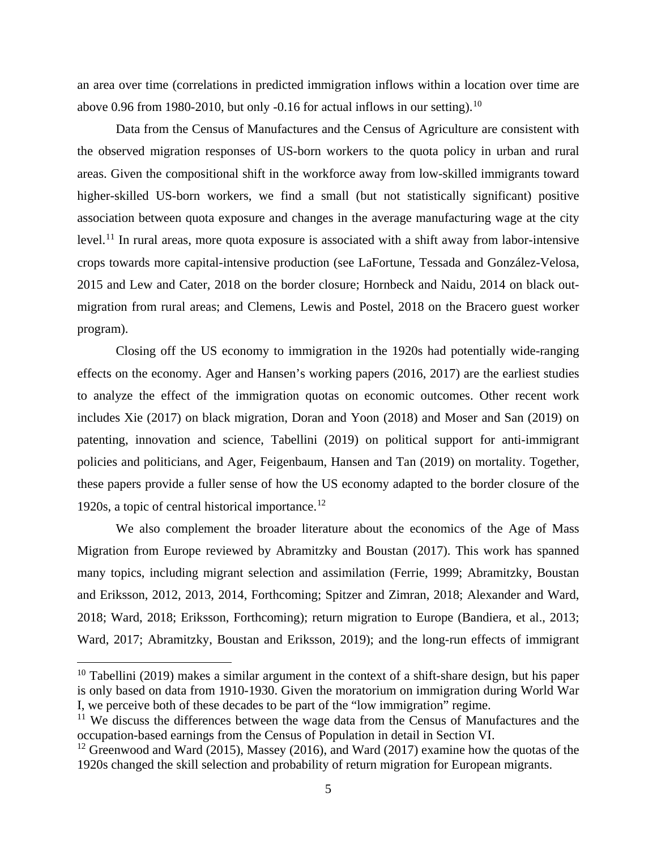an area over time (correlations in predicted immigration inflows within a location over time are above 0.96 from 1980-20[10](#page-6-0), but only -0.16 for actual inflows in our setting).<sup>10</sup>

Data from the Census of Manufactures and the Census of Agriculture are consistent with the observed migration responses of US-born workers to the quota policy in urban and rural areas. Given the compositional shift in the workforce away from low-skilled immigrants toward higher-skilled US-born workers, we find a small (but not statistically significant) positive association between quota exposure and changes in the average manufacturing wage at the city level.<sup>[11](#page-6-1)</sup> In rural areas, more quota exposure is associated with a shift away from labor-intensive crops towards more capital-intensive production (see LaFortune, Tessada and González-Velosa, 2015 and Lew and Cater, 2018 on the border closure; Hornbeck and Naidu, 2014 on black outmigration from rural areas; and Clemens, Lewis and Postel, 2018 on the Bracero guest worker program).

Closing off the US economy to immigration in the 1920s had potentially wide-ranging effects on the economy. Ager and Hansen's working papers (2016, 2017) are the earliest studies to analyze the effect of the immigration quotas on economic outcomes. Other recent work includes Xie (2017) on black migration, Doran and Yoon (2018) and Moser and San (2019) on patenting, innovation and science, Tabellini (2019) on political support for anti-immigrant policies and politicians, and Ager, Feigenbaum, Hansen and Tan (2019) on mortality. Together, these papers provide a fuller sense of how the US economy adapted to the border closure of the 1920s, a topic of central historical importance.<sup>12</sup>

We also complement the broader literature about the economics of the Age of Mass Migration from Europe reviewed by Abramitzky and Boustan (2017). This work has spanned many topics, including migrant selection and assimilation (Ferrie, 1999; Abramitzky, Boustan and Eriksson, 2012, 2013, 2014, Forthcoming; Spitzer and Zimran, 2018; Alexander and Ward, 2018; Ward, 2018; Eriksson, Forthcoming); return migration to Europe (Bandiera, et al., 2013; Ward, 2017; Abramitzky, Boustan and Eriksson, 2019); and the long-run effects of immigrant

 $\overline{\phantom{a}}$ 

<span id="page-6-0"></span> $10$  Tabellini (2019) makes a similar argument in the context of a shift-share design, but his paper is only based on data from 1910-1930. Given the moratorium on immigration during World War I, we perceive both of these decades to be part of the "low immigration" regime.

<span id="page-6-1"></span> $\frac{11}{11}$  We discuss the differences between the wage data from the Census of Manufactures and the occupation-based earnings from the Census of Population in detail in Section VI.

<span id="page-6-2"></span><sup>&</sup>lt;sup>12</sup> Greenwood and Ward (2015), Massey (2016), and Ward (2017) examine how the quotas of the 1920s changed the skill selection and probability of return migration for European migrants.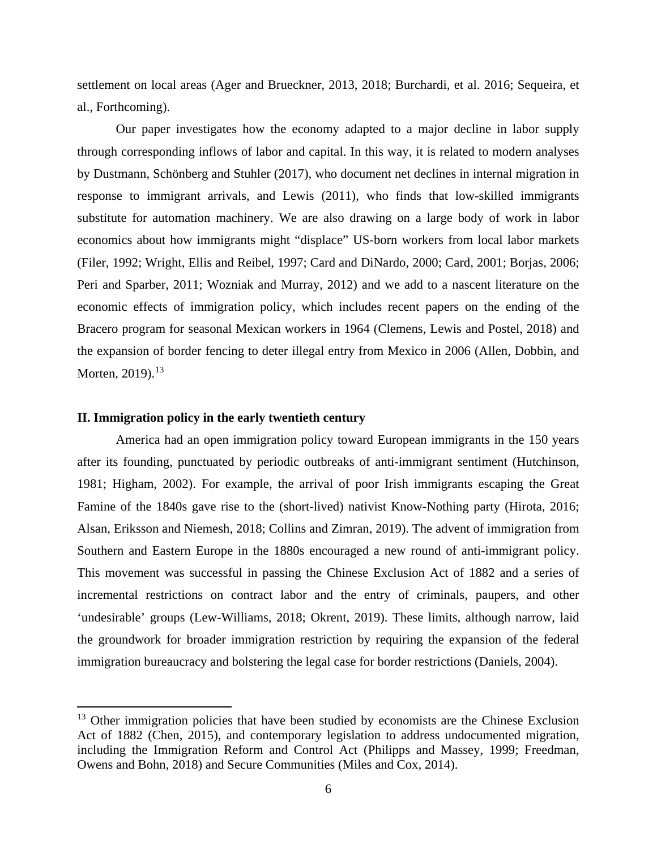settlement on local areas (Ager and Brueckner, 2013, 2018; Burchardi, et al. 2016; Sequeira, et al., Forthcoming).

Our paper investigates how the economy adapted to a major decline in labor supply through corresponding inflows of labor and capital. In this way, it is related to modern analyses by Dustmann, Schönberg and Stuhler (2017), who document net declines in internal migration in response to immigrant arrivals, and Lewis (2011), who finds that low-skilled immigrants substitute for automation machinery. We are also drawing on a large body of work in labor economics about how immigrants might "displace" US-born workers from local labor markets (Filer, 1992; Wright, Ellis and Reibel, 1997; Card and DiNardo, 2000; Card, 2001; Borjas, 2006; Peri and Sparber, 2011; Wozniak and Murray, 2012) and we add to a nascent literature on the economic effects of immigration policy, which includes recent papers on the ending of the Bracero program for seasonal Mexican workers in 1964 (Clemens, Lewis and Postel, 2018) and the expansion of border fencing to deter illegal entry from Mexico in 2006 (Allen, Dobbin, and Morten,  $2019$ ).<sup>[13](#page-7-0)</sup>

## **II. Immigration policy in the early twentieth century**

 $\overline{a}$ 

America had an open immigration policy toward European immigrants in the 150 years after its founding, punctuated by periodic outbreaks of anti-immigrant sentiment (Hutchinson, 1981; Higham, 2002). For example, the arrival of poor Irish immigrants escaping the Great Famine of the 1840s gave rise to the (short-lived) nativist Know-Nothing party (Hirota, 2016; Alsan, Eriksson and Niemesh, 2018; Collins and Zimran, 2019). The advent of immigration from Southern and Eastern Europe in the 1880s encouraged a new round of anti-immigrant policy. This movement was successful in passing the Chinese Exclusion Act of 1882 and a series of incremental restrictions on contract labor and the entry of criminals, paupers, and other 'undesirable' groups (Lew-Williams, 2018; Okrent, 2019). These limits, although narrow, laid the groundwork for broader immigration restriction by requiring the expansion of the federal immigration bureaucracy and bolstering the legal case for border restrictions (Daniels, 2004).

<span id="page-7-0"></span><sup>&</sup>lt;sup>13</sup> Other immigration policies that have been studied by economists are the Chinese Exclusion Act of 1882 (Chen, 2015), and contemporary legislation to address undocumented migration, including the Immigration Reform and Control Act (Philipps and Massey, 1999; Freedman, Owens and Bohn, 2018) and Secure Communities (Miles and Cox, 2014).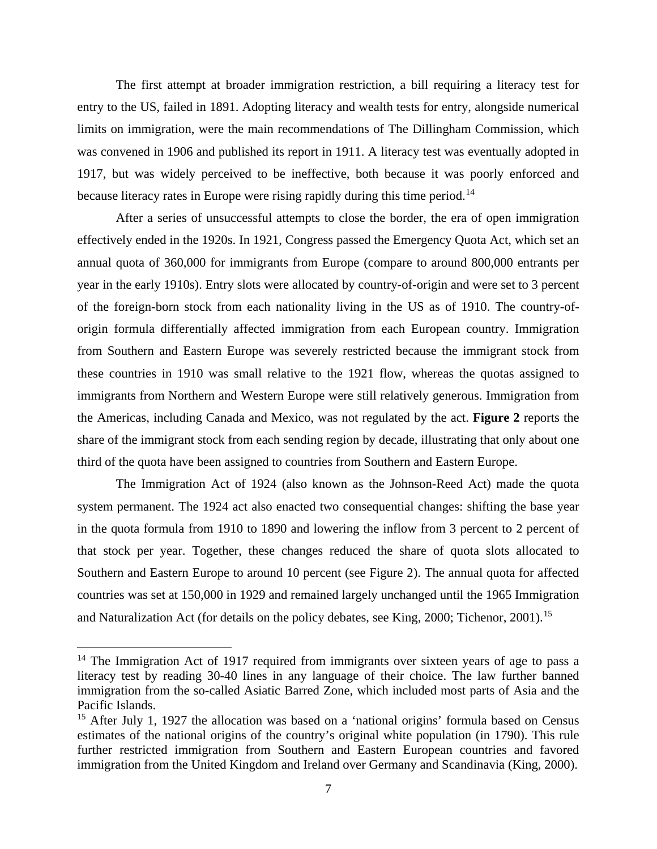The first attempt at broader immigration restriction, a bill requiring a literacy test for entry to the US, failed in 1891. Adopting literacy and wealth tests for entry, alongside numerical limits on immigration, were the main recommendations of The Dillingham Commission, which was convened in 1906 and published its report in 1911. A literacy test was eventually adopted in 1917, but was widely perceived to be ineffective, both because it was poorly enforced and because literacy rates in Europe were rising rapidly during this time period.<sup>[14](#page-8-0)</sup>

After a series of unsuccessful attempts to close the border, the era of open immigration effectively ended in the 1920s. In 1921, Congress passed the Emergency Quota Act, which set an annual quota of 360,000 for immigrants from Europe (compare to around 800,000 entrants per year in the early 1910s). Entry slots were allocated by country-of-origin and were set to 3 percent of the foreign-born stock from each nationality living in the US as of 1910. The country-oforigin formula differentially affected immigration from each European country. Immigration from Southern and Eastern Europe was severely restricted because the immigrant stock from these countries in 1910 was small relative to the 1921 flow, whereas the quotas assigned to immigrants from Northern and Western Europe were still relatively generous. Immigration from the Americas, including Canada and Mexico, was not regulated by the act. **Figure 2** reports the share of the immigrant stock from each sending region by decade, illustrating that only about one third of the quota have been assigned to countries from Southern and Eastern Europe.

The Immigration Act of 1924 (also known as the Johnson-Reed Act) made the quota system permanent. The 1924 act also enacted two consequential changes: shifting the base year in the quota formula from 1910 to 1890 and lowering the inflow from 3 percent to 2 percent of that stock per year. Together, these changes reduced the share of quota slots allocated to Southern and Eastern Europe to around 10 percent (see Figure 2). The annual quota for affected countries was set at 150,000 in 1929 and remained largely unchanged until the 1965 Immigration and Naturalization Act (for details on the policy debates, see King, 2000; Tichenor, 2001).<sup>[15](#page-8-1)</sup>

 $\overline{\phantom{a}}$ 

<span id="page-8-0"></span><sup>&</sup>lt;sup>14</sup> The Immigration Act of 1917 required from immigrants over sixteen years of age to pass a literacy test by reading 30-40 lines in any language of their choice. The law further banned immigration from the so-called Asiatic Barred Zone, which included most parts of Asia and the Pacific Islands.

<span id="page-8-1"></span><sup>&</sup>lt;sup>15</sup> After July 1, 1927 the allocation was based on a 'national origins' formula based on Census estimates of the national origins of the country's original white population (in 1790). This rule further restricted immigration from Southern and Eastern European countries and favored immigration from the United Kingdom and Ireland over Germany and Scandinavia (King, 2000).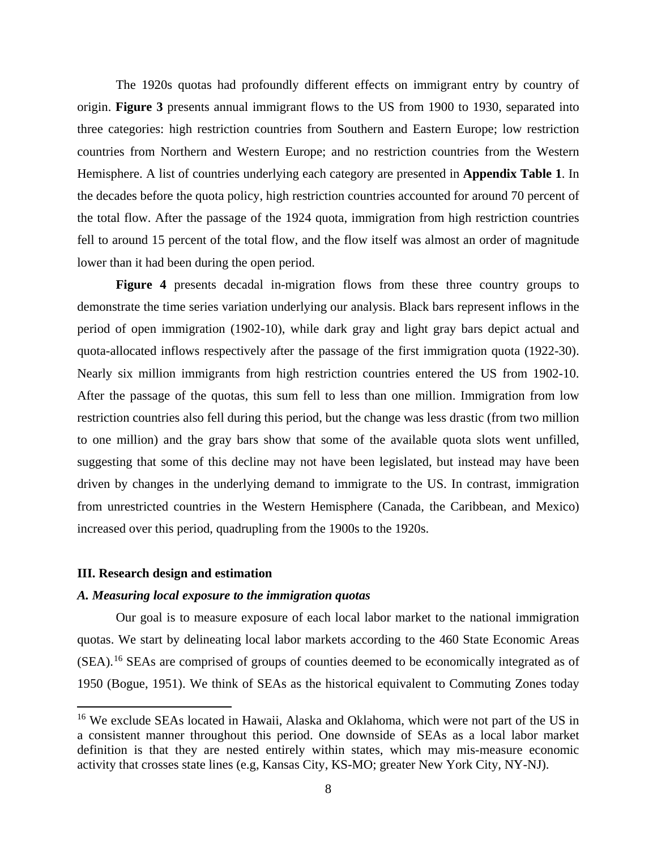The 1920s quotas had profoundly different effects on immigrant entry by country of origin. **Figure 3** presents annual immigrant flows to the US from 1900 to 1930, separated into three categories: high restriction countries from Southern and Eastern Europe; low restriction countries from Northern and Western Europe; and no restriction countries from the Western Hemisphere. A list of countries underlying each category are presented in **Appendix Table 1**. In the decades before the quota policy, high restriction countries accounted for around 70 percent of the total flow. After the passage of the 1924 quota, immigration from high restriction countries fell to around 15 percent of the total flow, and the flow itself was almost an order of magnitude lower than it had been during the open period.

**Figure 4** presents decadal in-migration flows from these three country groups to demonstrate the time series variation underlying our analysis. Black bars represent inflows in the period of open immigration (1902-10), while dark gray and light gray bars depict actual and quota-allocated inflows respectively after the passage of the first immigration quota (1922-30). Nearly six million immigrants from high restriction countries entered the US from 1902-10. After the passage of the quotas, this sum fell to less than one million. Immigration from low restriction countries also fell during this period, but the change was less drastic (from two million to one million) and the gray bars show that some of the available quota slots went unfilled, suggesting that some of this decline may not have been legislated, but instead may have been driven by changes in the underlying demand to immigrate to the US. In contrast, immigration from unrestricted countries in the Western Hemisphere (Canada, the Caribbean, and Mexico) increased over this period, quadrupling from the 1900s to the 1920s.

#### **III. Research design and estimation**

 $\overline{a}$ 

## *A. Measuring local exposure to the immigration quotas*

Our goal is to measure exposure of each local labor market to the national immigration quotas. We start by delineating local labor markets according to the 460 State Economic Areas (SEA).<sup>[16](#page-9-0)</sup> SEAs are comprised of groups of counties deemed to be economically integrated as of 1950 (Bogue, 1951). We think of SEAs as the historical equivalent to Commuting Zones today

<span id="page-9-0"></span><sup>&</sup>lt;sup>16</sup> We exclude SEAs located in Hawaii, Alaska and Oklahoma, which were not part of the US in a consistent manner throughout this period. One downside of SEAs as a local labor market definition is that they are nested entirely within states, which may mis-measure economic activity that crosses state lines (e.g, Kansas City, KS-MO; greater New York City, NY-NJ).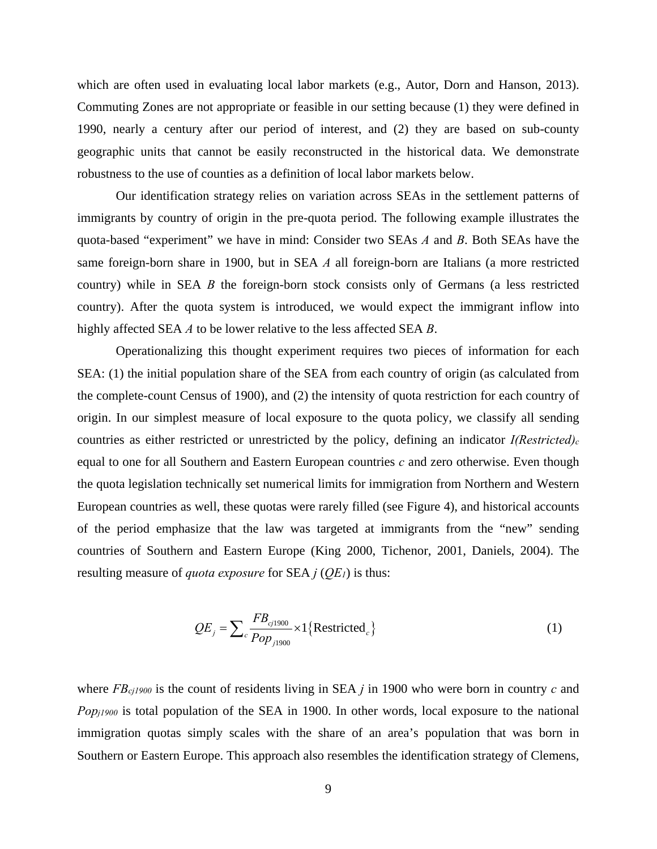which are often used in evaluating local labor markets (e.g., Autor, Dorn and Hanson, 2013). Commuting Zones are not appropriate or feasible in our setting because (1) they were defined in 1990, nearly a century after our period of interest, and (2) they are based on sub-county geographic units that cannot be easily reconstructed in the historical data. We demonstrate robustness to the use of counties as a definition of local labor markets below.

Our identification strategy relies on variation across SEAs in the settlement patterns of immigrants by country of origin in the pre-quota period. The following example illustrates the quota-based "experiment" we have in mind: Consider two SEAs *A* and *B*. Both SEAs have the same foreign-born share in 1900, but in SEA *A* all foreign-born are Italians (a more restricted country) while in SEA *B* the foreign-born stock consists only of Germans (a less restricted country). After the quota system is introduced, we would expect the immigrant inflow into highly affected SEA *A* to be lower relative to the less affected SEA *B*.

Operationalizing this thought experiment requires two pieces of information for each SEA: (1) the initial population share of the SEA from each country of origin (as calculated from the complete-count Census of 1900), and (2) the intensity of quota restriction for each country of origin. In our simplest measure of local exposure to the quota policy, we classify all sending countries as either restricted or unrestricted by the policy, defining an indicator *I(Restricted)<sub>c</sub>* equal to one for all Southern and Eastern European countries *c* and zero otherwise. Even though the quota legislation technically set numerical limits for immigration from Northern and Western European countries as well, these quotas were rarely filled (see Figure 4), and historical accounts of the period emphasize that the law was targeted at immigrants from the "new" sending countries of Southern and Eastern Europe (King 2000, Tichenor, 2001, Daniels, 2004). The resulting measure of *quota exposure* for SEA *j* (*QE1*) is thus:

$$
QE_j = \sum_{c} \frac{FB_{cj1900}}{Pop_{j1900}} \times 1 \{Restricted_c\}
$$
 (1)

where *FBcj1900* is the count of residents living in SEA *j* in 1900 who were born in country *c* and *Pop<sub>j1900</sub>* is total population of the SEA in 1900. In other words, local exposure to the national immigration quotas simply scales with the share of an area's population that was born in Southern or Eastern Europe. This approach also resembles the identification strategy of Clemens,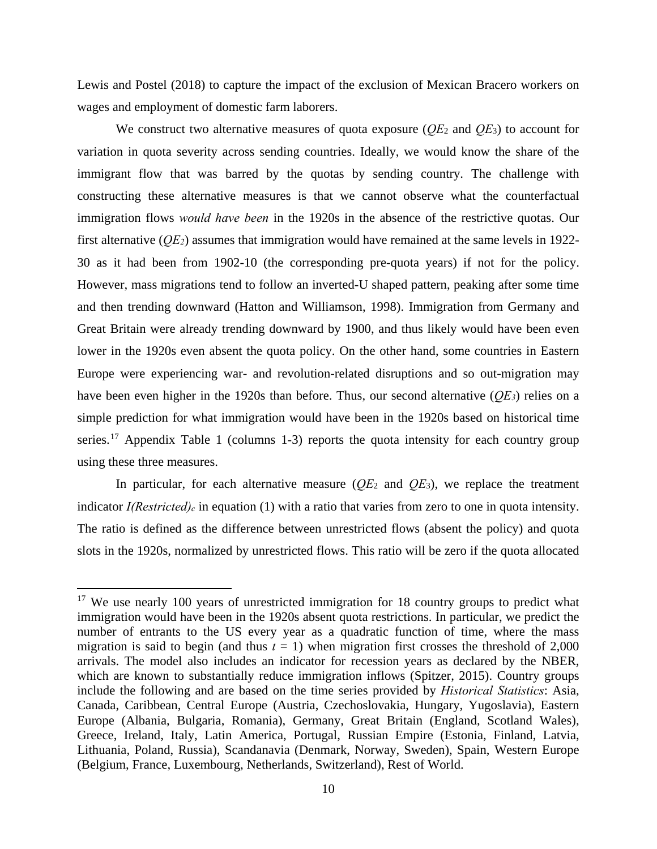Lewis and Postel (2018) to capture the impact of the exclusion of Mexican Bracero workers on wages and employment of domestic farm laborers.

We construct two alternative measures of quota exposure (*QE*2 and *QE*3) to account for variation in quota severity across sending countries. Ideally, we would know the share of the immigrant flow that was barred by the quotas by sending country. The challenge with constructing these alternative measures is that we cannot observe what the counterfactual immigration flows *would have been* in the 1920s in the absence of the restrictive quotas. Our first alternative (*QE2*) assumes that immigration would have remained at the same levels in 1922- 30 as it had been from 1902-10 (the corresponding pre-quota years) if not for the policy. However, mass migrations tend to follow an inverted-U shaped pattern, peaking after some time and then trending downward (Hatton and Williamson, 1998). Immigration from Germany and Great Britain were already trending downward by 1900, and thus likely would have been even lower in the 1920s even absent the quota policy. On the other hand, some countries in Eastern Europe were experiencing war- and revolution-related disruptions and so out-migration may have been even higher in the 1920s than before. Thus, our second alternative (*QE3*) relies on a simple prediction for what immigration would have been in the 1920s based on historical time series.<sup>[17](#page-11-0)</sup> Appendix Table 1 (columns 1-3) reports the quota intensity for each country group using these three measures.

In particular, for each alternative measure  $(QE_2$  and  $QE_3)$ , we replace the treatment indicator *I(Restricted)<sub>c</sub>* in equation (1) with a ratio that varies from zero to one in quota intensity. The ratio is defined as the difference between unrestricted flows (absent the policy) and quota slots in the 1920s, normalized by unrestricted flows. This ratio will be zero if the quota allocated

 $\overline{\phantom{a}}$ 

<span id="page-11-0"></span><sup>&</sup>lt;sup>17</sup> We use nearly 100 years of unrestricted immigration for 18 country groups to predict what immigration would have been in the 1920s absent quota restrictions. In particular, we predict the number of entrants to the US every year as a quadratic function of time, where the mass migration is said to begin (and thus  $t = 1$ ) when migration first crosses the threshold of 2,000 arrivals. The model also includes an indicator for recession years as declared by the NBER, which are known to substantially reduce immigration inflows (Spitzer, 2015). Country groups include the following and are based on the time series provided by *Historical Statistics*: Asia, Canada, Caribbean, Central Europe (Austria, Czechoslovakia, Hungary, Yugoslavia), Eastern Europe (Albania, Bulgaria, Romania), Germany, Great Britain (England, Scotland Wales), Greece, Ireland, Italy, Latin America, Portugal, Russian Empire (Estonia, Finland, Latvia, Lithuania, Poland, Russia), Scandanavia (Denmark, Norway, Sweden), Spain, Western Europe (Belgium, France, Luxembourg, Netherlands, Switzerland), Rest of World.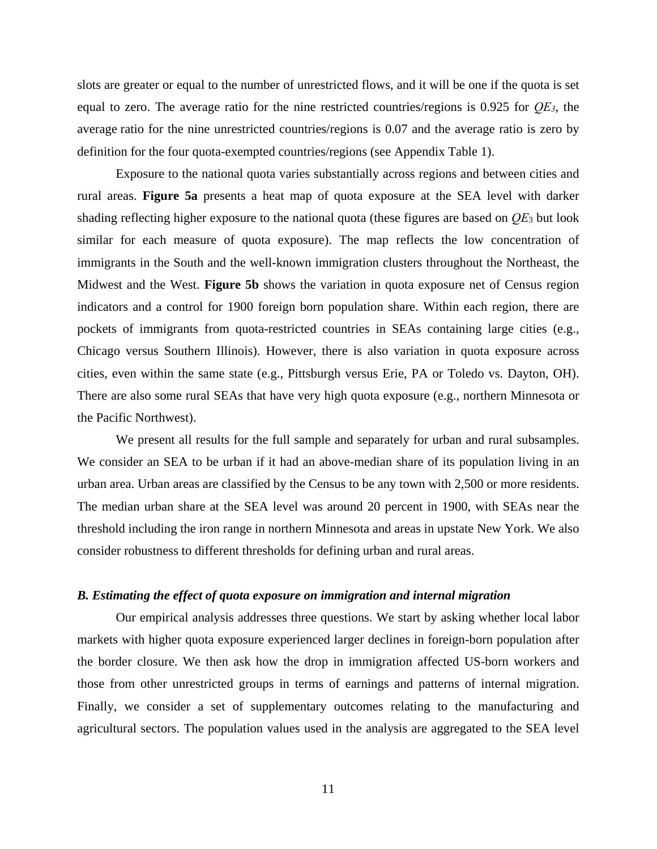slots are greater or equal to the number of unrestricted flows, and it will be one if the quota is set equal to zero. The average ratio for the nine restricted countries/regions is 0.925 for *QE3*, the average ratio for the nine unrestricted countries/regions is 0.07 and the average ratio is zero by definition for the four quota-exempted countries/regions (see Appendix Table 1).

Exposure to the national quota varies substantially across regions and between cities and rural areas. **Figure 5a** presents a heat map of quota exposure at the SEA level with darker shading reflecting higher exposure to the national quota (these figures are based on *QE*<sup>3</sup> but look similar for each measure of quota exposure). The map reflects the low concentration of immigrants in the South and the well-known immigration clusters throughout the Northeast, the Midwest and the West. **Figure 5b** shows the variation in quota exposure net of Census region indicators and a control for 1900 foreign born population share. Within each region, there are pockets of immigrants from quota-restricted countries in SEAs containing large cities (e.g., Chicago versus Southern Illinois). However, there is also variation in quota exposure across cities, even within the same state (e.g., Pittsburgh versus Erie, PA or Toledo vs. Dayton, OH). There are also some rural SEAs that have very high quota exposure (e.g., northern Minnesota or the Pacific Northwest).

We present all results for the full sample and separately for urban and rural subsamples. We consider an SEA to be urban if it had an above-median share of its population living in an urban area. Urban areas are classified by the Census to be any town with 2,500 or more residents. The median urban share at the SEA level was around 20 percent in 1900, with SEAs near the threshold including the iron range in northern Minnesota and areas in upstate New York. We also consider robustness to different thresholds for defining urban and rural areas.

# *B. Estimating the effect of quota exposure on immigration and internal migration*

Our empirical analysis addresses three questions. We start by asking whether local labor markets with higher quota exposure experienced larger declines in foreign-born population after the border closure. We then ask how the drop in immigration affected US-born workers and those from other unrestricted groups in terms of earnings and patterns of internal migration. Finally, we consider a set of supplementary outcomes relating to the manufacturing and agricultural sectors. The population values used in the analysis are aggregated to the SEA level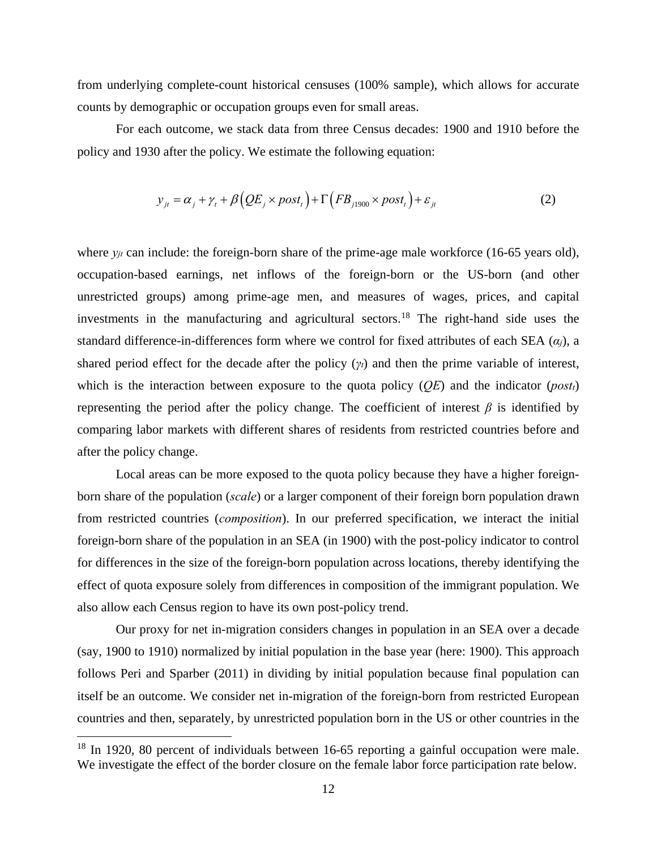from underlying complete-count historical censuses (100% sample), which allows for accurate counts by demographic or occupation groups even for small areas.

For each outcome, we stack data from three Census decades: 1900 and 1910 before the policy and 1930 after the policy. We estimate the following equation:

$$
y_{jt} = \alpha_j + \gamma_t + \beta \left( QE_j \times post_t \right) + \Gamma \left( FB_{j1900} \times post_t \right) + \varepsilon_{jt}
$$
 (2)

where  $y_{it}$  can include: the foreign-born share of the prime-age male workforce (16-65 years old), occupation-based earnings, net inflows of the foreign-born or the US-born (and other unrestricted groups) among prime-age men, and measures of wages, prices, and capital investments in the manufacturing and agricultural sectors.<sup>[18](#page-13-0)</sup> The right-hand side uses the standard difference-in-differences form where we control for fixed attributes of each SEA (*αj*), a shared period effect for the decade after the policy (*γt*) and then the prime variable of interest, which is the interaction between exposure to the quota policy (*QE*) and the indicator (*postt*) representing the period after the policy change. The coefficient of interest  $β$  is identified by comparing labor markets with different shares of residents from restricted countries before and after the policy change.

Local areas can be more exposed to the quota policy because they have a higher foreignborn share of the population (*scale*) or a larger component of their foreign born population drawn from restricted countries (*composition*). In our preferred specification, we interact the initial foreign-born share of the population in an SEA (in 1900) with the post-policy indicator to control for differences in the size of the foreign-born population across locations, thereby identifying the effect of quota exposure solely from differences in composition of the immigrant population. We also allow each Census region to have its own post-policy trend.

Our proxy for net in-migration considers changes in population in an SEA over a decade (say, 1900 to 1910) normalized by initial population in the base year (here: 1900). This approach follows Peri and Sparber (2011) in dividing by initial population because final population can itself be an outcome. We consider net in-migration of the foreign-born from restricted European countries and then, separately, by unrestricted population born in the US or other countries in the

 $\overline{\phantom{a}}$ 

<span id="page-13-0"></span><sup>&</sup>lt;sup>18</sup> In 1920, 80 percent of individuals between 16-65 reporting a gainful occupation were male. We investigate the effect of the border closure on the female labor force participation rate below.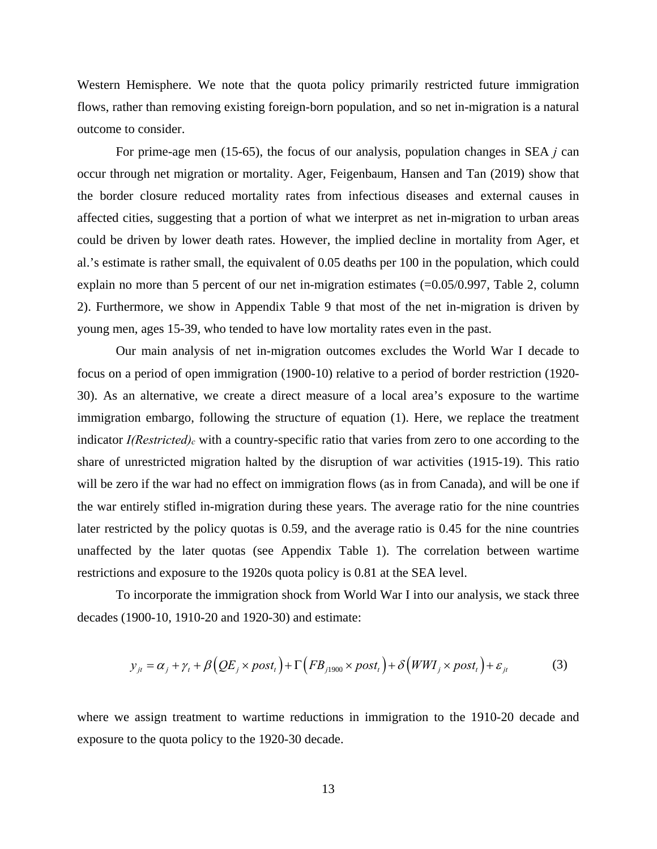Western Hemisphere. We note that the quota policy primarily restricted future immigration flows, rather than removing existing foreign-born population, and so net in-migration is a natural outcome to consider.

For prime-age men (15-65), the focus of our analysis, population changes in SEA *j* can occur through net migration or mortality. Ager, Feigenbaum, Hansen and Tan (2019) show that the border closure reduced mortality rates from infectious diseases and external causes in affected cities, suggesting that a portion of what we interpret as net in-migration to urban areas could be driven by lower death rates. However, the implied decline in mortality from Ager, et al.'s estimate is rather small, the equivalent of 0.05 deaths per 100 in the population, which could explain no more than 5 percent of our net in-migration estimates (=0.05/0.997, Table 2, column 2). Furthermore, we show in Appendix Table 9 that most of the net in-migration is driven by young men, ages 15-39, who tended to have low mortality rates even in the past.

Our main analysis of net in-migration outcomes excludes the World War I decade to focus on a period of open immigration (1900-10) relative to a period of border restriction (1920- 30). As an alternative, we create a direct measure of a local area's exposure to the wartime immigration embargo, following the structure of equation (1). Here, we replace the treatment indicator *I(Restricted)<sub>c</sub>* with a country-specific ratio that varies from zero to one according to the share of unrestricted migration halted by the disruption of war activities (1915-19). This ratio will be zero if the war had no effect on immigration flows (as in from Canada), and will be one if the war entirely stifled in-migration during these years. The average ratio for the nine countries later restricted by the policy quotas is 0.59, and the average ratio is 0.45 for the nine countries unaffected by the later quotas (see Appendix Table 1). The correlation between wartime restrictions and exposure to the 1920s quota policy is 0.81 at the SEA level.

To incorporate the immigration shock from World War I into our analysis, we stack three decades (1900-10, 1910-20 and 1920-30) and estimate:

$$
y_{it} = \alpha_j + \gamma_t + \beta \left( QE_j \times post_t \right) + \Gamma \left( FB_{j1900} \times post_t \right) + \delta \left( WWI_j \times post_t \right) + \varepsilon_{it}
$$
 (3)

where we assign treatment to wartime reductions in immigration to the 1910-20 decade and exposure to the quota policy to the 1920-30 decade.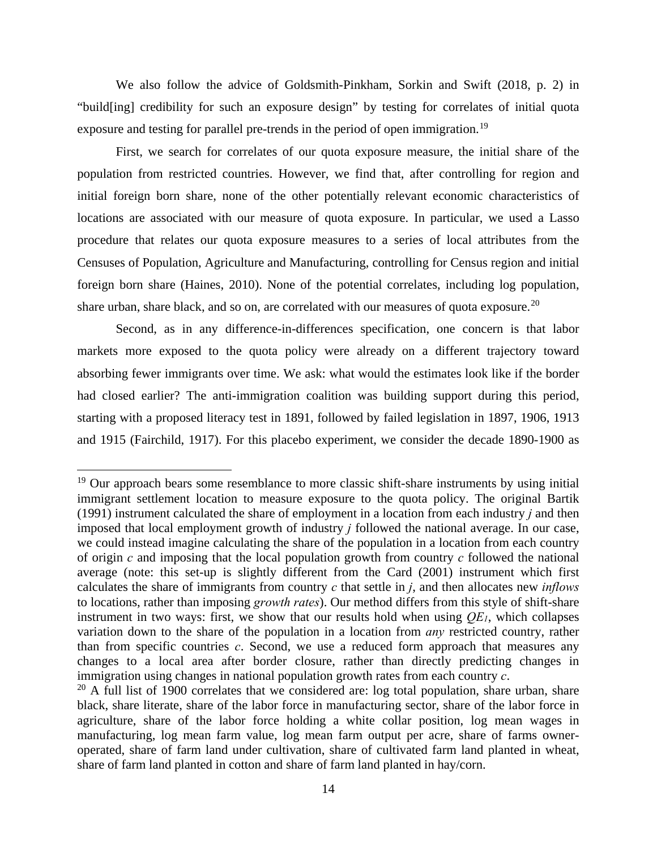We also follow the advice of Goldsmith-Pinkham, Sorkin and Swift (2018, p. 2) in "build[ing] credibility for such an exposure design" by testing for correlates of initial quota exposure and testing for parallel pre-trends in the period of open immigration.<sup>[19](#page-15-0)</sup>

First, we search for correlates of our quota exposure measure, the initial share of the population from restricted countries. However, we find that, after controlling for region and initial foreign born share, none of the other potentially relevant economic characteristics of locations are associated with our measure of quota exposure. In particular, we used a Lasso procedure that relates our quota exposure measures to a series of local attributes from the Censuses of Population, Agriculture and Manufacturing, controlling for Census region and initial foreign born share (Haines, 2010). None of the potential correlates, including log population, share urban, share black, and so on, are correlated with our measures of quota exposure.<sup>20</sup>

Second, as in any difference-in-differences specification, one concern is that labor markets more exposed to the quota policy were already on a different trajectory toward absorbing fewer immigrants over time. We ask: what would the estimates look like if the border had closed earlier? The anti-immigration coalition was building support during this period, starting with a proposed literacy test in 1891, followed by failed legislation in 1897, 1906, 1913 and 1915 (Fairchild, 1917). For this placebo experiment, we consider the decade 1890-1900 as

 $\overline{a}$ 

<span id="page-15-0"></span><sup>&</sup>lt;sup>19</sup> Our approach bears some resemblance to more classic shift-share instruments by using initial immigrant settlement location to measure exposure to the quota policy. The original Bartik (1991) instrument calculated the share of employment in a location from each industry *j* and then imposed that local employment growth of industry *j* followed the national average. In our case, we could instead imagine calculating the share of the population in a location from each country of origin *c* and imposing that the local population growth from country *c* followed the national average (note: this set-up is slightly different from the Card (2001) instrument which first calculates the share of immigrants from country *c* that settle in *j*, and then allocates new *inflows* to locations, rather than imposing *growth rates*). Our method differs from this style of shift-share instrument in two ways: first, we show that our results hold when using  $OE<sub>I</sub>$ , which collapses variation down to the share of the population in a location from *any* restricted country, rather than from specific countries *c*. Second, we use a reduced form approach that measures any changes to a local area after border closure, rather than directly predicting changes in immigration using changes in national population growth rates from each country *c*.

<span id="page-15-1"></span> $20$  A full list of 1900 correlates that we considered are: log total population, share urban, share black, share literate, share of the labor force in manufacturing sector, share of the labor force in agriculture, share of the labor force holding a white collar position, log mean wages in manufacturing, log mean farm value, log mean farm output per acre, share of farms owneroperated, share of farm land under cultivation, share of cultivated farm land planted in wheat, share of farm land planted in cotton and share of farm land planted in hay/corn.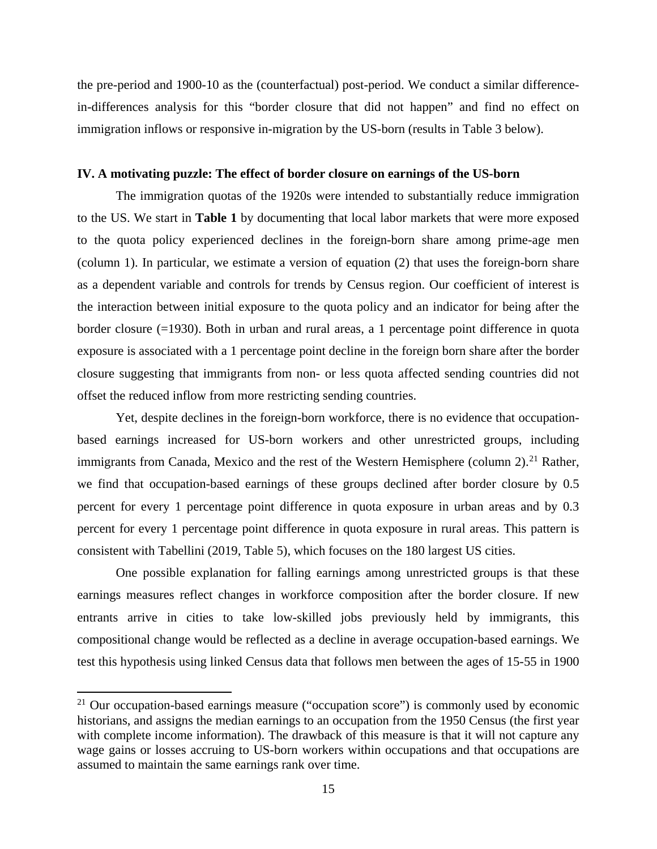the pre-period and 1900-10 as the (counterfactual) post-period. We conduct a similar differencein-differences analysis for this "border closure that did not happen" and find no effect on immigration inflows or responsive in-migration by the US-born (results in Table 3 below).

## **IV. A motivating puzzle: The effect of border closure on earnings of the US-born**

The immigration quotas of the 1920s were intended to substantially reduce immigration to the US. We start in **Table 1** by documenting that local labor markets that were more exposed to the quota policy experienced declines in the foreign-born share among prime-age men (column 1). In particular, we estimate a version of equation (2) that uses the foreign-born share as a dependent variable and controls for trends by Census region. Our coefficient of interest is the interaction between initial exposure to the quota policy and an indicator for being after the border closure (=1930). Both in urban and rural areas, a 1 percentage point difference in quota exposure is associated with a 1 percentage point decline in the foreign born share after the border closure suggesting that immigrants from non- or less quota affected sending countries did not offset the reduced inflow from more restricting sending countries.

Yet, despite declines in the foreign-born workforce, there is no evidence that occupationbased earnings increased for US-born workers and other unrestricted groups, including immigrants from Canada, Mexico and the rest of the Western Hemisphere (column 2).<sup>[21](#page-16-0)</sup> Rather, we find that occupation-based earnings of these groups declined after border closure by 0.5 percent for every 1 percentage point difference in quota exposure in urban areas and by 0.3 percent for every 1 percentage point difference in quota exposure in rural areas. This pattern is consistent with Tabellini (2019, Table 5), which focuses on the 180 largest US cities.

One possible explanation for falling earnings among unrestricted groups is that these earnings measures reflect changes in workforce composition after the border closure. If new entrants arrive in cities to take low-skilled jobs previously held by immigrants, this compositional change would be reflected as a decline in average occupation-based earnings. We test this hypothesis using linked Census data that follows men between the ages of 15-55 in 1900

 $\overline{a}$ 

<span id="page-16-0"></span><sup>&</sup>lt;sup>21</sup> Our occupation-based earnings measure ("occupation score") is commonly used by economic historians, and assigns the median earnings to an occupation from the 1950 Census (the first year with complete income information). The drawback of this measure is that it will not capture any wage gains or losses accruing to US-born workers within occupations and that occupations are assumed to maintain the same earnings rank over time.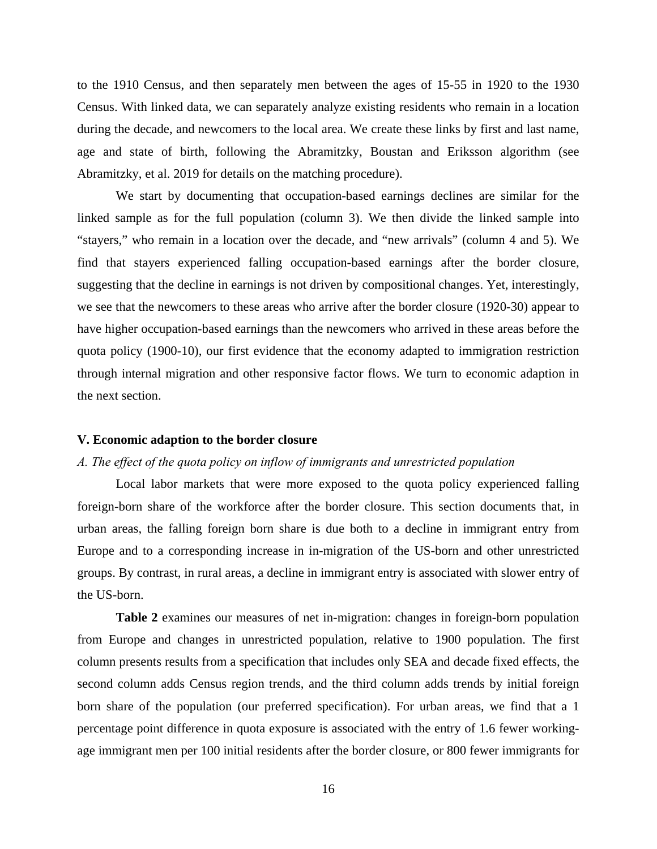to the 1910 Census, and then separately men between the ages of 15-55 in 1920 to the 1930 Census. With linked data, we can separately analyze existing residents who remain in a location during the decade, and newcomers to the local area. We create these links by first and last name, age and state of birth, following the Abramitzky, Boustan and Eriksson algorithm (see Abramitzky, et al. 2019 for details on the matching procedure).

We start by documenting that occupation-based earnings declines are similar for the linked sample as for the full population (column 3). We then divide the linked sample into "stayers," who remain in a location over the decade, and "new arrivals" (column 4 and 5). We find that stayers experienced falling occupation-based earnings after the border closure, suggesting that the decline in earnings is not driven by compositional changes. Yet, interestingly, we see that the newcomers to these areas who arrive after the border closure (1920-30) appear to have higher occupation-based earnings than the newcomers who arrived in these areas before the quota policy (1900-10), our first evidence that the economy adapted to immigration restriction through internal migration and other responsive factor flows. We turn to economic adaption in the next section.

#### **V. Economic adaption to the border closure**

### *A. The effect of the quota policy on inflow of immigrants and unrestricted population*

Local labor markets that were more exposed to the quota policy experienced falling foreign-born share of the workforce after the border closure. This section documents that, in urban areas, the falling foreign born share is due both to a decline in immigrant entry from Europe and to a corresponding increase in in-migration of the US-born and other unrestricted groups. By contrast, in rural areas, a decline in immigrant entry is associated with slower entry of the US-born.

**Table 2** examines our measures of net in-migration: changes in foreign-born population from Europe and changes in unrestricted population, relative to 1900 population. The first column presents results from a specification that includes only SEA and decade fixed effects, the second column adds Census region trends, and the third column adds trends by initial foreign born share of the population (our preferred specification). For urban areas, we find that a 1 percentage point difference in quota exposure is associated with the entry of 1.6 fewer workingage immigrant men per 100 initial residents after the border closure, or 800 fewer immigrants for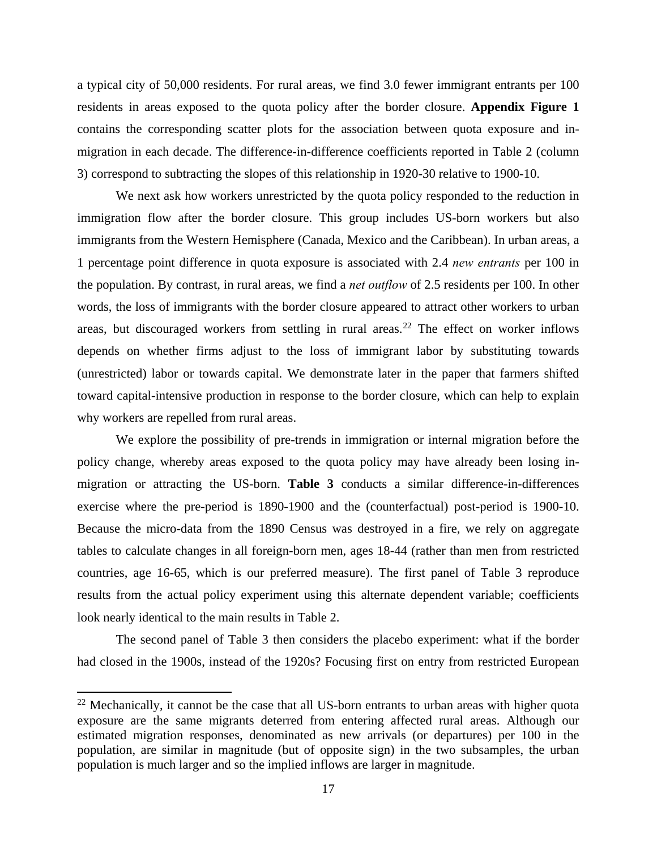a typical city of 50,000 residents. For rural areas, we find 3.0 fewer immigrant entrants per 100 residents in areas exposed to the quota policy after the border closure. **Appendix Figure 1** contains the corresponding scatter plots for the association between quota exposure and inmigration in each decade. The difference-in-difference coefficients reported in Table 2 (column 3) correspond to subtracting the slopes of this relationship in 1920-30 relative to 1900-10.

We next ask how workers unrestricted by the quota policy responded to the reduction in immigration flow after the border closure. This group includes US-born workers but also immigrants from the Western Hemisphere (Canada, Mexico and the Caribbean). In urban areas, a 1 percentage point difference in quota exposure is associated with 2.4 *new entrants* per 100 in the population. By contrast, in rural areas, we find a *net outflow* of 2.5 residents per 100. In other words, the loss of immigrants with the border closure appeared to attract other workers to urban areas, but discouraged workers from settling in rural areas.<sup>[22](#page-18-0)</sup> The effect on worker inflows depends on whether firms adjust to the loss of immigrant labor by substituting towards (unrestricted) labor or towards capital. We demonstrate later in the paper that farmers shifted toward capital-intensive production in response to the border closure, which can help to explain why workers are repelled from rural areas.

We explore the possibility of pre-trends in immigration or internal migration before the policy change, whereby areas exposed to the quota policy may have already been losing inmigration or attracting the US-born. **Table 3** conducts a similar difference-in-differences exercise where the pre-period is 1890-1900 and the (counterfactual) post-period is 1900-10. Because the micro-data from the 1890 Census was destroyed in a fire, we rely on aggregate tables to calculate changes in all foreign-born men, ages 18-44 (rather than men from restricted countries, age 16-65, which is our preferred measure). The first panel of Table 3 reproduce results from the actual policy experiment using this alternate dependent variable; coefficients look nearly identical to the main results in Table 2.

The second panel of Table 3 then considers the placebo experiment: what if the border had closed in the 1900s, instead of the 1920s? Focusing first on entry from restricted European

 $\overline{a}$ 

<span id="page-18-0"></span> $22$  Mechanically, it cannot be the case that all US-born entrants to urban areas with higher quota exposure are the same migrants deterred from entering affected rural areas. Although our estimated migration responses, denominated as new arrivals (or departures) per 100 in the population, are similar in magnitude (but of opposite sign) in the two subsamples, the urban population is much larger and so the implied inflows are larger in magnitude.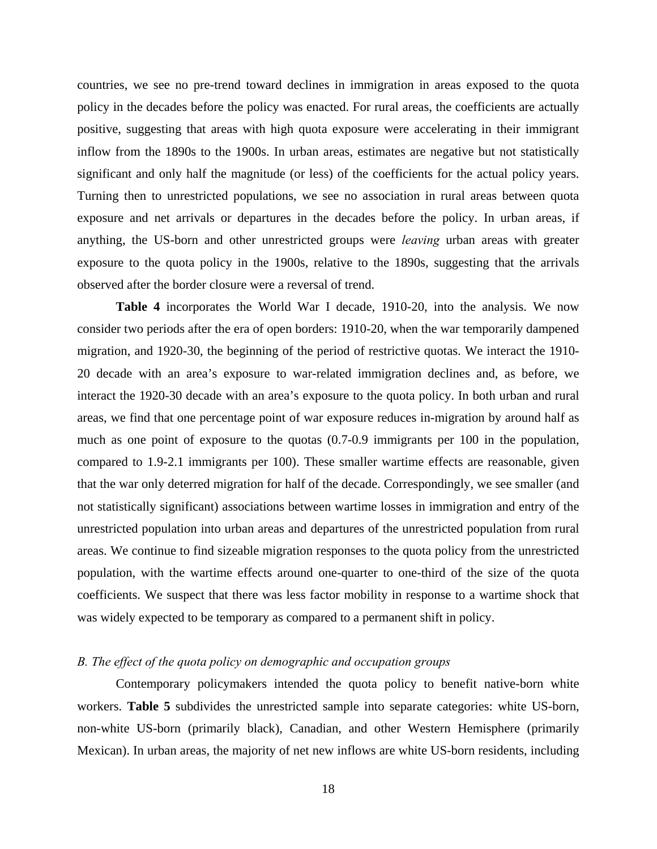countries, we see no pre-trend toward declines in immigration in areas exposed to the quota policy in the decades before the policy was enacted. For rural areas, the coefficients are actually positive, suggesting that areas with high quota exposure were accelerating in their immigrant inflow from the 1890s to the 1900s. In urban areas, estimates are negative but not statistically significant and only half the magnitude (or less) of the coefficients for the actual policy years. Turning then to unrestricted populations, we see no association in rural areas between quota exposure and net arrivals or departures in the decades before the policy. In urban areas, if anything, the US-born and other unrestricted groups were *leaving* urban areas with greater exposure to the quota policy in the 1900s, relative to the 1890s, suggesting that the arrivals observed after the border closure were a reversal of trend.

**Table 4** incorporates the World War I decade, 1910-20, into the analysis. We now consider two periods after the era of open borders: 1910-20, when the war temporarily dampened migration, and 1920-30, the beginning of the period of restrictive quotas. We interact the 1910- 20 decade with an area's exposure to war-related immigration declines and, as before, we interact the 1920-30 decade with an area's exposure to the quota policy. In both urban and rural areas, we find that one percentage point of war exposure reduces in-migration by around half as much as one point of exposure to the quotas (0.7-0.9 immigrants per 100 in the population, compared to 1.9-2.1 immigrants per 100). These smaller wartime effects are reasonable, given that the war only deterred migration for half of the decade. Correspondingly, we see smaller (and not statistically significant) associations between wartime losses in immigration and entry of the unrestricted population into urban areas and departures of the unrestricted population from rural areas. We continue to find sizeable migration responses to the quota policy from the unrestricted population, with the wartime effects around one-quarter to one-third of the size of the quota coefficients. We suspect that there was less factor mobility in response to a wartime shock that was widely expected to be temporary as compared to a permanent shift in policy.

## *B. The effect of the quota policy on demographic and occupation groups*

Contemporary policymakers intended the quota policy to benefit native-born white workers. **Table 5** subdivides the unrestricted sample into separate categories: white US-born, non-white US-born (primarily black), Canadian, and other Western Hemisphere (primarily Mexican). In urban areas, the majority of net new inflows are white US-born residents, including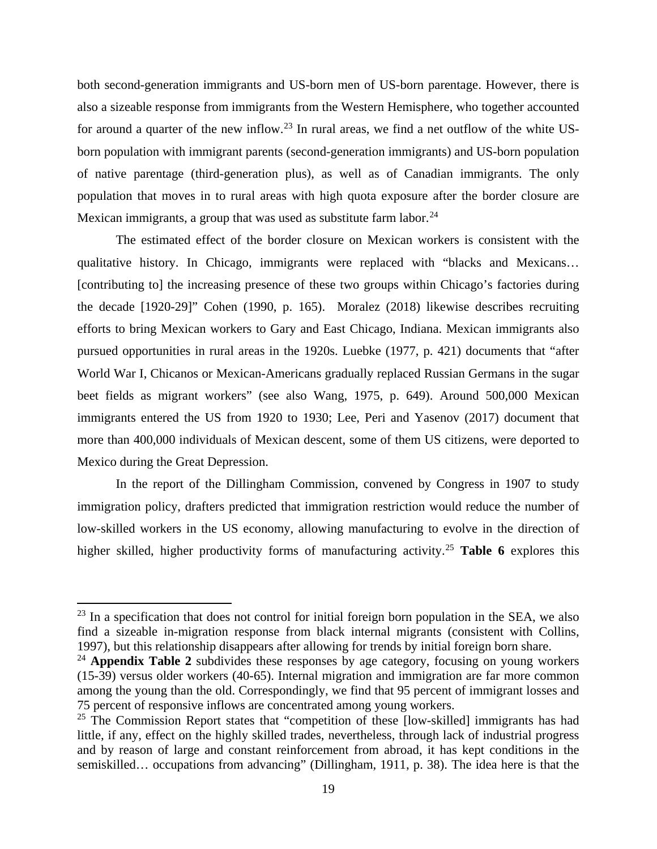both second-generation immigrants and US-born men of US-born parentage. However, there is also a sizeable response from immigrants from the Western Hemisphere, who together accounted for around a quarter of the new inflow.<sup>23</sup> In rural areas, we find a net outflow of the white USborn population with immigrant parents (second-generation immigrants) and US-born population of native parentage (third-generation plus), as well as of Canadian immigrants. The only population that moves in to rural areas with high quota exposure after the border closure are Mexican immigrants, a group that was used as substitute farm labor.  $24$ 

The estimated effect of the border closure on Mexican workers is consistent with the qualitative history. In Chicago, immigrants were replaced with "blacks and Mexicans… [contributing to] the increasing presence of these two groups within Chicago's factories during the decade [1920-29]" Cohen (1990, p. 165). Moralez (2018) likewise describes recruiting efforts to bring Mexican workers to Gary and East Chicago, Indiana. Mexican immigrants also pursued opportunities in rural areas in the 1920s. Luebke (1977, p. 421) documents that "after World War I, Chicanos or Mexican-Americans gradually replaced Russian Germans in the sugar beet fields as migrant workers" (see also Wang, 1975, p. 649). Around 500,000 Mexican immigrants entered the US from 1920 to 1930; Lee, Peri and Yasenov (2017) document that more than 400,000 individuals of Mexican descent, some of them US citizens, were deported to Mexico during the Great Depression.

In the report of the Dillingham Commission, convened by Congress in 1907 to study immigration policy, drafters predicted that immigration restriction would reduce the number of low-skilled workers in the US economy, allowing manufacturing to evolve in the direction of higher skilled, higher productivity forms of manufacturing activity.[25](#page-20-2) **Table 6** explores this

l

<span id="page-20-0"></span> $23$  In a specification that does not control for initial foreign born population in the SEA, we also find a sizeable in-migration response from black internal migrants (consistent with Collins, 1997), but this relationship disappears after allowing for trends by initial foreign born share.

<span id="page-20-1"></span><sup>24</sup> **Appendix Table 2** subdivides these responses by age category, focusing on young workers (15-39) versus older workers (40-65). Internal migration and immigration are far more common among the young than the old. Correspondingly, we find that 95 percent of immigrant losses and 75 percent of responsive inflows are concentrated among young workers.

<span id="page-20-2"></span><sup>&</sup>lt;sup>25</sup> The Commission Report states that "competition of these [low-skilled] immigrants has had little, if any, effect on the highly skilled trades, nevertheless, through lack of industrial progress and by reason of large and constant reinforcement from abroad, it has kept conditions in the semiskilled… occupations from advancing" (Dillingham, 1911, p. 38). The idea here is that the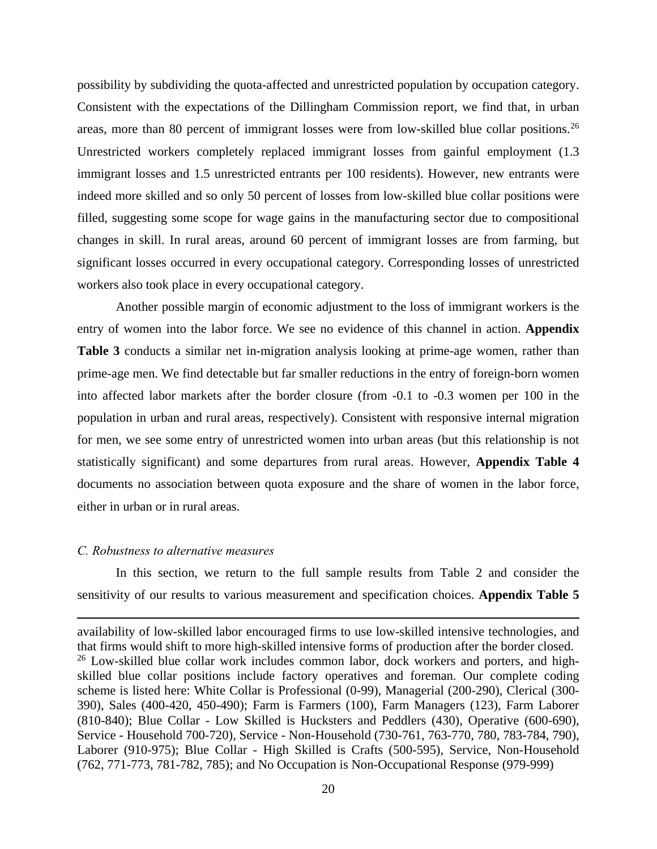possibility by subdividing the quota-affected and unrestricted population by occupation category. Consistent with the expectations of the Dillingham Commission report, we find that, in urban areas, more than 80 percent of immigrant losses were from low-skilled blue collar positions.<sup>[26](#page-21-0)</sup> Unrestricted workers completely replaced immigrant losses from gainful employment (1.3 immigrant losses and 1.5 unrestricted entrants per 100 residents). However, new entrants were indeed more skilled and so only 50 percent of losses from low-skilled blue collar positions were filled, suggesting some scope for wage gains in the manufacturing sector due to compositional changes in skill. In rural areas, around 60 percent of immigrant losses are from farming, but significant losses occurred in every occupational category. Corresponding losses of unrestricted workers also took place in every occupational category.

Another possible margin of economic adjustment to the loss of immigrant workers is the entry of women into the labor force. We see no evidence of this channel in action. **Appendix Table 3** conducts a similar net in-migration analysis looking at prime-age women, rather than prime-age men. We find detectable but far smaller reductions in the entry of foreign-born women into affected labor markets after the border closure (from -0.1 to -0.3 women per 100 in the population in urban and rural areas, respectively). Consistent with responsive internal migration for men, we see some entry of unrestricted women into urban areas (but this relationship is not statistically significant) and some departures from rural areas. However, **Appendix Table 4** documents no association between quota exposure and the share of women in the labor force, either in urban or in rural areas.

## *C. Robustness to alternative measures*

 $\overline{a}$ 

In this section, we return to the full sample results from Table 2 and consider the sensitivity of our results to various measurement and specification choices. **Appendix Table 5**

<span id="page-21-0"></span>availability of low-skilled labor encouraged firms to use low-skilled intensive technologies, and that firms would shift to more high-skilled intensive forms of production after the border closed.  $26$  Low-skilled blue collar work includes common labor, dock workers and porters, and highskilled blue collar positions include factory operatives and foreman. Our complete coding scheme is listed here: White Collar is Professional (0-99), Managerial (200-290), Clerical (300- 390), Sales (400-420, 450-490); Farm is Farmers (100), Farm Managers (123), Farm Laborer (810-840); Blue Collar - Low Skilled is Hucksters and Peddlers (430), Operative (600-690), Service - Household 700-720), Service - Non-Household (730-761, 763-770, 780, 783-784, 790), Laborer (910-975); Blue Collar - High Skilled is Crafts (500-595), Service, Non-Household (762, 771-773, 781-782, 785); and No Occupation is Non-Occupational Response (979-999)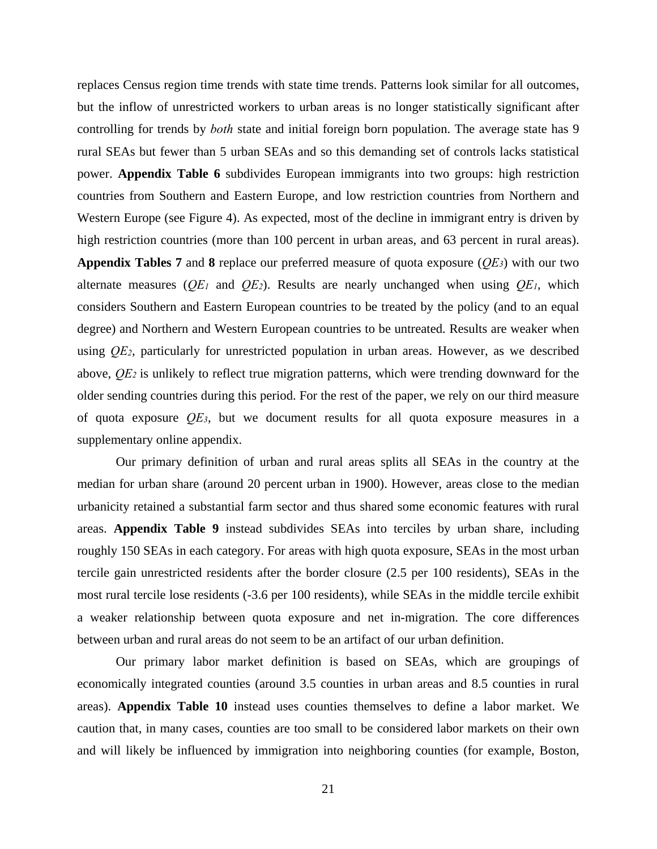replaces Census region time trends with state time trends. Patterns look similar for all outcomes, but the inflow of unrestricted workers to urban areas is no longer statistically significant after controlling for trends by *both* state and initial foreign born population. The average state has 9 rural SEAs but fewer than 5 urban SEAs and so this demanding set of controls lacks statistical power. **Appendix Table 6** subdivides European immigrants into two groups: high restriction countries from Southern and Eastern Europe, and low restriction countries from Northern and Western Europe (see Figure 4). As expected, most of the decline in immigrant entry is driven by high restriction countries (more than 100 percent in urban areas, and 63 percent in rural areas). **Appendix Tables 7** and 8 replace our preferred measure of quota exposure  $(\overline{OE3})$  with our two alternate measures  $(\overline{QE}_1$  and  $\overline{QE}_2)$ . Results are nearly unchanged when using  $\overline{QE}_1$ , which considers Southern and Eastern European countries to be treated by the policy (and to an equal degree) and Northern and Western European countries to be untreated. Results are weaker when using *QE2*, particularly for unrestricted population in urban areas. However, as we described above, *QE2* is unlikely to reflect true migration patterns, which were trending downward for the older sending countries during this period. For the rest of the paper, we rely on our third measure of quota exposure *QE3*, but we document results for all quota exposure measures in a supplementary online appendix.

Our primary definition of urban and rural areas splits all SEAs in the country at the median for urban share (around 20 percent urban in 1900). However, areas close to the median urbanicity retained a substantial farm sector and thus shared some economic features with rural areas. **Appendix Table 9** instead subdivides SEAs into terciles by urban share, including roughly 150 SEAs in each category. For areas with high quota exposure, SEAs in the most urban tercile gain unrestricted residents after the border closure (2.5 per 100 residents), SEAs in the most rural tercile lose residents (-3.6 per 100 residents), while SEAs in the middle tercile exhibit a weaker relationship between quota exposure and net in-migration. The core differences between urban and rural areas do not seem to be an artifact of our urban definition.

Our primary labor market definition is based on SEAs, which are groupings of economically integrated counties (around 3.5 counties in urban areas and 8.5 counties in rural areas). **Appendix Table 10** instead uses counties themselves to define a labor market. We caution that, in many cases, counties are too small to be considered labor markets on their own and will likely be influenced by immigration into neighboring counties (for example, Boston,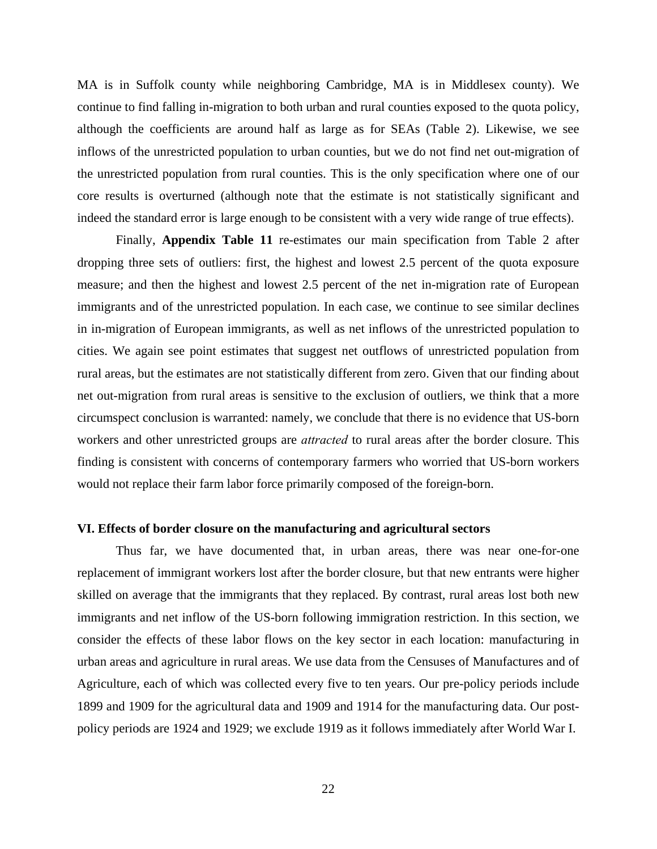MA is in Suffolk county while neighboring Cambridge, MA is in Middlesex county). We continue to find falling in-migration to both urban and rural counties exposed to the quota policy, although the coefficients are around half as large as for SEAs (Table 2). Likewise, we see inflows of the unrestricted population to urban counties, but we do not find net out-migration of the unrestricted population from rural counties. This is the only specification where one of our core results is overturned (although note that the estimate is not statistically significant and indeed the standard error is large enough to be consistent with a very wide range of true effects).

Finally, **Appendix Table 11** re-estimates our main specification from Table 2 after dropping three sets of outliers: first, the highest and lowest 2.5 percent of the quota exposure measure; and then the highest and lowest 2.5 percent of the net in-migration rate of European immigrants and of the unrestricted population. In each case, we continue to see similar declines in in-migration of European immigrants, as well as net inflows of the unrestricted population to cities. We again see point estimates that suggest net outflows of unrestricted population from rural areas, but the estimates are not statistically different from zero. Given that our finding about net out-migration from rural areas is sensitive to the exclusion of outliers, we think that a more circumspect conclusion is warranted: namely, we conclude that there is no evidence that US-born workers and other unrestricted groups are *attracted* to rural areas after the border closure. This finding is consistent with concerns of contemporary farmers who worried that US-born workers would not replace their farm labor force primarily composed of the foreign-born.

#### **VI. Effects of border closure on the manufacturing and agricultural sectors**

Thus far, we have documented that, in urban areas, there was near one-for-one replacement of immigrant workers lost after the border closure, but that new entrants were higher skilled on average that the immigrants that they replaced. By contrast, rural areas lost both new immigrants and net inflow of the US-born following immigration restriction. In this section, we consider the effects of these labor flows on the key sector in each location: manufacturing in urban areas and agriculture in rural areas. We use data from the Censuses of Manufactures and of Agriculture, each of which was collected every five to ten years. Our pre-policy periods include 1899 and 1909 for the agricultural data and 1909 and 1914 for the manufacturing data. Our postpolicy periods are 1924 and 1929; we exclude 1919 as it follows immediately after World War I.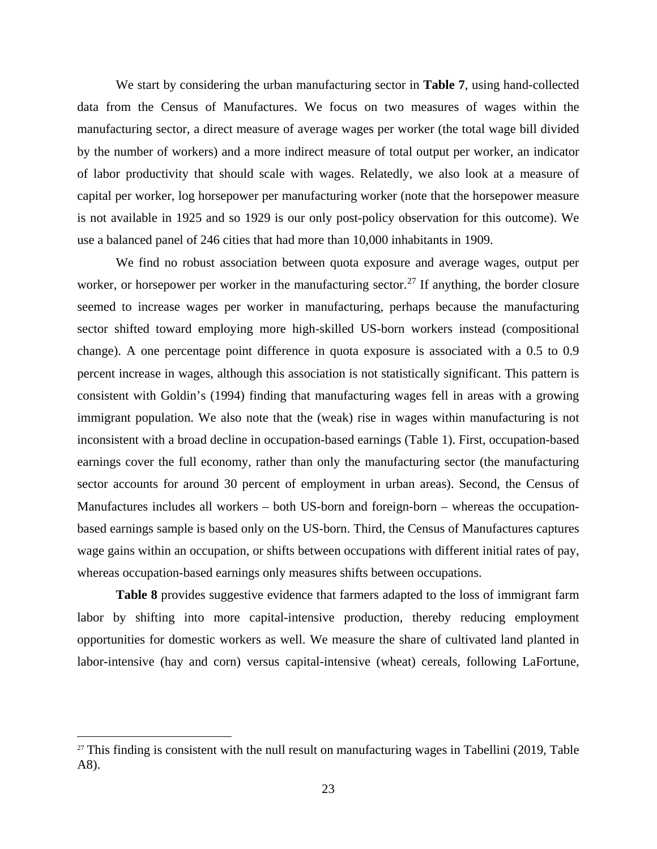We start by considering the urban manufacturing sector in **Table 7**, using hand-collected data from the Census of Manufactures. We focus on two measures of wages within the manufacturing sector, a direct measure of average wages per worker (the total wage bill divided by the number of workers) and a more indirect measure of total output per worker, an indicator of labor productivity that should scale with wages. Relatedly, we also look at a measure of capital per worker, log horsepower per manufacturing worker (note that the horsepower measure is not available in 1925 and so 1929 is our only post-policy observation for this outcome). We use a balanced panel of 246 cities that had more than 10,000 inhabitants in 1909.

We find no robust association between quota exposure and average wages, output per worker, or horsepower per worker in the manufacturing sector.<sup>27</sup> If anything, the border closure seemed to increase wages per worker in manufacturing, perhaps because the manufacturing sector shifted toward employing more high-skilled US-born workers instead (compositional change). A one percentage point difference in quota exposure is associated with a 0.5 to 0.9 percent increase in wages, although this association is not statistically significant. This pattern is consistent with Goldin's (1994) finding that manufacturing wages fell in areas with a growing immigrant population. We also note that the (weak) rise in wages within manufacturing is not inconsistent with a broad decline in occupation-based earnings (Table 1). First, occupation-based earnings cover the full economy, rather than only the manufacturing sector (the manufacturing sector accounts for around 30 percent of employment in urban areas). Second, the Census of Manufactures includes all workers – both US-born and foreign-born – whereas the occupationbased earnings sample is based only on the US-born. Third, the Census of Manufactures captures wage gains within an occupation, or shifts between occupations with different initial rates of pay, whereas occupation-based earnings only measures shifts between occupations.

**Table 8** provides suggestive evidence that farmers adapted to the loss of immigrant farm labor by shifting into more capital-intensive production, thereby reducing employment opportunities for domestic workers as well. We measure the share of cultivated land planted in labor-intensive (hay and corn) versus capital-intensive (wheat) cereals, following LaFortune,

 $\overline{\phantom{a}}$ 

<span id="page-24-0"></span> $27$  This finding is consistent with the null result on manufacturing wages in Tabellini (2019, Table A8).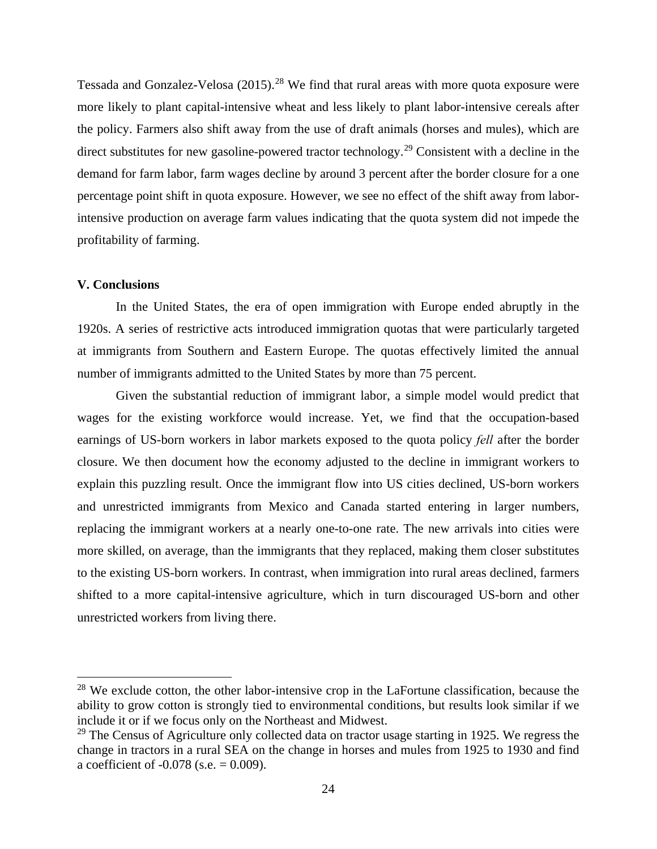Tessada and Gonzalez-Velosa  $(2015)$ <sup>28</sup> We find that rural areas with more quota exposure were more likely to plant capital-intensive wheat and less likely to plant labor-intensive cereals after the policy. Farmers also shift away from the use of draft animals (horses and mules), which are direct substitutes for new gasoline-powered tractor technology.<sup>[29](#page-25-1)</sup> Consistent with a decline in the demand for farm labor, farm wages decline by around 3 percent after the border closure for a one percentage point shift in quota exposure. However, we see no effect of the shift away from laborintensive production on average farm values indicating that the quota system did not impede the profitability of farming.

# **V. Conclusions**

l

In the United States, the era of open immigration with Europe ended abruptly in the 1920s. A series of restrictive acts introduced immigration quotas that were particularly targeted at immigrants from Southern and Eastern Europe. The quotas effectively limited the annual number of immigrants admitted to the United States by more than 75 percent.

Given the substantial reduction of immigrant labor, a simple model would predict that wages for the existing workforce would increase. Yet, we find that the occupation-based earnings of US-born workers in labor markets exposed to the quota policy *fell* after the border closure. We then document how the economy adjusted to the decline in immigrant workers to explain this puzzling result. Once the immigrant flow into US cities declined, US-born workers and unrestricted immigrants from Mexico and Canada started entering in larger numbers, replacing the immigrant workers at a nearly one-to-one rate. The new arrivals into cities were more skilled, on average, than the immigrants that they replaced, making them closer substitutes to the existing US-born workers. In contrast, when immigration into rural areas declined, farmers shifted to a more capital-intensive agriculture, which in turn discouraged US-born and other unrestricted workers from living there.

<span id="page-25-0"></span> $28$  We exclude cotton, the other labor-intensive crop in the LaFortune classification, because the ability to grow cotton is strongly tied to environmental conditions, but results look similar if we include it or if we focus only on the Northeast and Midwest.

<span id="page-25-1"></span> $29$  The Census of Agriculture only collected data on tractor usage starting in 1925. We regress the change in tractors in a rural SEA on the change in horses and mules from 1925 to 1930 and find a coefficient of  $-0.078$  (s.e.  $= 0.009$ ).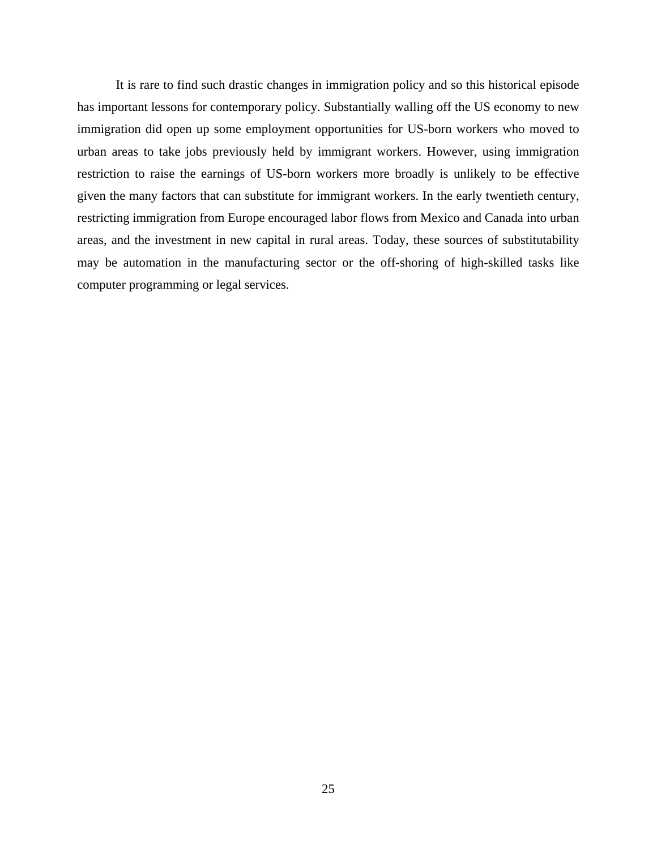It is rare to find such drastic changes in immigration policy and so this historical episode has important lessons for contemporary policy. Substantially walling off the US economy to new immigration did open up some employment opportunities for US-born workers who moved to urban areas to take jobs previously held by immigrant workers. However, using immigration restriction to raise the earnings of US-born workers more broadly is unlikely to be effective given the many factors that can substitute for immigrant workers. In the early twentieth century, restricting immigration from Europe encouraged labor flows from Mexico and Canada into urban areas, and the investment in new capital in rural areas. Today, these sources of substitutability may be automation in the manufacturing sector or the off-shoring of high-skilled tasks like computer programming or legal services.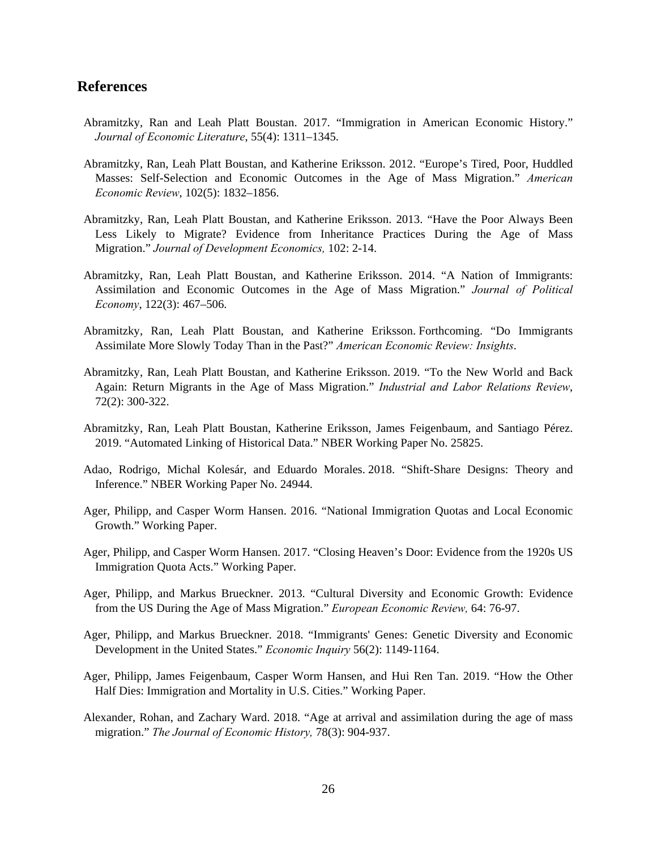# **References**

- Abramitzky, Ran and Leah Platt Boustan. 2017. "Immigration in American Economic History." *Journal of Economic Literature*, 55(4): 1311–1345.
- Abramitzky, Ran, Leah Platt Boustan, and Katherine Eriksson. 2012. "Europe's Tired, Poor, Huddled Masses: Self-Selection and Economic Outcomes in the Age of Mass Migration." *American Economic Review*, 102(5): 1832–1856.
- Abramitzky, Ran, Leah Platt Boustan, and Katherine Eriksson. 2013. "Have the Poor Always Been Less Likely to Migrate? Evidence from Inheritance Practices During the Age of Mass Migration." *Journal of Development Economics,* 102: 2-14.
- Abramitzky, Ran, Leah Platt Boustan, and Katherine Eriksson. 2014. "A Nation of Immigrants: Assimilation and Economic Outcomes in the Age of Mass Migration." *Journal of Political Economy*, 122(3): 467–506.
- Abramitzky, Ran, Leah Platt Boustan, and Katherine Eriksson. Forthcoming. "Do Immigrants Assimilate More Slowly Today Than in the Past?" *American Economic Review: Insights*.
- Abramitzky, Ran, Leah Platt Boustan, and Katherine Eriksson. 2019. "To the New World and Back Again: Return Migrants in the Age of Mass Migration." *Industrial and Labor Relations Review*, 72(2): 300-322.
- Abramitzky, Ran, Leah Platt Boustan, Katherine Eriksson, James Feigenbaum, and Santiago Pérez. 2019. "Automated Linking of Historical Data." NBER Working Paper No. 25825.
- Adao, Rodrigo, Michal Kolesár, and Eduardo Morales. 2018. "Shift-Share Designs: Theory and Inference." NBER Working Paper No. 24944.
- Ager, Philipp, and Casper Worm Hansen. 2016. "National Immigration Quotas and Local Economic Growth." Working Paper.
- Ager, Philipp, and Casper Worm Hansen. 2017. "Closing Heaven's Door: Evidence from the 1920s US Immigration Quota Acts." Working Paper.
- Ager, Philipp, and Markus Brueckner. 2013. "Cultural Diversity and Economic Growth: Evidence from the US During the Age of Mass Migration." *European Economic Review,* 64: 76-97.
- Ager, Philipp, and Markus Brueckner. 2018. "Immigrants' Genes: Genetic Diversity and Economic Development in the United States." *Economic Inquiry* 56(2): 1149-1164.
- Ager, Philipp, James Feigenbaum, Casper Worm Hansen, and Hui Ren Tan. 2019. "How the Other Half Dies: Immigration and Mortality in U.S. Cities." Working Paper.
- Alexander, Rohan, and Zachary Ward. 2018. "Age at arrival and assimilation during the age of mass migration." *The Journal of Economic History,* 78(3): 904-937.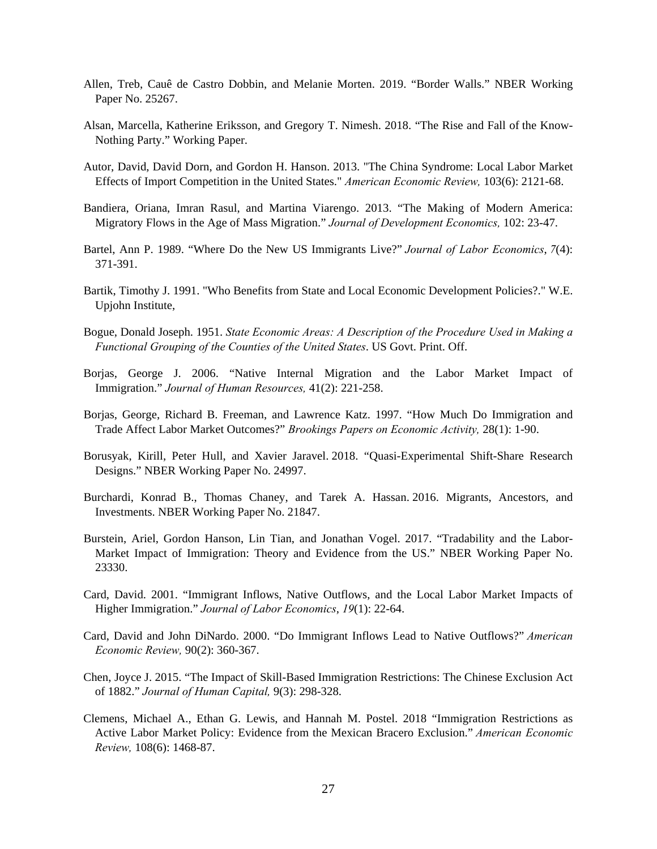- Allen, Treb, Cauê de Castro Dobbin, and Melanie Morten. 2019. "Border Walls." NBER Working Paper No. 25267.
- Alsan, Marcella, Katherine Eriksson, and Gregory T. Nimesh. 2018. "The Rise and Fall of the Know-Nothing Party." Working Paper.
- Autor, David, David Dorn, and Gordon H. Hanson. 2013. "The China Syndrome: Local Labor Market Effects of Import Competition in the United States." *American Economic Review,* 103(6): 2121-68.
- Bandiera, Oriana, Imran Rasul, and Martina Viarengo. 2013. "The Making of Modern America: Migratory Flows in the Age of Mass Migration." *Journal of Development Economics,* 102: 23-47.
- Bartel, Ann P. 1989. "Where Do the New US Immigrants Live?" *Journal of Labor Economics*, *7*(4): 371-391.
- Bartik, Timothy J. 1991. "Who Benefits from State and Local Economic Development Policies?." W.E. Upjohn Institute,
- Bogue, Donald Joseph. 1951. *State Economic Areas: A Description of the Procedure Used in Making a Functional Grouping of the Counties of the United States*. US Govt. Print. Off.
- Borjas, George J. 2006. "Native Internal Migration and the Labor Market Impact of Immigration." *Journal of Human Resources,* 41(2): 221-258.
- Borjas, George, Richard B. Freeman, and Lawrence Katz. 1997. "How Much Do Immigration and Trade Affect Labor Market Outcomes?" *Brookings Papers on Economic Activity,* 28(1): 1-90.
- Borusyak, Kirill, Peter Hull, and Xavier Jaravel. 2018. "Quasi-Experimental Shift-Share Research Designs." NBER Working Paper No. 24997.
- Burchardi, Konrad B., Thomas Chaney, and Tarek A. Hassan. 2016. Migrants, Ancestors, and Investments. NBER Working Paper No. 21847.
- Burstein, Ariel, Gordon Hanson, Lin Tian, and Jonathan Vogel. 2017. "Tradability and the Labor-Market Impact of Immigration: Theory and Evidence from the US." NBER Working Paper No. 23330.
- Card, David. 2001. "Immigrant Inflows, Native Outflows, and the Local Labor Market Impacts of Higher Immigration." *Journal of Labor Economics*, *19*(1): 22-64.
- Card, David and John DiNardo. 2000. "Do Immigrant Inflows Lead to Native Outflows?" *American Economic Review,* 90(2): 360-367.
- Chen, Joyce J. 2015. "The Impact of Skill-Based Immigration Restrictions: The Chinese Exclusion Act of 1882." *Journal of Human Capital,* 9(3): 298-328.
- Clemens, Michael A., Ethan G. Lewis, and Hannah M. Postel. 2018 "Immigration Restrictions as Active Labor Market Policy: Evidence from the Mexican Bracero Exclusion." *American Economic Review,* 108(6): 1468-87.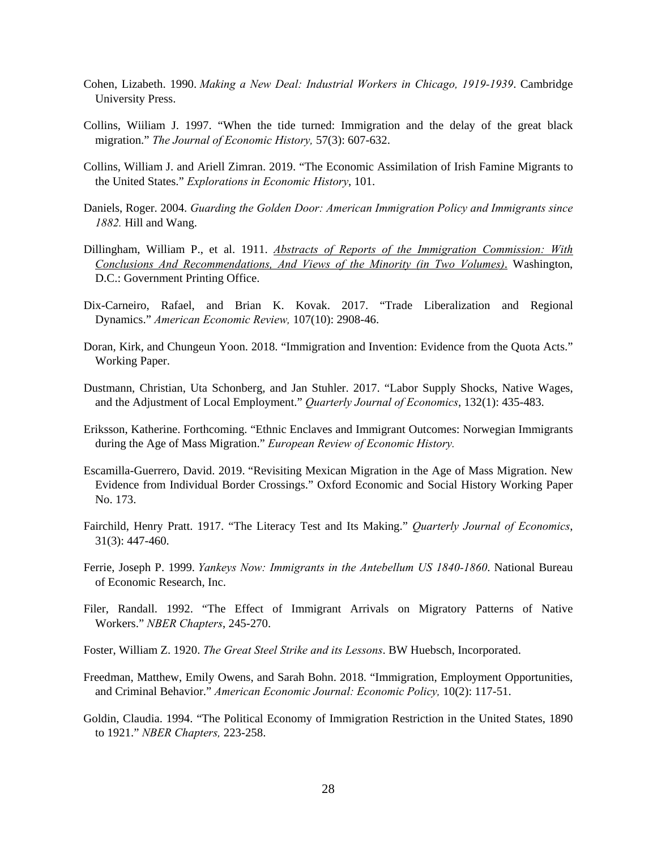- Cohen, Lizabeth. 1990. *Making a New Deal: Industrial Workers in Chicago, 1919-1939*. Cambridge University Press.
- Collins, Wiiliam J. 1997. "When the tide turned: Immigration and the delay of the great black migration." *The Journal of Economic History,* 57(3): 607-632.
- Collins, William J. and Ariell Zimran. 2019. "The Economic Assimilation of Irish Famine Migrants to the United States." *Explorations in Economic History*, 101.
- Daniels, Roger. 2004. *Guarding the Golden Door: American Immigration Policy and Immigrants since 1882.* Hill and Wang.
- Dillingham, William P., et al. 1911. *Abstracts of Reports of the Immigration Commission: With Conclusions And Recommendations, And Views of the Minority (in Two Volumes)*. Washington, D.C.: Government Printing Office.
- Dix-Carneiro, Rafael, and Brian K. Kovak. 2017. "Trade Liberalization and Regional Dynamics." *American Economic Review,* 107(10): 2908-46.
- Doran, Kirk, and Chungeun Yoon. 2018. "Immigration and Invention: Evidence from the Quota Acts." Working Paper.
- Dustmann, Christian, Uta Schonberg, and Jan Stuhler. 2017. "Labor Supply Shocks, Native Wages, and the Adjustment of Local Employment." *Quarterly Journal of Economics*, 132(1): 435-483.
- Eriksson, Katherine. Forthcoming. "Ethnic Enclaves and Immigrant Outcomes: Norwegian Immigrants during the Age of Mass Migration." *European Review of Economic History.*
- Escamilla-Guerrero, David. 2019. "Revisiting Mexican Migration in the Age of Mass Migration. New Evidence from Individual Border Crossings." Oxford Economic and Social History Working Paper No. 173.
- Fairchild, Henry Pratt. 1917. "The Literacy Test and Its Making." *Quarterly Journal of Economics*, 31(3): 447-460.
- Ferrie, Joseph P. 1999. *Yankeys Now: Immigrants in the Antebellum US 1840-1860*. National Bureau of Economic Research, Inc.
- Filer, Randall. 1992. "The Effect of Immigrant Arrivals on Migratory Patterns of Native Workers." *NBER Chapters*, 245-270.
- Foster, William Z. 1920. *The Great Steel Strike and its Lessons*. BW Huebsch, Incorporated.
- Freedman, Matthew, Emily Owens, and Sarah Bohn. 2018. "Immigration, Employment Opportunities, and Criminal Behavior." *American Economic Journal: Economic Policy,* 10(2): 117-51.
- Goldin, Claudia. 1994. "The Political Economy of Immigration Restriction in the United States, 1890 to 1921." *NBER Chapters,* 223-258.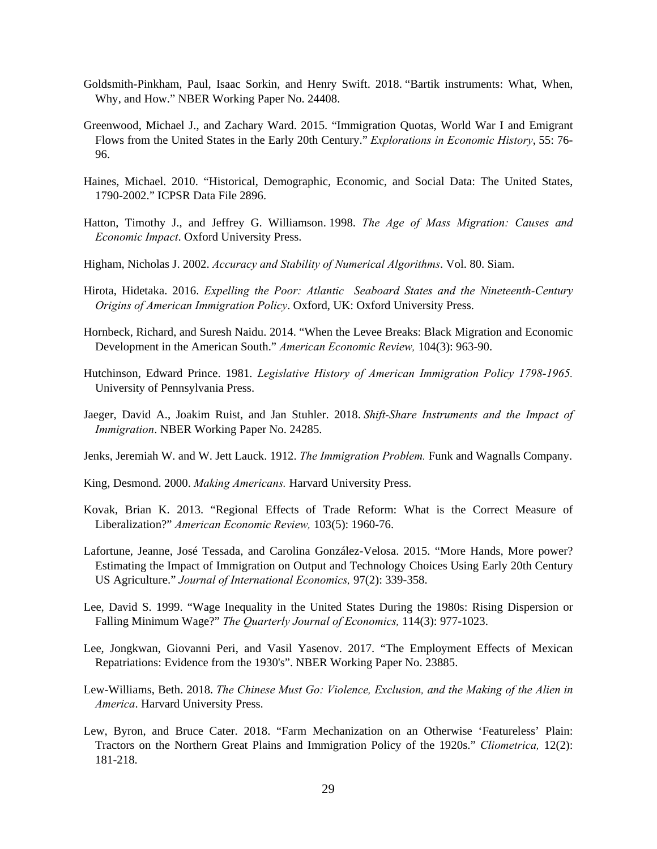- Goldsmith-Pinkham, Paul, Isaac Sorkin, and Henry Swift. 2018. "Bartik instruments: What, When, Why, and How." NBER Working Paper No. 24408.
- Greenwood, Michael J., and Zachary Ward. 2015. "Immigration Quotas, World War I and Emigrant Flows from the United States in the Early 20th Century." *Explorations in Economic History*, 55: 76- 96.
- Haines, Michael. 2010. "Historical, Demographic, Economic, and Social Data: The United States, 1790-2002." ICPSR Data File 2896.
- Hatton, Timothy J., and Jeffrey G. Williamson. 1998. *The Age of Mass Migration: Causes and Economic Impact*. Oxford University Press.
- Higham, Nicholas J. 2002. *Accuracy and Stability of Numerical Algorithms*. Vol. 80. Siam.
- Hirota, Hidetaka. 2016. *Expelling the Poor: Atlantic Seaboard States and the Nineteenth-Century Origins of American Immigration Policy*. Oxford, UK: Oxford University Press.
- Hornbeck, Richard, and Suresh Naidu. 2014. "When the Levee Breaks: Black Migration and Economic Development in the American South." *American Economic Review,* 104(3): 963-90.
- Hutchinson, Edward Prince. 1981. *Legislative History of American Immigration Policy 1798-1965.* University of Pennsylvania Press.
- Jaeger, David A., Joakim Ruist, and Jan Stuhler. 2018. *Shift-Share Instruments and the Impact of Immigration*. NBER Working Paper No. 24285.
- Jenks, Jeremiah W. and W. Jett Lauck. 1912. *The Immigration Problem.* Funk and Wagnalls Company.
- King, Desmond. 2000. *Making Americans.* Harvard University Press.
- Kovak, Brian K. 2013. "Regional Effects of Trade Reform: What is the Correct Measure of Liberalization?" *American Economic Review,* 103(5): 1960-76.
- Lafortune, Jeanne, José Tessada, and Carolina González-Velosa. 2015. "More Hands, More power? Estimating the Impact of Immigration on Output and Technology Choices Using Early 20th Century US Agriculture." *Journal of International Economics,* 97(2): 339-358.
- Lee, David S. 1999. "Wage Inequality in the United States During the 1980s: Rising Dispersion or Falling Minimum Wage?" *The Quarterly Journal of Economics,* 114(3): 977-1023.
- Lee, Jongkwan, Giovanni Peri, and Vasil Yasenov. 2017. "The Employment Effects of Mexican Repatriations: Evidence from the 1930's". NBER Working Paper No. 23885.
- Lew-Williams, Beth. 2018. *The Chinese Must Go: Violence, Exclusion, and the Making of the Alien in America*. Harvard University Press.
- Lew, Byron, and Bruce Cater. 2018. "Farm Mechanization on an Otherwise 'Featureless' Plain: Tractors on the Northern Great Plains and Immigration Policy of the 1920s." *Cliometrica,* 12(2): 181-218.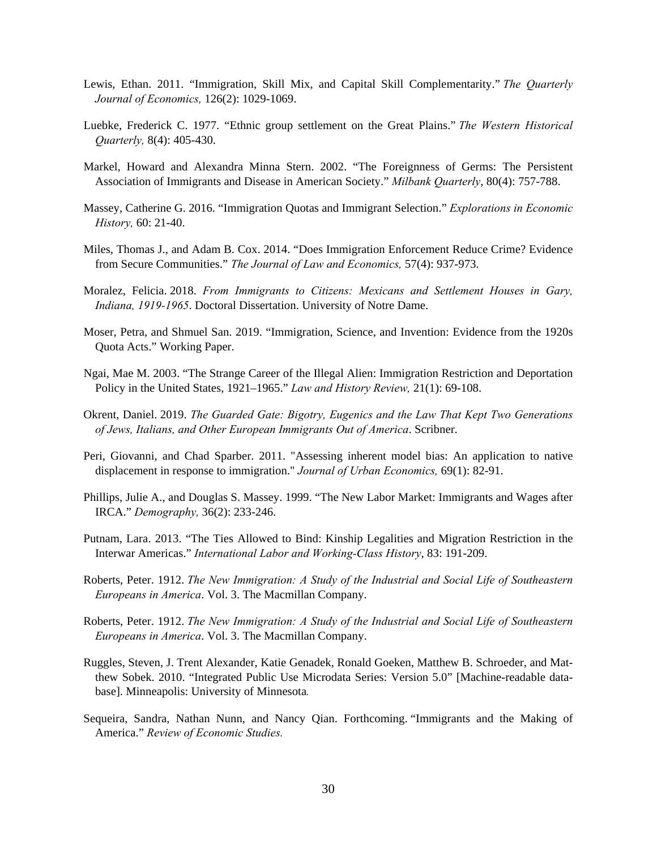- Lewis, Ethan. 2011. "Immigration, Skill Mix, and Capital Skill Complementarity." *The Quarterly Journal of Economics,* 126(2): 1029-1069.
- Luebke, Frederick C. 1977. "Ethnic group settlement on the Great Plains." *The Western Historical Quarterly,* 8(4): 405-430.
- Markel, Howard and Alexandra Minna Stern. 2002. "The Foreignness of Germs: The Persistent Association of Immigrants and Disease in American Society." *Milbank Quarterly*, 80(4): 757-788.
- Massey, Catherine G. 2016. "Immigration Quotas and Immigrant Selection." *Explorations in Economic History,* 60: 21-40.
- Miles, Thomas J., and Adam B. Cox. 2014. "Does Immigration Enforcement Reduce Crime? Evidence from Secure Communities." *The Journal of Law and Economics,* 57(4): 937-973.
- Moralez, Felicia. 2018. *From Immigrants to Citizens: Mexicans and Settlement Houses in Gary, Indiana, 1919-1965*. Doctoral Dissertation. University of Notre Dame.
- Moser, Petra, and Shmuel San. 2019. "Immigration, Science, and Invention: Evidence from the 1920s Quota Acts." Working Paper.
- Ngai, Mae M. 2003. "The Strange Career of the Illegal Alien: Immigration Restriction and Deportation Policy in the United States, 1921–1965." *Law and History Review,* 21(1): 69-108.
- Okrent, Daniel. 2019. *The Guarded Gate: Bigotry, Eugenics and the Law That Kept Two Generations of Jews, Italians, and Other European Immigrants Out of America*. Scribner.
- Peri, Giovanni, and Chad Sparber. 2011. "Assessing inherent model bias: An application to native displacement in response to immigration." *Journal of Urban Economics,* 69(1): 82-91.
- Phillips, Julie A., and Douglas S. Massey. 1999. "The New Labor Market: Immigrants and Wages after IRCA." *Demography,* 36(2): 233-246.
- Putnam, Lara. 2013. "The Ties Allowed to Bind: Kinship Legalities and Migration Restriction in the Interwar Americas." *International Labor and Working-Class History*, 83: 191-209.
- Roberts, Peter. 1912. *The New Immigration: A Study of the Industrial and Social Life of Southeastern Europeans in America*. Vol. 3. The Macmillan Company.
- Roberts, Peter. 1912. *The New Immigration: A Study of the Industrial and Social Life of Southeastern Europeans in America*. Vol. 3. The Macmillan Company.
- Ruggles, Steven, J. Trent Alexander, Katie Genadek, Ronald Goeken, Matthew B. Schroeder, and Matthew Sobek. 2010. "Integrated Public Use Microdata Series: Version 5.0" [Machine-readable database]. Minneapolis: University of Minnesota*.*
- Sequeira, Sandra, Nathan Nunn, and Nancy Qian. Forthcoming. "Immigrants and the Making of America." *Review of Economic Studies.*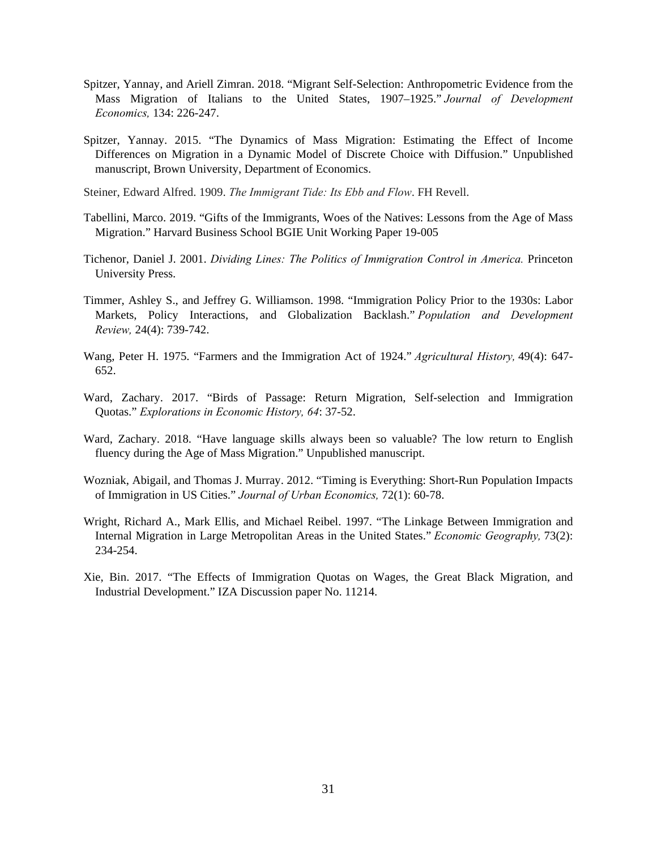- Spitzer, Yannay, and Ariell Zimran. 2018. "Migrant Self-Selection: Anthropometric Evidence from the Mass Migration of Italians to the United States, 1907–1925." *Journal of Development Economics,* 134: 226-247.
- Spitzer, Yannay. 2015. "The Dynamics of Mass Migration: Estimating the Effect of Income Differences on Migration in a Dynamic Model of Discrete Choice with Diffusion." Unpublished manuscript, Brown University, Department of Economics.

Steiner, Edward Alfred. 1909. *The Immigrant Tide: Its Ebb and Flow*. FH Revell.

- Tabellini, Marco. 2019. "Gifts of the Immigrants, Woes of the Natives: Lessons from the Age of Mass Migration." Harvard Business School BGIE Unit Working Paper 19-005
- Tichenor, Daniel J. 2001. *Dividing Lines: The Politics of Immigration Control in America.* Princeton University Press.
- Timmer, Ashley S., and Jeffrey G. Williamson. 1998. "Immigration Policy Prior to the 1930s: Labor Markets, Policy Interactions, and Globalization Backlash." *Population and Development Review,* 24(4): 739-742.
- Wang, Peter H. 1975. "Farmers and the Immigration Act of 1924." *Agricultural History,* 49(4): 647- 652.
- Ward, Zachary. 2017. "Birds of Passage: Return Migration, Self-selection and Immigration Quotas." *Explorations in Economic History, 64*: 37-52.
- Ward, Zachary. 2018. "Have language skills always been so valuable? The low return to English fluency during the Age of Mass Migration." Unpublished manuscript.
- Wozniak, Abigail, and Thomas J. Murray. 2012. "Timing is Everything: Short-Run Population Impacts of Immigration in US Cities." *Journal of Urban Economics,* 72(1): 60-78.
- Wright, Richard A., Mark Ellis, and Michael Reibel. 1997. "The Linkage Between Immigration and Internal Migration in Large Metropolitan Areas in the United States." *Economic Geography,* 73(2): 234-254.
- Xie, Bin. 2017. "The Effects of Immigration Quotas on Wages, the Great Black Migration, and Industrial Development." IZA Discussion paper No. 11214.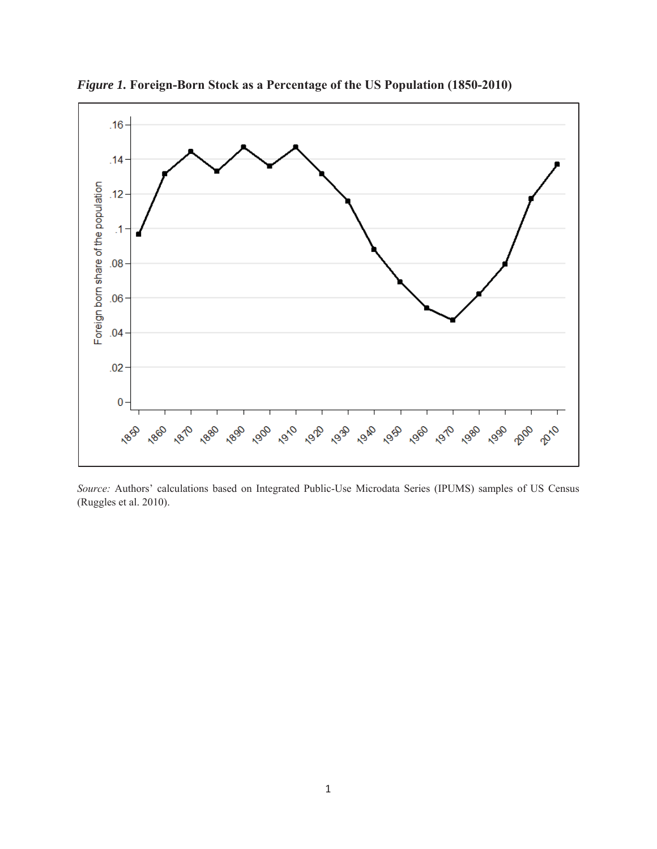

*Figure 1.* **Foreign-Born Stock as a Percentage of the US Population (1850-2010)**

*Source:* Authors' calculations based on Integrated Public-Use Microdata Series (IPUMS) samples of US Census (Ruggles et al. 2010).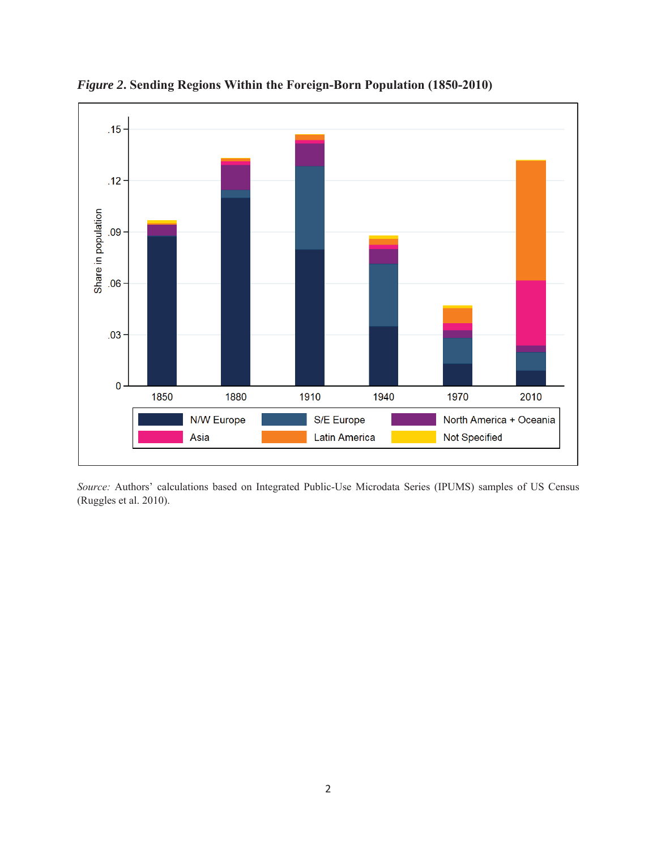

*Figure 2***. Sending Regions Within the Foreign-Born Population (1850-2010)**

*Source:* Authors' calculations based on Integrated Public-Use Microdata Series (IPUMS) samples of US Census (Ruggles et al. 2010).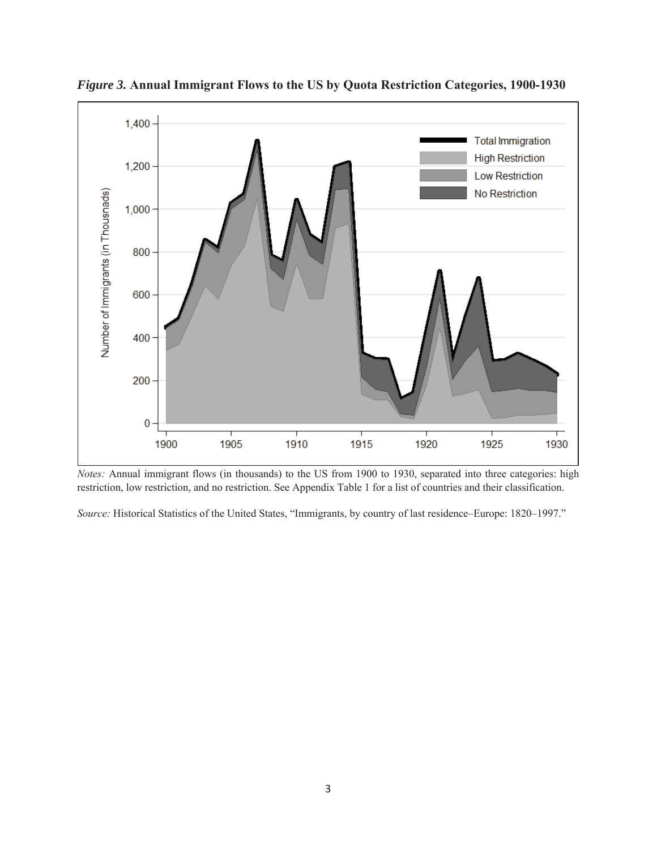

*Figure 3.* **Annual Immigrant Flows to the US by Quota Restriction Categories, 1900-1930**

*Notes:* Annual immigrant flows (in thousands) to the US from 1900 to 1930, separated into three categories: high restriction, low restriction, and no restriction. See Appendix Table 1 for a list of countries and their classification.

*Source:* Historical Statistics of the United States, "Immigrants, by country of last residence–Europe: 1820–1997."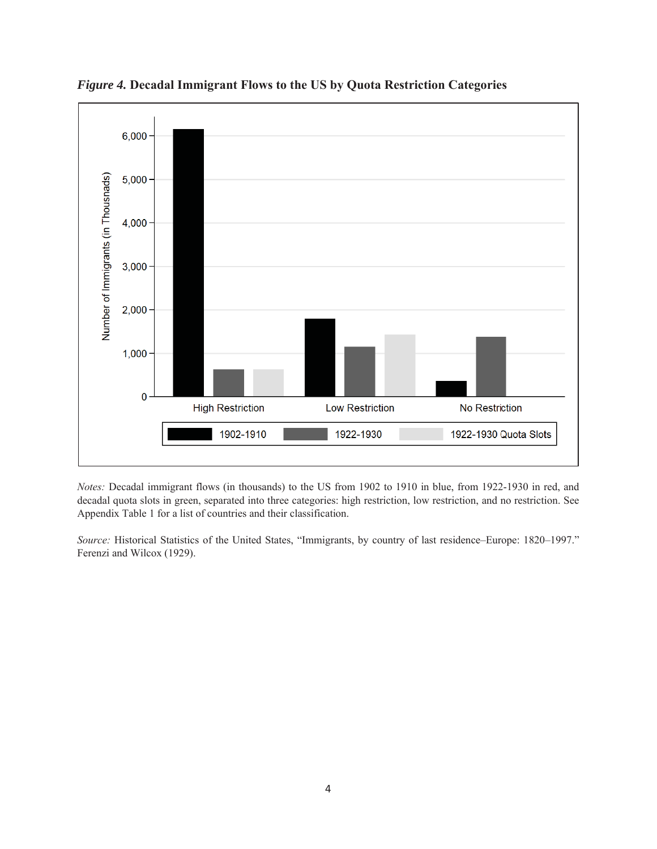

*Figure 4.* **Decadal Immigrant Flows to the US by Quota Restriction Categories**

*Notes:* Decadal immigrant flows (in thousands) to the US from 1902 to 1910 in blue, from 1922-1930 in red, and decadal quota slots in green, separated into three categories: high restriction, low restriction, and no restriction. See Appendix Table 1 for a list of countries and their classification.

*Source:* Historical Statistics of the United States, "Immigrants, by country of last residence–Europe: 1820–1997." Ferenzi and Wilcox (1929).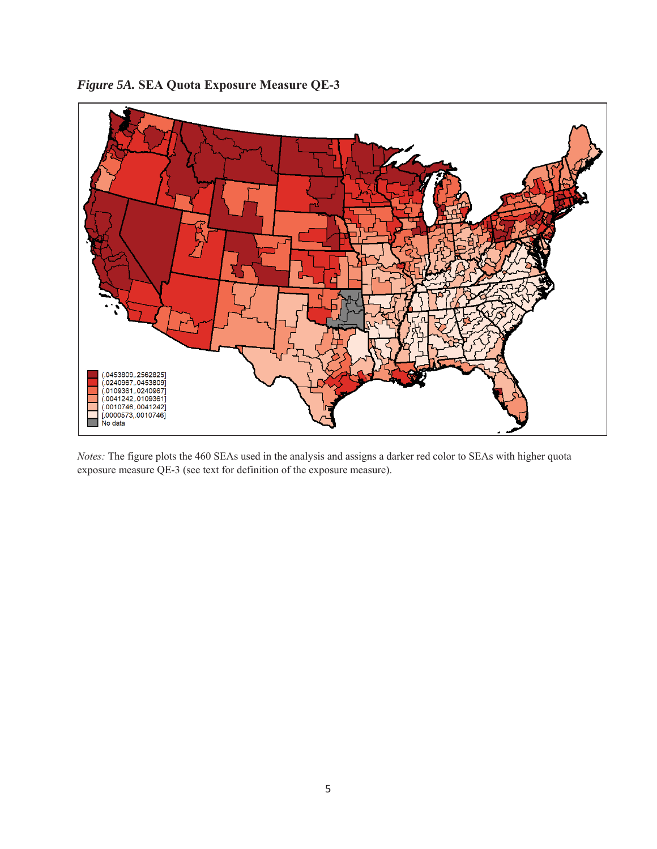

*Figure 5A.* **SEA Quota Exposure Measure QE-3**

*Notes:* The figure plots the 460 SEAs used in the analysis and assigns a darker red color to SEAs with higher quota exposure measure QE-3 (see text for definition of the exposure measure).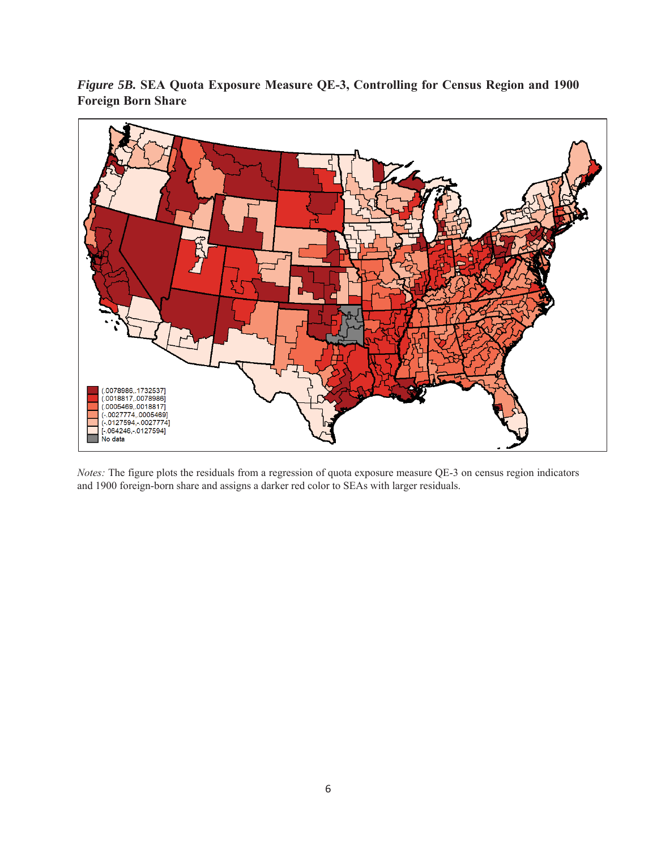*Figure 5B.* **SEA Quota Exposure Measure QE-3, Controlling for Census Region and 1900 Foreign Born Share**



*Notes:* The figure plots the residuals from a regression of quota exposure measure QE-3 on census region indicators and 1900 foreign-born share and assigns a darker red color to SEAs with larger residuals.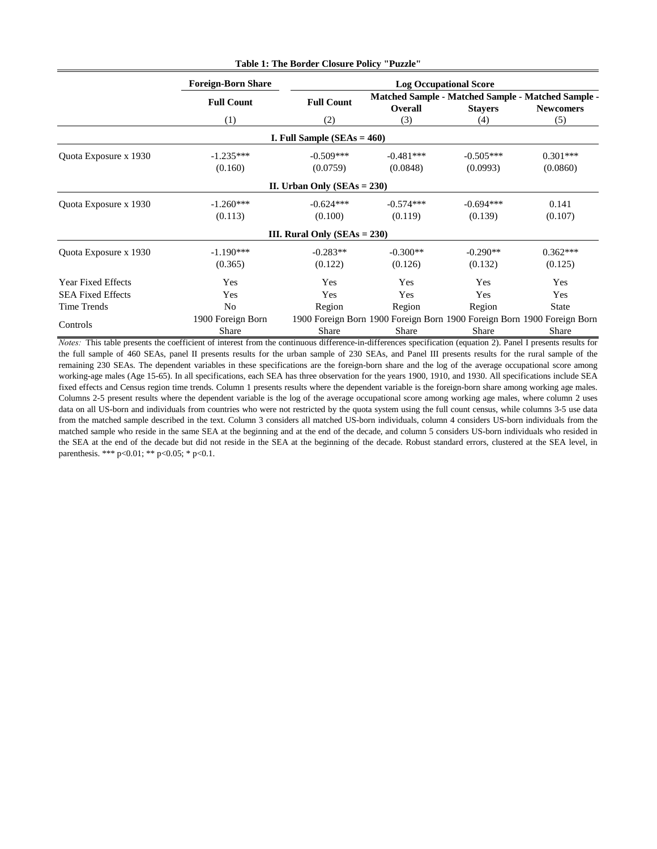|                           |                           | <b>Table 1: The Border Closure Policy "Puzzle"</b> |                                                                         |                |                                                                               |  |
|---------------------------|---------------------------|----------------------------------------------------|-------------------------------------------------------------------------|----------------|-------------------------------------------------------------------------------|--|
|                           | <b>Foreign-Born Share</b> |                                                    | <b>Log Occupational Score</b>                                           |                |                                                                               |  |
|                           | <b>Full Count</b>         | <b>Full Count</b>                                  | <b>Overall</b>                                                          | <b>Stayers</b> | <b>Matched Sample - Matched Sample - Matched Sample -</b><br><b>Newcomers</b> |  |
|                           | (1)                       | (2)                                                | (3)                                                                     | (4)            | (5)                                                                           |  |
|                           |                           | <b>I. Full Sample (SEAs = 460)</b>                 |                                                                         |                |                                                                               |  |
| Quota Exposure x 1930     | $-1.235***$               | $-0.509***$                                        | $-0.481***$                                                             | $-0.505***$    | $0.301***$                                                                    |  |
|                           | (0.160)                   | (0.0759)                                           | (0.0848)                                                                | (0.0993)       | (0.0860)                                                                      |  |
|                           |                           | II. Urban Only $(SEAs = 230)$                      |                                                                         |                |                                                                               |  |
| Quota Exposure x 1930     | $-1.260***$               | $-0.624***$                                        | $-0.574***$                                                             | $-0.694***$    | 0.141                                                                         |  |
|                           | (0.113)                   | (0.100)                                            | (0.119)                                                                 | (0.139)        | (0.107)                                                                       |  |
|                           |                           | III. Rural Only $(SEAs = 230)$                     |                                                                         |                |                                                                               |  |
| Quota Exposure x 1930     | $-1.190***$               | $-0.283**$                                         | $-0.300**$                                                              | $-0.290**$     | $0.362***$                                                                    |  |
|                           | (0.365)                   | (0.122)                                            | (0.126)                                                                 | (0.132)        | (0.125)                                                                       |  |
| <b>Year Fixed Effects</b> | Yes                       | Yes                                                | Yes                                                                     | Yes            | Yes                                                                           |  |
| <b>SEA Fixed Effects</b>  | Yes                       | Yes                                                | Yes                                                                     | Yes            | Yes                                                                           |  |
| <b>Time Trends</b>        | N <sub>o</sub>            | Region                                             | Region                                                                  | Region         | <b>State</b>                                                                  |  |
|                           | 1900 Foreign Born         |                                                    | 1900 Foreign Born 1900 Foreign Born 1900 Foreign Born 1900 Foreign Born |                |                                                                               |  |
| Controls                  | Share                     | Share                                              | Share                                                                   | Share          | Share                                                                         |  |

*Notes:* This table presents the coefficient of interest from the continuous difference-in-differences specification (equation 2). Panel I presents results for the full sample of 460 SEAs, panel II presents results for the urban sample of 230 SEAs, and Panel III presents results for the rural sample of the remaining 230 SEAs. The dependent variables in these specifications are the foreign-born share and the log of the average occupational score among working-age males (Age 15-65). In all specifications, each SEA has three observation for the years 1900, 1910, and 1930. All specifications include SEA fixed effects and Census region time trends. Column 1 presents results where the dependent variable is the foreign-born share among working age males. Columns 2-5 present results where the dependent variable is the log of the average occupational score among working age males, where column 2 uses data on all US-born and individuals from countries who were not restricted by the quota system using the full count census, while columns 3-5 use data from the matched sample described in the text. Column 3 considers all matched US-born individuals, column 4 considers US-born individuals from the matched sample who reside in the same SEA at the beginning and at the end of the decade, and column 5 considers US-born individuals who resided in the SEA at the end of the decade but did not reside in the SEA at the beginning of the decade. Robust standard errors, clustered at the SEA level, in parenthesis. \*\*\* p<0.01; \*\* p<0.05; \* p<0.1.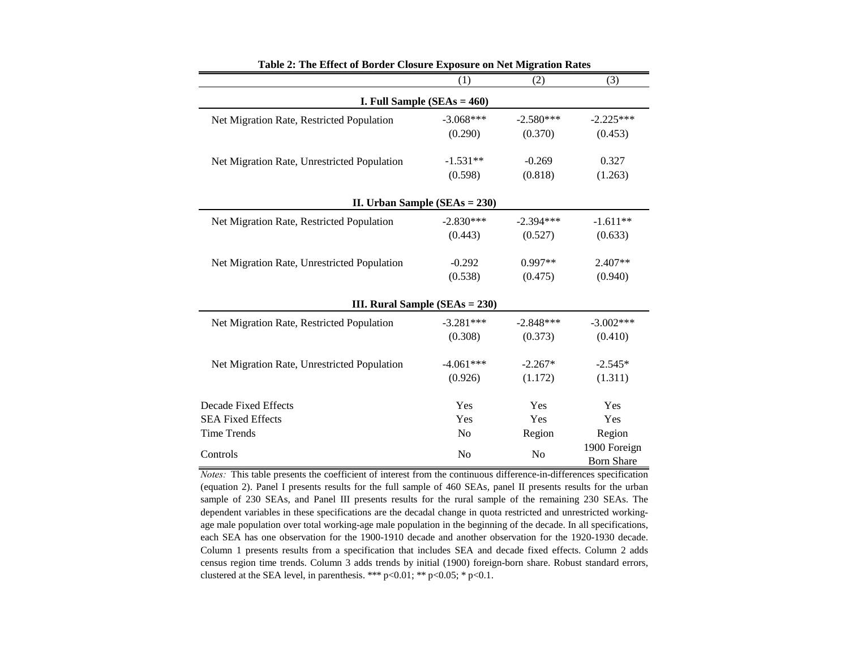|                                             | (1)            | (2)            | (3)                               |
|---------------------------------------------|----------------|----------------|-----------------------------------|
| I. Full Sample $(SEAs = 460)$               |                |                |                                   |
| Net Migration Rate, Restricted Population   | $-3.068***$    | $-2.580***$    | $-2.225***$                       |
|                                             | (0.290)        | (0.370)        | (0.453)                           |
| Net Migration Rate, Unrestricted Population | $-1.531**$     | $-0.269$       | 0.327                             |
|                                             | (0.598)        | (0.818)        | (1.263)                           |
| II. Urban Sample ( $SEAs = 230$ )           |                |                |                                   |
| Net Migration Rate, Restricted Population   | $-2.830***$    | $-2.394***$    | $-1.611**$                        |
|                                             | (0.443)        | (0.527)        | (0.633)                           |
| Net Migration Rate, Unrestricted Population | $-0.292$       | $0.997**$      | $2.407**$                         |
|                                             | (0.538)        | (0.475)        | (0.940)                           |
| <b>III. Rural Sample (SEAs = 230)</b>       |                |                |                                   |
| Net Migration Rate, Restricted Population   | $-3.281***$    | $-2.848***$    | $-3.002***$                       |
|                                             | (0.308)        | (0.373)        | (0.410)                           |
| Net Migration Rate, Unrestricted Population | $-4.061***$    | $-2.267*$      | $-2.545*$                         |
|                                             | (0.926)        | (1.172)        | (1.311)                           |
| Decade Fixed Effects                        | Yes            | Yes            | Yes                               |
| <b>SEA Fixed Effects</b>                    | Yes            | Yes            | Yes                               |
| <b>Time Trends</b>                          | N <sub>o</sub> | Region         | Region                            |
| Controls                                    | N <sub>o</sub> | N <sub>o</sub> | 1900 Foreign<br><b>Born Share</b> |

**Table 2: The Effect of Border Closure Exposure on Net Migration Rates**

*Notes:* This table presents the coefficient of interest from the continuous difference-in-differences specification (equation 2). Panel I presents results for the full sample of 460 SEAs, panel II presents results for the urban sample of 230 SEAs, and Panel III presents results for the rural sample of the remaining 230 SEAs. The dependent variables in these specifications are the decadal change in quota restricted and unrestricted workingage male population over total working-age male population in the beginning of the decade. In all specifications, each SEA has one observation for the 1900-1910 decade and another observation for the 1920-1930 decade. Column 1 presents results from a specification that includes SEA and decade fixed effects. Column 2 adds census region time trends. Column 3 adds trends by initial (1900) foreign-born share. Robust standard errors, clustered at the SEA level, in parenthesis. \*\*\*  $p<0.01$ ; \*\*  $p<0.05$ ; \*  $p<0.1$ .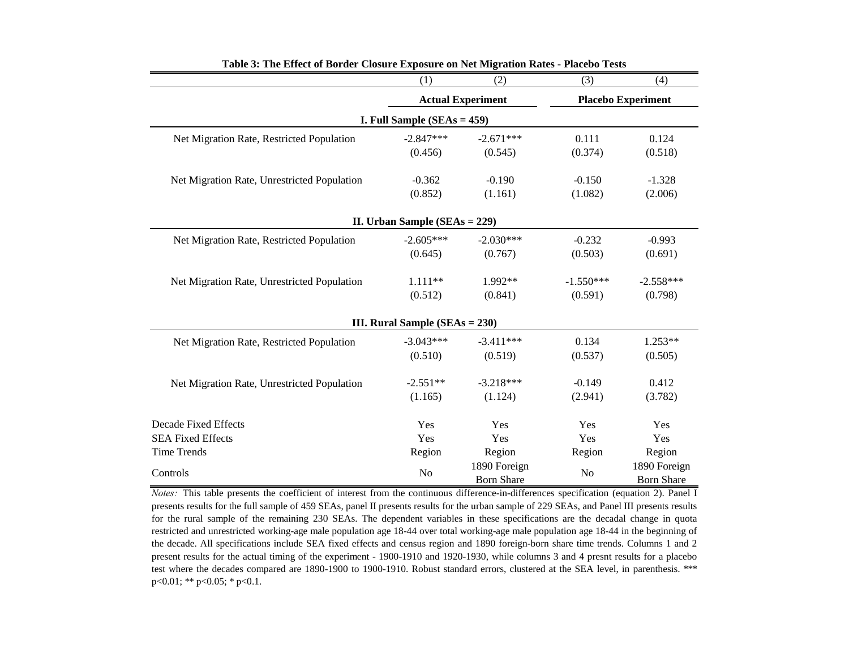|                                             | (1)                                | (2)                               | (3)         | (4)                               |
|---------------------------------------------|------------------------------------|-----------------------------------|-------------|-----------------------------------|
|                                             | <b>Actual Experiment</b>           |                                   |             | <b>Placebo Experiment</b>         |
|                                             | I. Full Sample $(SEAs = 459)$      |                                   |             |                                   |
| Net Migration Rate, Restricted Population   | $-2.847***$                        | $-2.671***$                       | 0.111       | 0.124                             |
|                                             | (0.456)                            | (0.545)                           | (0.374)     | (0.518)                           |
| Net Migration Rate, Unrestricted Population | $-0.362$                           | $-0.190$                          | $-0.150$    | $-1.328$                          |
|                                             | (0.852)                            | (1.161)                           | (1.082)     | (2.006)                           |
|                                             | II. Urban Sample ( $SEAs = 229$ )  |                                   |             |                                   |
| Net Migration Rate, Restricted Population   | $-2.605***$                        | $-2.030***$                       | $-0.232$    | $-0.993$                          |
|                                             | (0.645)                            | (0.767)                           | (0.503)     | (0.691)                           |
| Net Migration Rate, Unrestricted Population | $1.111**$                          | $1.992**$                         | $-1.550***$ | $-2.558***$                       |
|                                             | (0.512)                            | (0.841)                           | (0.591)     | (0.798)                           |
|                                             | III. Rural Sample ( $SEAs = 230$ ) |                                   |             |                                   |
| Net Migration Rate, Restricted Population   | $-3.043***$                        | $-3.411***$                       | 0.134       | $1.253**$                         |
|                                             | (0.510)                            | (0.519)                           | (0.537)     | (0.505)                           |
| Net Migration Rate, Unrestricted Population | $-2.551**$                         | $-3.218***$                       | $-0.149$    | 0.412                             |
|                                             | (1.165)                            | (1.124)                           | (2.941)     | (3.782)                           |
| <b>Decade Fixed Effects</b>                 | Yes                                | Yes                               | Yes         | Yes                               |
| <b>SEA Fixed Effects</b>                    | Yes                                | Yes                               | Yes         | Yes                               |
| <b>Time Trends</b>                          | Region                             | Region                            | Region      | Region                            |
| Controls                                    | N <sub>o</sub>                     | 1890 Foreign<br><b>Born Share</b> | No          | 1890 Foreign<br><b>Born Share</b> |

**Table 3: The Effect of Border Closure Exposure on Net Migration Rates - Placebo Tests**

*Notes*: This table presents the coefficient of interest from the continuous difference-in-differences specification (equation 2). Panel I presents results for the full sample of 459 SEAs, panel II presents results for the urban sample of 229 SEAs, and Panel III presents results for the rural sample of the remaining 230 SEAs. The dependent variables in these specifications are the decadal change in quota restricted and unrestricted working-age male population age 18-44 over total working-age male population age 18-44 in the beginning of the decade. All specifications include SEA fixed effects and census region and 1890 foreign-born share time trends. Columns 1 and 2 present results for the actual timing of the experiment - 1900-1910 and 1920-1930, while columns 3 and 4 presnt results for a placebo test where the decades compared are 1890-1900 to 1900-1910. Robust standard errors, clustered at the SEA level, in parenthesis. \*\*\*  $p<0.01$ ; \*\*  $p<0.05$ ; \*  $p<0.1$ .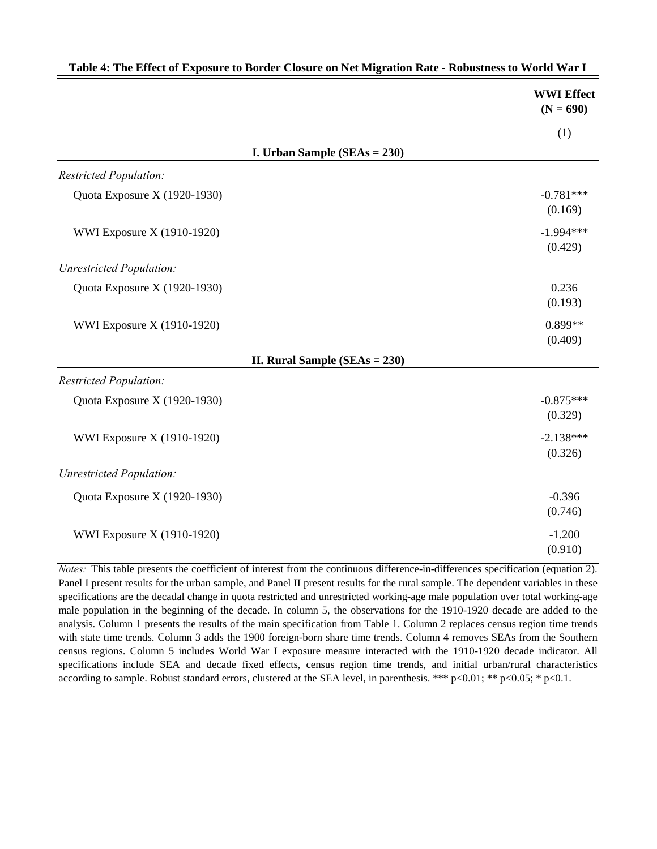|                                   | <b>WWI Effect</b><br>$(N = 690)$ |
|-----------------------------------|----------------------------------|
|                                   | (1)                              |
| I. Urban Sample $(SEAs = 230)$    |                                  |
| <b>Restricted Population:</b>     |                                  |
| Quota Exposure X (1920-1930)      | $-0.781***$<br>(0.169)           |
| WWI Exposure X (1910-1920)        | $-1.994***$<br>(0.429)           |
| <b>Unrestricted Population:</b>   |                                  |
| Quota Exposure X (1920-1930)      | 0.236<br>(0.193)                 |
| WWI Exposure X (1910-1920)        | $0.899**$<br>(0.409)             |
| II. Rural Sample ( $SEAs = 230$ ) |                                  |
| <b>Restricted Population:</b>     |                                  |
| Quota Exposure X (1920-1930)      | $-0.875***$<br>(0.329)           |
| WWI Exposure X (1910-1920)        | $-2.138***$<br>(0.326)           |
| <b>Unrestricted Population:</b>   |                                  |
| Quota Exposure X (1920-1930)      | $-0.396$<br>(0.746)              |
| WWI Exposure X (1910-1920)        | $-1.200$<br>(0.910)              |

|  | Table 4: The Effect of Exposure to Border Closure on Net Migration Rate - Robustness to World War 1 |  |
|--|-----------------------------------------------------------------------------------------------------|--|
|  |                                                                                                     |  |

*Notes:* This table presents the coefficient of interest from the continuous difference-in-differences specification (equation 2). Panel I present results for the urban sample, and Panel II present results for the rural sample. The dependent variables in these specifications are the decadal change in quota restricted and unrestricted working-age male population over total working-age male population in the beginning of the decade. In column 5, the observations for the 1910-1920 decade are added to the analysis. Column 1 presents the results of the main specification from Table 1. Column 2 replaces census region time trends with state time trends. Column 3 adds the 1900 foreign-born share time trends. Column 4 removes SEAs from the Southern census regions. Column 5 includes World War I exposure measure interacted with the 1910-1920 decade indicator. All specifications include SEA and decade fixed effects, census region time trends, and initial urban/rural characteristics according to sample. Robust standard errors, clustered at the SEA level, in parenthesis. \*\*\* p<0.01; \*\* p<0.05; \* p<0.1.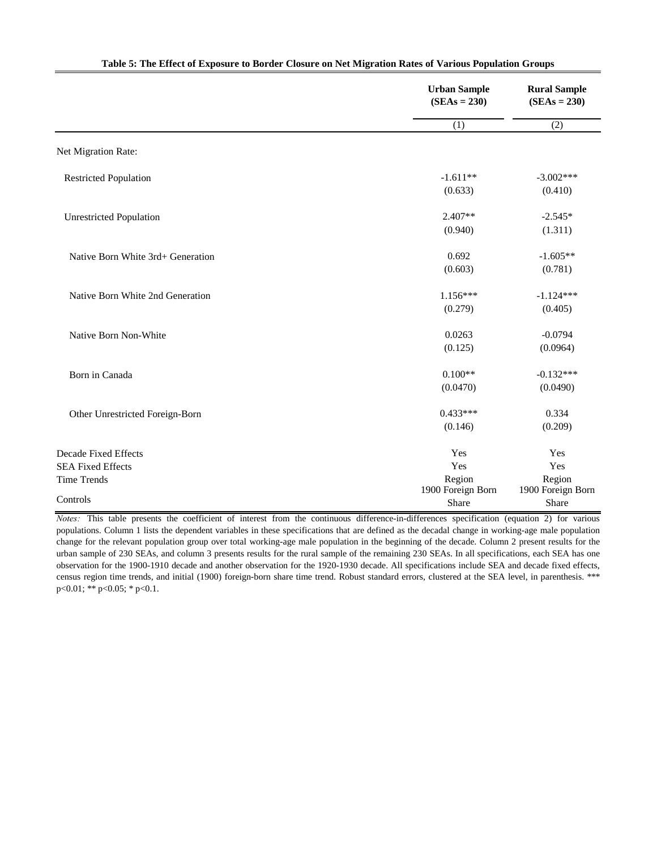|                                                                               | <b>Urban Sample</b><br>$(SEAs = 230)$     | <b>Rural Sample</b><br>$(SEAs = 230)$     |  |
|-------------------------------------------------------------------------------|-------------------------------------------|-------------------------------------------|--|
|                                                                               | (1)                                       | (2)                                       |  |
| Net Migration Rate:                                                           |                                           |                                           |  |
| <b>Restricted Population</b>                                                  | $-1.611**$<br>(0.633)                     | $-3.002***$<br>(0.410)                    |  |
| <b>Unrestricted Population</b>                                                | $2.407**$<br>(0.940)                      | $-2.545*$<br>(1.311)                      |  |
| Native Born White 3rd+ Generation                                             | 0.692<br>(0.603)                          | $-1.605**$<br>(0.781)                     |  |
| Native Born White 2nd Generation                                              | $1.156***$<br>(0.279)                     | $-1.124***$<br>(0.405)                    |  |
| Native Born Non-White                                                         | 0.0263<br>(0.125)                         | $-0.0794$<br>(0.0964)                     |  |
| Born in Canada                                                                | $0.100**$<br>(0.0470)                     | $-0.132***$<br>(0.0490)                   |  |
| Other Unrestricted Foreign-Born                                               | $0.433***$<br>(0.146)                     | 0.334<br>(0.209)                          |  |
| <b>Decade Fixed Effects</b><br><b>SEA Fixed Effects</b><br><b>Time Trends</b> | Yes<br>Yes<br>Region<br>1900 Foreign Born | Yes<br>Yes<br>Region<br>1900 Foreign Born |  |
| Controls                                                                      | Share                                     | Share                                     |  |

### **Table 5: The Effect of Exposure to Border Closure on Net Migration Rates of Various Population Groups**

*Notes:* This table presents the coefficient of interest from the continuous difference-in-differences specification (equation 2) for various populations. Column 1 lists the dependent variables in these specifications that are defined as the decadal change in working-age male population change for the relevant population group over total working-age male population in the beginning of the decade. Column 2 present results for the urban sample of 230 SEAs, and column 3 presents results for the rural sample of the remaining 230 SEAs. In all specifications, each SEA has one observation for the 1900-1910 decade and another observation for the 1920-1930 decade. All specifications include SEA and decade fixed effects, census region time trends, and initial (1900) foreign-born share time trend. Robust standard errors, clustered at the SEA level, in parenthesis. \*\*\* p<0.01; \*\* p<0.05; \* p<0.1.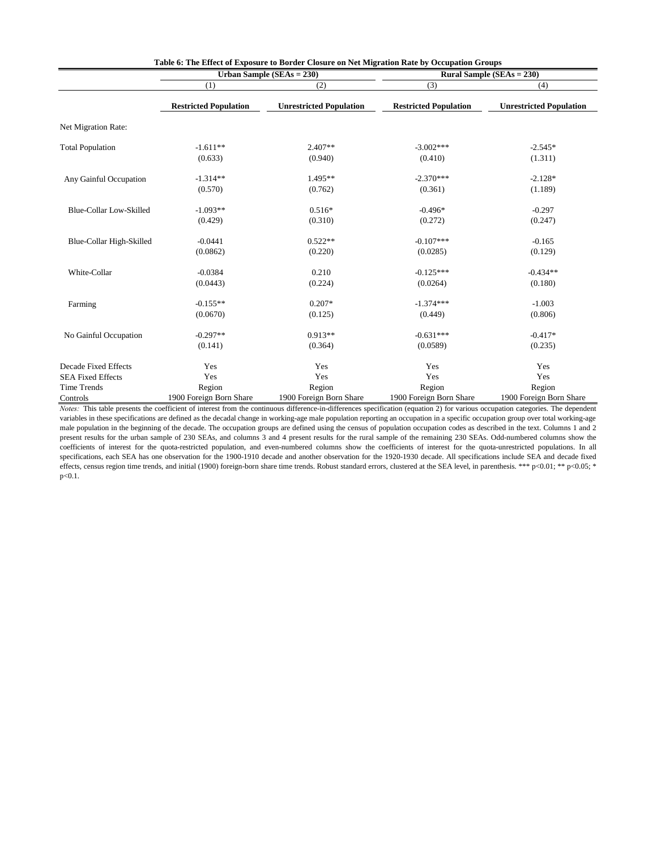|                                |                              | Urban Sample $(SEAs = 230)$    | <b>Rural Sample (SEAs = 230)</b> |                                |  |
|--------------------------------|------------------------------|--------------------------------|----------------------------------|--------------------------------|--|
|                                | (1)                          | (2)                            | (3)                              | (4)                            |  |
|                                | <b>Restricted Population</b> | <b>Unrestricted Population</b> | <b>Restricted Population</b>     | <b>Unrestricted Population</b> |  |
| Net Migration Rate:            |                              |                                |                                  |                                |  |
| <b>Total Population</b>        | $-1.611**$                   | $2.407**$                      | $-3.002***$                      | $-2.545*$                      |  |
|                                | (0.633)                      | (0.940)                        | (0.410)                          | (1.311)                        |  |
| Any Gainful Occupation         | $-1.314**$                   | $1.495**$                      | $-2.370***$                      | $-2.128*$                      |  |
|                                | (0.570)                      | (0.762)                        | (0.361)                          | (1.189)                        |  |
| <b>Blue-Collar Low-Skilled</b> | $-1.093**$                   | $0.516*$                       | $-0.496*$                        | $-0.297$                       |  |
|                                | (0.429)                      | (0.310)                        | (0.272)                          | (0.247)                        |  |
| Blue-Collar High-Skilled       | $-0.0441$                    | $0.522**$                      | $-0.107***$                      | $-0.165$                       |  |
|                                | (0.0862)                     | (0.220)                        | (0.0285)                         | (0.129)                        |  |
| White-Collar                   | $-0.0384$                    | 0.210                          | $-0.125***$                      | $-0.434**$                     |  |
|                                | (0.0443)                     | (0.224)                        | (0.0264)                         | (0.180)                        |  |
| Farming                        | $-0.155**$                   | $0.207*$                       | $-1.374***$                      | $-1.003$                       |  |
|                                | (0.0670)                     | (0.125)                        | (0.449)                          | (0.806)                        |  |
| No Gainful Occupation          | $-0.297**$                   | $0.913**$                      | $-0.631***$                      | $-0.417*$                      |  |
|                                | (0.141)                      | (0.364)                        | (0.0589)                         | (0.235)                        |  |
| <b>Decade Fixed Effects</b>    | Yes                          | Yes                            | Yes                              | Yes                            |  |
| <b>SEA Fixed Effects</b>       | Yes                          | Yes                            | Yes                              | Yes                            |  |
| Time Trends                    | Region                       | Region                         | Region                           | Region                         |  |
| Controls                       | 1900 Foreign Born Share      | 1900 Foreign Born Share        | 1900 Foreign Born Share          | 1900 Foreign Born Share        |  |

*Notes:* This table presents the coefficient of interest from the continuous difference-in-differences specification (equation 2) for various occupation categories. The dependent variables in these specifications are defined as the decadal change in working-age male population reporting an occupation in a specific occupation group over total working-age male population in the beginning of the decade. The occupation groups are defined using the census of population occupation codes as described in the text. Columns 1 and 2 present results for the urban sample of 230 SEAs, and columns 3 and 4 present results for the rural sample of the remaining 230 SEAs. Odd-numbered columns show the coefficients of interest for the quota-restricted population, and even-numbered columns show the coefficients of interest for the quota-unrestricted populations. In all specifications, each SEA has one observation for the 1900-1910 decade and another observation for the 1920-1930 decade. All specifications include SEA and decade fixed effects, census region time trends, and initial (1900) foreign-born share time trends. Robust standard errors, clustered at the SEA level, in parenthesis. \*\*\* p<0.01; \*\* p<0.05; \* p<0.1.

# **Table 6: The Effect of Exposure to Border Closure on Net Migration Rate by Occupation Groups**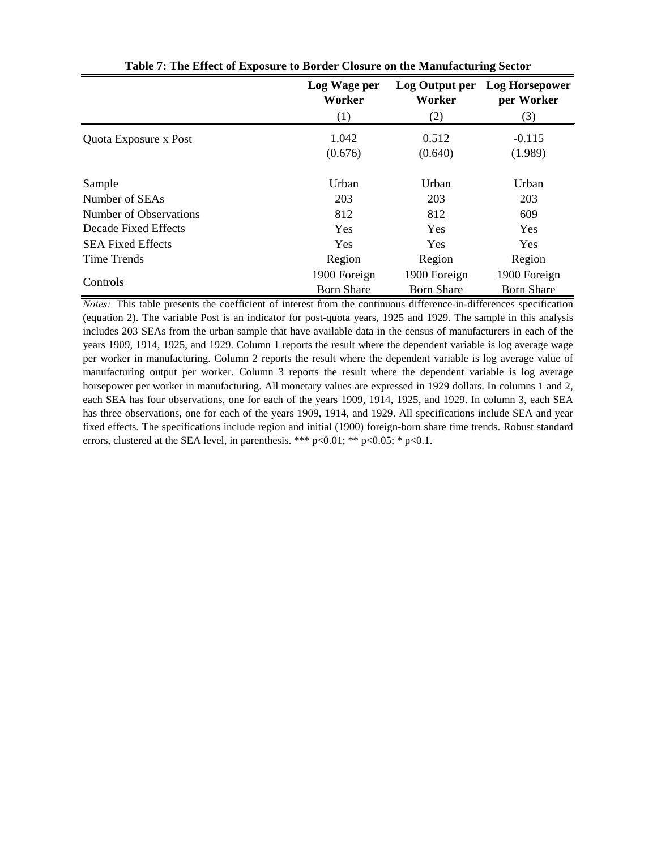|                          | Log Wage per<br>Worker | Log Output per<br>Worker | <b>Log Horsepower</b><br>per Worker |
|--------------------------|------------------------|--------------------------|-------------------------------------|
|                          | (1)                    | (2)                      | (3)                                 |
| Quota Exposure x Post    | 1.042                  | 0.512                    | $-0.115$                            |
|                          | (0.676)                | (0.640)                  | (1.989)                             |
| Sample                   | Urban                  | Urban                    | Urban                               |
| Number of SEAs           | 203                    | 203                      | 203                                 |
| Number of Observations   | 812                    | 812                      | 609                                 |
| Decade Fixed Effects     | <b>Yes</b>             | Yes                      | <b>Yes</b>                          |
| <b>SEA Fixed Effects</b> | Yes                    | Yes                      | Yes                                 |
| <b>Time Trends</b>       | Region                 | Region                   | Region                              |
|                          | 1900 Foreign           | 1900 Foreign             | 1900 Foreign                        |
| Controls                 | <b>Born Share</b>      | <b>Born Share</b>        | <b>Born Share</b>                   |

**Table 7: The Effect of Exposure to Border Closure on the Manufacturing Sector**

*Notes:* This table presents the coefficient of interest from the continuous difference-in-differences specification (equation 2). The variable Post is an indicator for post-quota years, 1925 and 1929. The sample in this analysis includes 203 SEAs from the urban sample that have available data in the census of manufacturers in each of the years 1909, 1914, 1925, and 1929. Column 1 reports the result where the dependent variable is log average wage per worker in manufacturing. Column 2 reports the result where the dependent variable is log average value of manufacturing output per worker. Column 3 reports the result where the dependent variable is log average horsepower per worker in manufacturing. All monetary values are expressed in 1929 dollars. In columns 1 and 2, each SEA has four observations, one for each of the years 1909, 1914, 1925, and 1929. In column 3, each SEA has three observations, one for each of the years 1909, 1914, and 1929. All specifications include SEA and year fixed effects. The specifications include region and initial (1900) foreign-born share time trends. Robust standard errors, clustered at the SEA level, in parenthesis. \*\*\*  $p<0.01$ ; \*\*  $p<0.05$ ; \*  $p<0.1$ .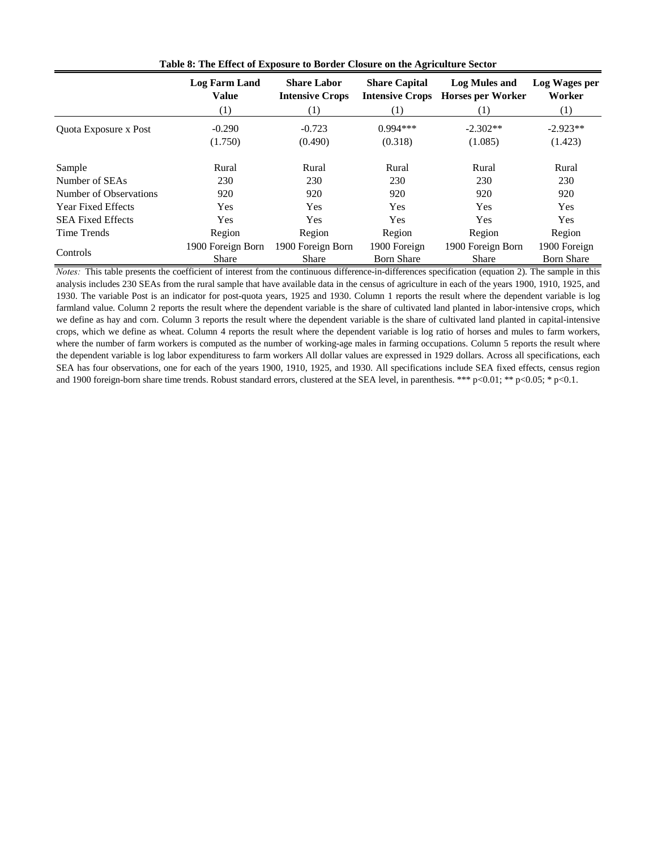|                           | <b>Log Farm Land</b><br><b>Value</b><br>$\left( 1\right)$ | <b>Share Labor</b><br><b>Intensive Crops</b><br>(1) | <b>Share Capital</b><br><b>Intensive Crops</b><br>$\left(1\right)$ | <b>Log Mules and</b><br><b>Horses per Worker</b><br>(1) | Log Wages per<br>Worker<br>(1) |
|---------------------------|-----------------------------------------------------------|-----------------------------------------------------|--------------------------------------------------------------------|---------------------------------------------------------|--------------------------------|
|                           | $-0.290$                                                  | $-0.723$                                            | $0.994***$                                                         | $-2.302**$                                              | $-2.923**$                     |
| Quota Exposure x Post     | (1.750)                                                   | (0.490)                                             | (0.318)                                                            | (1.085)                                                 | (1.423)                        |
| Sample                    | Rural                                                     | Rural                                               | Rural                                                              | Rural                                                   | Rural                          |
| Number of SEAs            | 230                                                       | 230                                                 | 230                                                                | 230                                                     | 230                            |
| Number of Observations    | 920                                                       | 920                                                 | 920                                                                | 920                                                     | 920                            |
| <b>Year Fixed Effects</b> | Yes                                                       | Yes                                                 | Yes                                                                | Yes                                                     | <b>Yes</b>                     |
| <b>SEA Fixed Effects</b>  | Yes                                                       | Yes                                                 | Yes                                                                | Yes                                                     | Yes                            |
| Time Trends               | Region                                                    | Region                                              | Region                                                             | Region                                                  | Region                         |
|                           | 1900 Foreign Born                                         | 1900 Foreign Born                                   | 1900 Foreign                                                       | 1900 Foreign Born                                       | 1900 Foreign                   |
| Controls                  | <b>Share</b>                                              | <b>Share</b>                                        | <b>Born Share</b>                                                  | <b>Share</b>                                            | <b>Born Share</b>              |

**Table 8: The Effect of Exposure to Border Closure on the Agriculture Sector**

*Notes:* This table presents the coefficient of interest from the continuous difference-in-differences specification (equation 2). The sample in this analysis includes 230 SEAs from the rural sample that have available data in the census of agriculture in each of the years 1900, 1910, 1925, and 1930. The variable Post is an indicator for post-quota years, 1925 and 1930. Column 1 reports the result where the dependent variable is log farmland value. Column 2 reports the result where the dependent variable is the share of cultivated land planted in labor-intensive crops, which we define as hay and corn. Column 3 reports the result where the dependent variable is the share of cultivated land planted in capital-intensive crops, which we define as wheat. Column 4 reports the result where the dependent variable is log ratio of horses and mules to farm workers, where the number of farm workers is computed as the number of working-age males in farming occupations. Column 5 reports the result where the dependent variable is log labor expendituress to farm workers All dollar values are expressed in 1929 dollars. Across all specifications, each SEA has four observations, one for each of the years 1900, 1910, 1925, and 1930. All specifications include SEA fixed effects, census region and 1900 foreign-born share time trends. Robust standard errors, clustered at the SEA level, in parenthesis. \*\*\* p<0.01; \*\* p<0.05; \* p<0.1.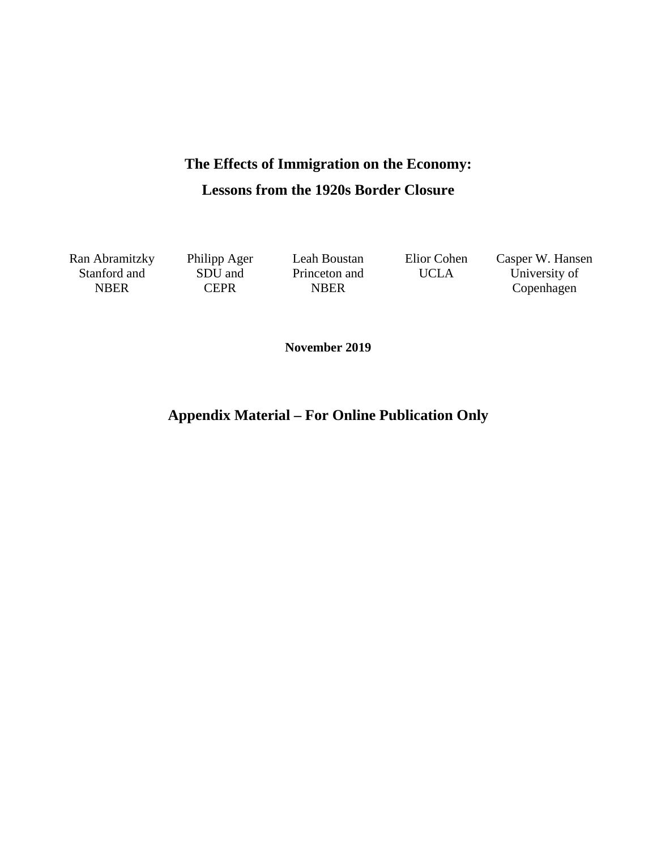# **The Effects of Immigration on the Economy: Lessons from the 1920s Border Closure**

Stanford and NBER

SDU and **CEPR** 

Princeton and NBER

Ran Abramitzky Philipp Ager Leah Boustan Elior Cohen Casper W. Hansen UCLA University of Copenhagen

**November 2019** 

**Appendix Material – For Online Publication Only**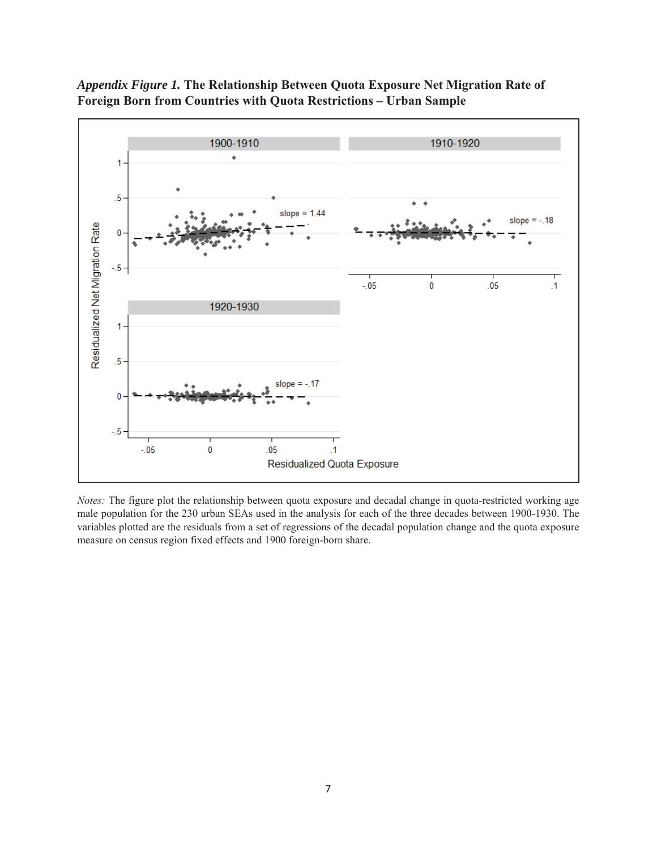

*Appendix Figure 1.* **The Relationship Between Quota Exposure Net Migration Rate of Foreign Born from Countries with Quota Restrictions – Urban Sample**

*Notes:* The figure plot the relationship between quota exposure and decadal change in quota-restricted working age male population for the 230 urban SEAs used in the analysis for each of the three decades between 1900-1930. The variables plotted are the residuals from a set of regressions of the decadal population change and the quota exposure measure on census region fixed effects and 1900 foreign-born share.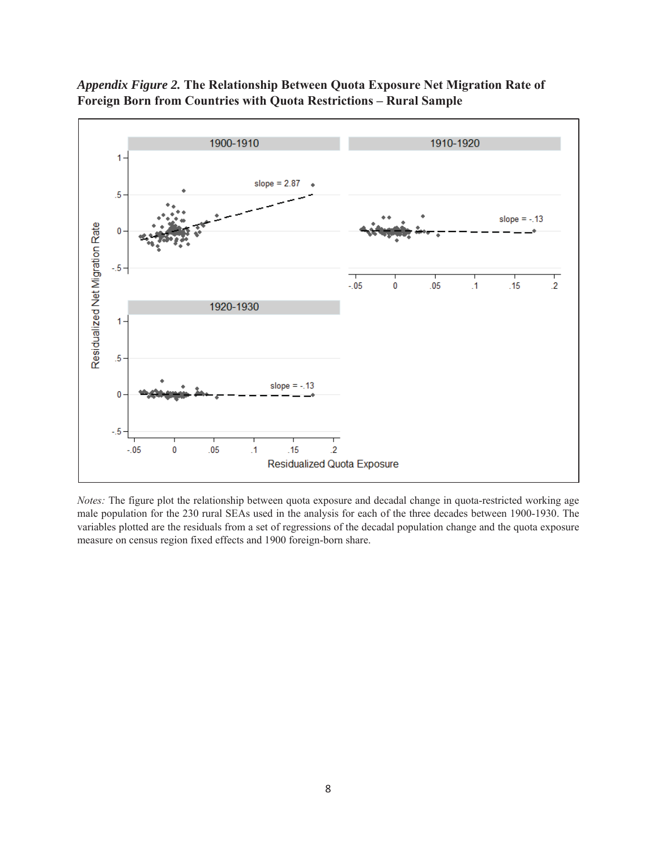



*Notes:* The figure plot the relationship between quota exposure and decadal change in quota-restricted working age male population for the 230 rural SEAs used in the analysis for each of the three decades between 1900-1930. The variables plotted are the residuals from a set of regressions of the decadal population change and the quota exposure measure on census region fixed effects and 1900 foreign-born share.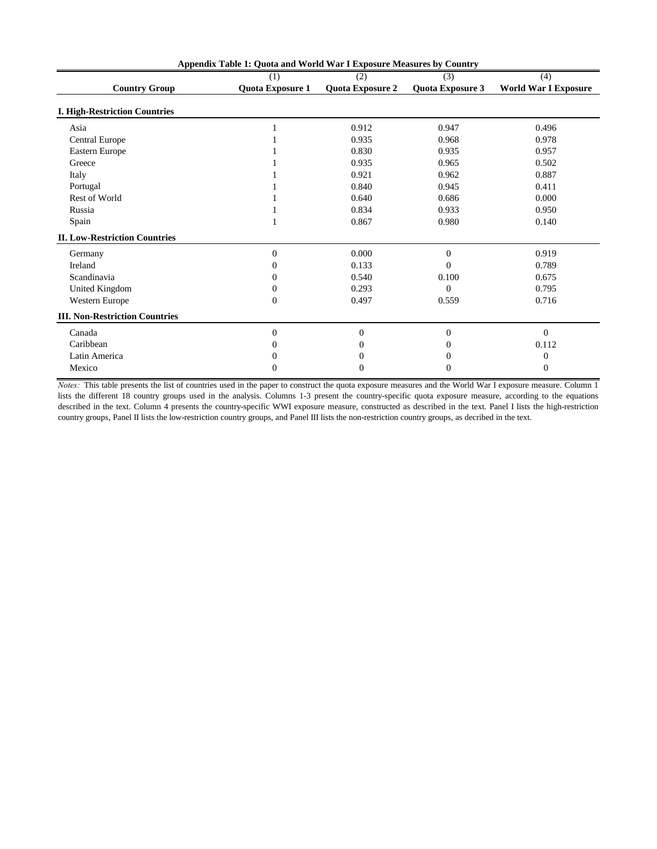| Appendix Table 1: Quota and World War I Exposure Measures by Country |                         |                         |                         |                             |  |  |
|----------------------------------------------------------------------|-------------------------|-------------------------|-------------------------|-----------------------------|--|--|
|                                                                      | (1)                     | (2)                     | (3)                     | (4)                         |  |  |
| <b>Country Group</b>                                                 | <b>Quota Exposure 1</b> | <b>Quota Exposure 2</b> | <b>Quota Exposure 3</b> | <b>World War I Exposure</b> |  |  |
| <b>I. High-Restriction Countries</b>                                 |                         |                         |                         |                             |  |  |
| Asia                                                                 |                         | 0.912                   | 0.947                   | 0.496                       |  |  |
| <b>Central Europe</b>                                                |                         | 0.935                   | 0.968                   | 0.978                       |  |  |
| Eastern Europe                                                       |                         | 0.830                   | 0.935                   | 0.957                       |  |  |
| Greece                                                               |                         | 0.935                   | 0.965                   | 0.502                       |  |  |
| Italy                                                                |                         | 0.921                   | 0.962                   | 0.887                       |  |  |
| Portugal                                                             |                         | 0.840                   | 0.945                   | 0.411                       |  |  |
| Rest of World                                                        |                         | 0.640                   | 0.686                   | 0.000                       |  |  |
| Russia                                                               |                         | 0.834                   | 0.933                   | 0.950                       |  |  |
| Spain                                                                |                         | 0.867                   | 0.980                   | 0.140                       |  |  |
| <b>II. Low-Restriction Countries</b>                                 |                         |                         |                         |                             |  |  |
| Germany                                                              | $\boldsymbol{0}$        | 0.000                   | $\boldsymbol{0}$        | 0.919                       |  |  |
| Ireland                                                              | 0                       | 0.133                   | $\Omega$                | 0.789                       |  |  |
| Scandinavia                                                          | 0                       | 0.540                   | 0.100                   | 0.675                       |  |  |
| <b>United Kingdom</b>                                                | 0                       | 0.293                   | $\Omega$                | 0.795                       |  |  |
| Western Europe                                                       | $\Omega$                | 0.497                   | 0.559                   | 0.716                       |  |  |
| <b>III. Non-Restriction Countries</b>                                |                         |                         |                         |                             |  |  |
| Canada                                                               | $\overline{0}$          | $\Omega$                | $\overline{0}$          | $\overline{0}$              |  |  |
| Caribbean                                                            |                         |                         |                         | 0.112                       |  |  |
| Latin America                                                        |                         |                         |                         | $\boldsymbol{0}$            |  |  |
| Mexico                                                               | 0                       | 0                       | $_{0}$                  | $\mathbf{0}$                |  |  |

*Notes:* This table presents the list of countries used in the paper to construct the quota exposure measures and the World War I exposure measure. Column 1 lists the different 18 country groups used in the analysis. Columns 1-3 present the country-specific quota exposure measure, according to the equations described in the text. Column 4 presents the country-specific WWI exposure measure, constructed as described in the text. Panel I lists the high-restriction country groups, Panel II lists the low-restriction country groups, and Panel III lists the non-restriction country groups, as decribed in the text.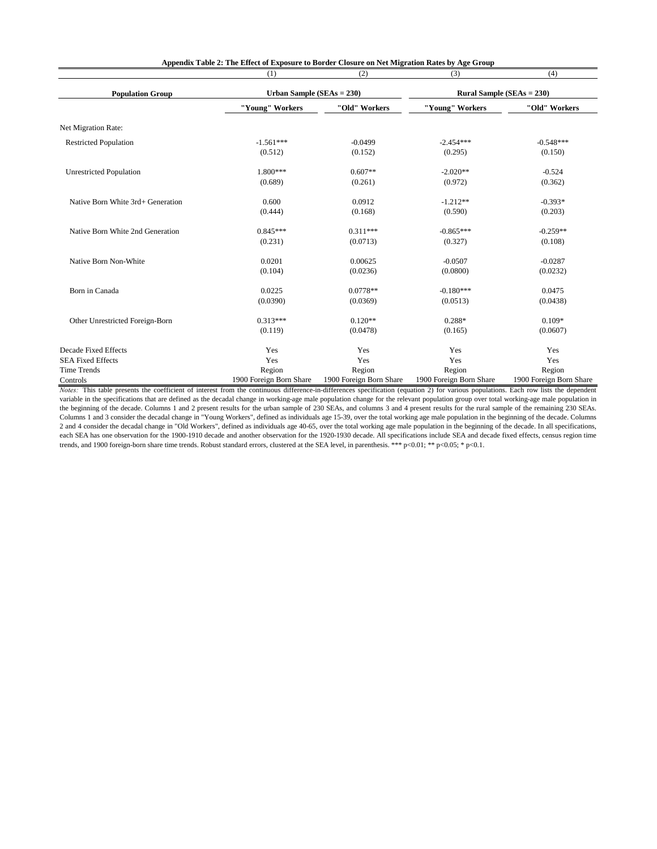|                                                          | (1)                     | (2)                     | (3)                     | (4)                              |
|----------------------------------------------------------|-------------------------|-------------------------|-------------------------|----------------------------------|
| Urban Sample ( $SEAs = 230$ )<br><b>Population Group</b> |                         |                         |                         | <b>Rural Sample (SEAs = 230)</b> |
|                                                          | "Young" Workers         | "Old" Workers           | "Young" Workers         | "Old" Workers                    |
| Net Migration Rate:                                      |                         |                         |                         |                                  |
| <b>Restricted Population</b>                             | $-1.561***$             | $-0.0499$               | $-2.454***$             | $-0.548***$                      |
|                                                          | (0.512)                 | (0.152)                 | (0.295)                 | (0.150)                          |
| <b>Unrestricted Population</b>                           | 1.800***                | $0.607**$               | $-2.020**$              | $-0.524$                         |
|                                                          | (0.689)                 | (0.261)                 | (0.972)                 | (0.362)                          |
| Native Born White 3rd+ Generation                        | 0.600                   | 0.0912                  | $-1.212**$              | $-0.393*$                        |
|                                                          | (0.444)                 | (0.168)                 | (0.590)                 | (0.203)                          |
| Native Born White 2nd Generation                         | $0.845***$              | $0.311***$              | $-0.865***$             | $-0.259**$                       |
|                                                          | (0.231)                 | (0.0713)                | (0.327)                 | (0.108)                          |
| Native Born Non-White                                    | 0.0201                  | 0.00625                 | $-0.0507$               | $-0.0287$                        |
|                                                          | (0.104)                 | (0.0236)                | (0.0800)                | (0.0232)                         |
| Born in Canada                                           | 0.0225                  | $0.0778**$              | $-0.180***$             | 0.0475                           |
|                                                          | (0.0390)                | (0.0369)                | (0.0513)                | (0.0438)                         |
| Other Unrestricted Foreign-Born                          | $0.313***$              | $0.120**$               | $0.288*$                | $0.109*$                         |
|                                                          | (0.119)                 | (0.0478)                | (0.165)                 | (0.0607)                         |
| <b>Decade Fixed Effects</b>                              | Yes                     | Yes                     | Yes                     | Yes                              |
| <b>SEA Fixed Effects</b>                                 | Yes                     | Yes                     | Yes                     | Yes                              |
| <b>Time Trends</b>                                       | Region                  | Region                  | Region                  | Region                           |
| Controls                                                 | 1900 Foreign Born Share | 1900 Foreign Born Share | 1900 Foreign Born Share | 1900 Foreign Born Share          |

**Appendix Table 2: The Effect of Exposure to Border Closure on Net Migration Rates by Age Group**

*Notes*: This table presents the coefficient of interest from the continuous difference-in-differences specification (equation 2) for various populations. Each row lists the dependent variable in the specifications that are defined as the decadal change in working-age male population change for the relevant population group over total working-age male population in the beginning of the decade. Columns 1 and 2 present results for the urban sample of 230 SEAs, and columns 3 and 4 present results for the rural sample of the remaining 230 SEAs. Columns 1 and 3 consider the decadal change in "Young Workers", defined as individuals age 15-39, over the total working age male population in the beginning of the decade. Columns 2 and 4 consider the decadal change in "Old Workers", defined as individuals age 40-65, over the total working age male population in the beginning of the decade. In all specifications, each SEA has one observation for the 1900-1910 decade and another observation for the 1920-1930 decade. All specifications include SEA and decade fixed effects, census region time trends, and 1900 foreign-born share time trends. Robust standard errors, clustered at the SEA level, in parenthesis. \*\*\* p<0.01; \*\* p<0.05; \* p<0.1.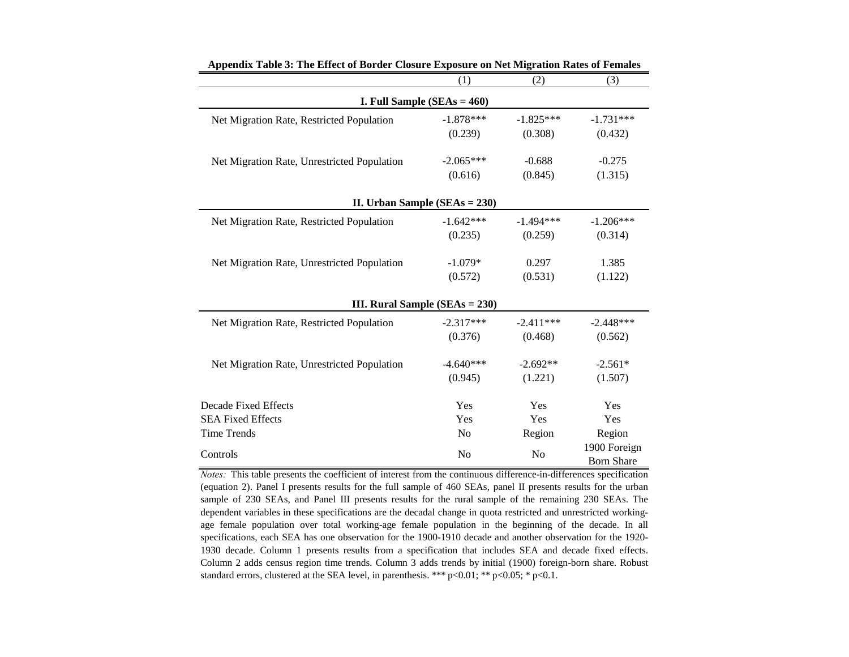|                                             | (1)            | (2)            | (3)               |
|---------------------------------------------|----------------|----------------|-------------------|
| I. Full Sample $(SEAs = 460)$               |                |                |                   |
| Net Migration Rate, Restricted Population   | $-1.878***$    | $-1.825***$    | $-1.731***$       |
|                                             | (0.239)        | (0.308)        | (0.432)           |
| Net Migration Rate, Unrestricted Population | $-2.065***$    | $-0.688$       | $-0.275$          |
|                                             | (0.616)        | (0.845)        | (1.315)           |
| II. Urban Sample (SEAs = 230)               |                |                |                   |
| Net Migration Rate, Restricted Population   | $-1.642***$    | $-1.494***$    | $-1.206***$       |
|                                             | (0.235)        | (0.259)        | (0.314)           |
| Net Migration Rate, Unrestricted Population | $-1.079*$      | 0.297          | 1.385             |
|                                             | (0.572)        | (0.531)        | (1.122)           |
| III. Rural Sample ( $SEAs = 230$ )          |                |                |                   |
| Net Migration Rate, Restricted Population   | $-2.317***$    | $-2.411***$    | $-2.448***$       |
|                                             | (0.376)        | (0.468)        | (0.562)           |
| Net Migration Rate, Unrestricted Population | $-4.640***$    | $-2.692**$     | $-2.561*$         |
|                                             | (0.945)        | (1.221)        | (1.507)           |
| <b>Decade Fixed Effects</b>                 | Yes            | Yes            | Yes               |
| <b>SEA Fixed Effects</b>                    | Yes            | Yes            | Yes               |
| <b>Time Trends</b>                          | N <sub>o</sub> | Region         | Region            |
|                                             |                |                | 1900 Foreign      |
| Controls                                    | N <sub>o</sub> | N <sub>o</sub> | <b>Born Share</b> |

**Appendix Table 3: The Effect of Border Closure Exposure on Net Migration Rates of Females**

*Notes:* This table presents the coefficient of interest from the continuous difference-in-differences specification (equation 2). Panel I presents results for the full sample of 460 SEAs, panel II presents results for the urban sample of 230 SEAs, and Panel III presents results for the rural sample of the remaining 230 SEAs. The dependent variables in these specifications are the decadal change in quota restricted and unrestricted workingage female population over total working-age female population in the beginning of the decade. In all specifications, each SEA has one observation for the 1900-1910 decade and another observation for the 1920- 1930 decade. Column 1 presents results from a specification that includes SEA and decade fixed effects. Column 2 adds census region time trends. Column 3 adds trends by initial (1900) foreign-born share. Robust standard errors, clustered at the SEA level, in parenthesis. \*\*\*  $p<0.01$ ; \*\*  $p<0.05$ ; \*  $p<0.1$ .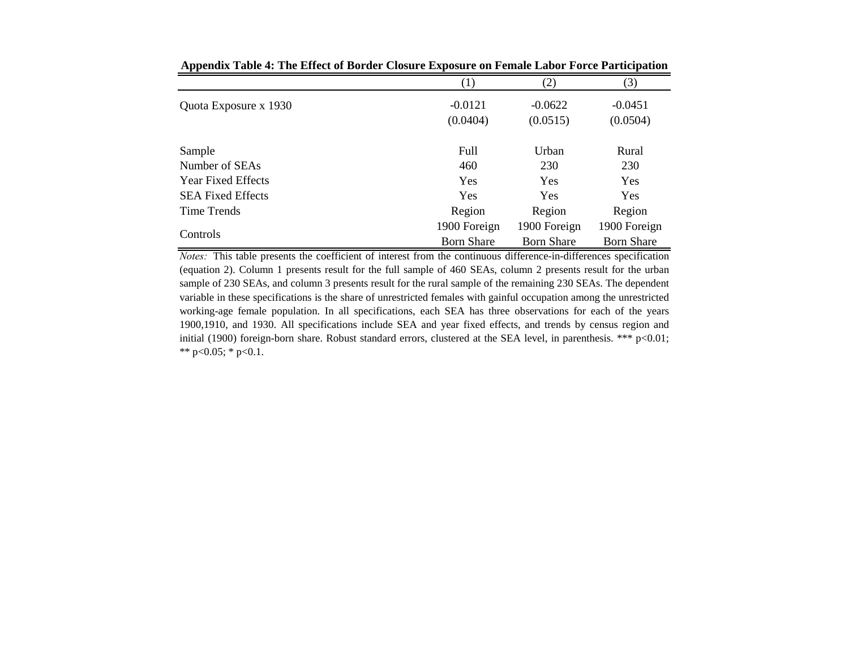|                           | $\left( 1\right)$     | (2)                   | (3)                   |
|---------------------------|-----------------------|-----------------------|-----------------------|
| Quota Exposure x 1930     | $-0.0121$<br>(0.0404) | $-0.0622$<br>(0.0515) | $-0.0451$<br>(0.0504) |
| Sample                    | Full                  | Urban                 | Rural                 |
| Number of SEAs            | 460                   | 230                   | 230                   |
| <b>Year Fixed Effects</b> | <b>Yes</b>            | Yes                   | <b>Yes</b>            |
| <b>SEA Fixed Effects</b>  | <b>Yes</b>            | <b>Yes</b>            | Yes                   |
| Time Trends               | Region                | Region                | Region                |
|                           | 1900 Foreign          | 1900 Foreign          | 1900 Foreign          |
| Controls                  | <b>Born Share</b>     | <b>Born Share</b>     | <b>Born Share</b>     |

**Appendix Table 4: The Effect of Border Closure Exposure on Female Labor Force Participation**

*Notes:* This table presents the coefficient of interest from the continuous difference-in-differences specification (equation 2). Column 1 presents result for the full sample of 460 SEAs, column 2 presents result for the urban sample of 230 SEAs, and column 3 presents result for the rural sample of the remaining 230 SEAs. The dependent variable in these specifications is the share of unrestricted females with gainful occupation among the unrestricted working-age female population. In all specifications, each SEA has three observations for each of the years 1900,1910, and 1930. All specifications include SEA and year fixed effects, and trends by census region and initial (1900) foreign-born share. Robust standard errors, clustered at the SEA level, in parenthesis. \*\*\* p<0.01; \*\* p<0.05; \* p<0.1.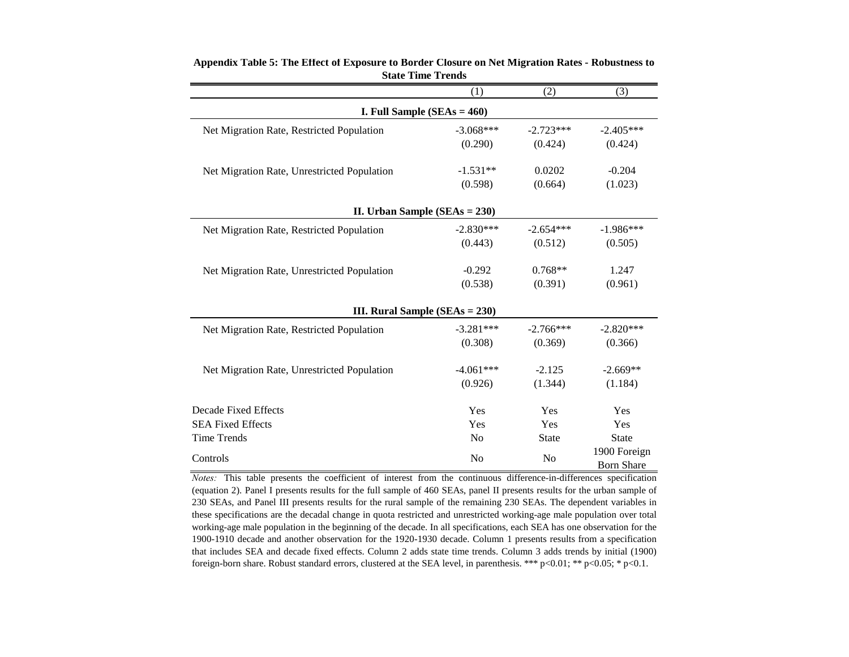|                                             | (1)            | (2)            | (3)               |  |  |
|---------------------------------------------|----------------|----------------|-------------------|--|--|
| I. Full Sample $(SEAs = 460)$               |                |                |                   |  |  |
| Net Migration Rate, Restricted Population   | $-3.068***$    | $-2.723***$    | $-2.405***$       |  |  |
|                                             | (0.290)        | (0.424)        | (0.424)           |  |  |
| Net Migration Rate, Unrestricted Population | $-1.531**$     | 0.0202         | $-0.204$          |  |  |
|                                             | (0.598)        | (0.664)        | (1.023)           |  |  |
| II. Urban Sample $(SEAs = 230)$             |                |                |                   |  |  |
| Net Migration Rate, Restricted Population   | $-2.830***$    | $-2.654***$    | $-1.986***$       |  |  |
|                                             | (0.443)        | (0.512)        | (0.505)           |  |  |
| Net Migration Rate, Unrestricted Population | $-0.292$       | $0.768**$      | 1.247             |  |  |
|                                             | (0.538)        | (0.391)        | (0.961)           |  |  |
| III. Rural Sample ( $SEAs = 230$ )          |                |                |                   |  |  |
| Net Migration Rate, Restricted Population   | $-3.281***$    | $-2.766***$    | $-2.820***$       |  |  |
|                                             | (0.308)        | (0.369)        | (0.366)           |  |  |
| Net Migration Rate, Unrestricted Population | $-4.061***$    | $-2.125$       | $-2.669**$        |  |  |
|                                             | (0.926)        | (1.344)        | (1.184)           |  |  |
| <b>Decade Fixed Effects</b>                 | Yes            | Yes            | Yes               |  |  |
| <b>SEA Fixed Effects</b>                    | Yes            | Yes            | Yes               |  |  |
| <b>Time Trends</b>                          | N <sub>0</sub> | <b>State</b>   | <b>State</b>      |  |  |
| Controls                                    | N <sub>o</sub> | N <sub>o</sub> | 1900 Foreign      |  |  |
|                                             |                |                | <b>Born Share</b> |  |  |

**Appendix Table 5: The Effect of Exposure to Border Closure on Net Migration Rates - Robustness to State Time Trends**

*Notes:* This table presents the coefficient of interest from the continuous difference-in-differences specification (equation 2). Panel I presents results for the full sample of 460 SEAs, panel II presents results for the urban sample of 230 SEAs, and Panel III presents results for the rural sample of the remaining 230 SEAs. The dependent variables in these specifications are the decadal change in quota restricted and unrestricted working-age male population over total working-age male population in the beginning of the decade. In all specifications, each SEA has one observation for the 1900-1910 decade and another observation for the 1920-1930 decade. Column 1 presents results from a specification that includes SEA and decade fixed effects. Column 2 adds state time trends. Column 3 adds trends by initial (1900) foreign-born share. Robust standard errors, clustered at the SEA level, in parenthesis. \*\*\*  $p<0.01$ ; \*\*  $p<0.05$ ; \*  $p<0.1$ .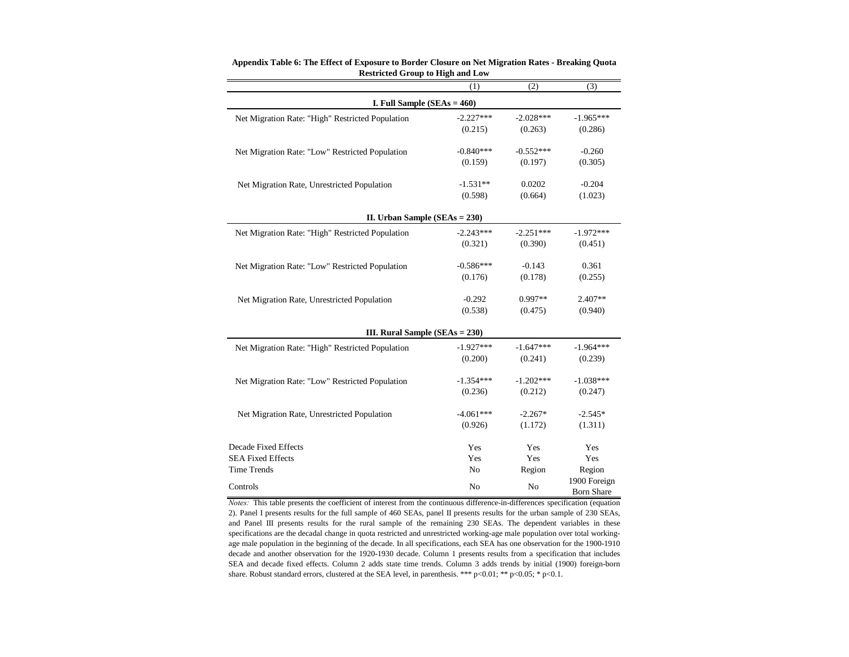|                                                  | (1)            | (2)            | (3)                               |  |  |
|--------------------------------------------------|----------------|----------------|-----------------------------------|--|--|
| I. Full Sample $(SEAs = 460)$                    |                |                |                                   |  |  |
| Net Migration Rate: "High" Restricted Population | $-2.227***$    | $-2.028***$    | $-1.965***$                       |  |  |
|                                                  | (0.215)        | (0.263)        | (0.286)                           |  |  |
| Net Migration Rate: "Low" Restricted Population  | $-0.840***$    | $-0.552***$    | $-0.260$                          |  |  |
|                                                  | (0.159)        | (0.197)        | (0.305)                           |  |  |
| Net Migration Rate, Unrestricted Population      | $-1.531**$     | 0.0202         | $-0.204$                          |  |  |
|                                                  | (0.598)        | (0.664)        | (1.023)                           |  |  |
| II. Urban Sample $(SEAs = 230)$                  |                |                |                                   |  |  |
| Net Migration Rate: "High" Restricted Population | $-2.243***$    | $-2.251***$    | $-1.972***$                       |  |  |
|                                                  | (0.321)        | (0.390)        | (0.451)                           |  |  |
| Net Migration Rate: "Low" Restricted Population  | $-0.586***$    | $-0.143$       | 0.361                             |  |  |
|                                                  | (0.176)        | (0.178)        | (0.255)                           |  |  |
| Net Migration Rate, Unrestricted Population      | $-0.292$       | 0.997**        | 2.407**                           |  |  |
|                                                  | (0.538)        | (0.475)        | (0.940)                           |  |  |
| III. Rural Sample (SEAs = 230)                   |                |                |                                   |  |  |
| Net Migration Rate: "High" Restricted Population | $-1.927***$    | $-1.647***$    | $-1.964***$                       |  |  |
|                                                  | (0.200)        | (0.241)        | (0.239)                           |  |  |
| Net Migration Rate: "Low" Restricted Population  | $-1.354***$    | $-1.202***$    | $-1.038***$                       |  |  |
|                                                  | (0.236)        | (0.212)        | (0.247)                           |  |  |
| Net Migration Rate, Unrestricted Population      | $-4.061***$    | $-2.267*$      | $-2.545*$                         |  |  |
|                                                  | (0.926)        | (1.172)        | (1.311)                           |  |  |
| Decade Fixed Effects                             | Yes            | Yes            | Yes                               |  |  |
| <b>SEA Fixed Effects</b>                         | Yes            | Yes            | Yes                               |  |  |
| <b>Time Trends</b>                               | N <sub>o</sub> | Region         | Region                            |  |  |
| Controls                                         | N <sub>o</sub> | N <sub>o</sub> | 1900 Foreign<br><b>Born Share</b> |  |  |

**Appendix Table 6: The Effect of Exposure to Border Closure on Net Migration Rates - Breaking Quota Restricted Group to High and Low**

*Notes:* This table presents the coefficient of interest from the continuous difference-in-differences specification (equation 2). Panel I presents results for the full sample of 460 SEAs, panel II presents results for the urban sample of 230 SEAs, and Panel III presents results for the rural sample of the remaining 230 SEAs. The dependent variables in these specifications are the decadal change in quota restricted and unrestricted working-age male population over total workingage male population in the beginning of the decade. In all specifications, each SEA has one observation for the 1900-1910 decade and another observation for the 1920-1930 decade. Column 1 presents results from a specification that includes SEA and decade fixed effects. Column 2 adds state time trends. Column 3 adds trends by initial (1900) foreign-born share. Robust standard errors, clustered at the SEA level, in parenthesis. \*\*\* p<0.01; \*\* p<0.05; \* p<0.1.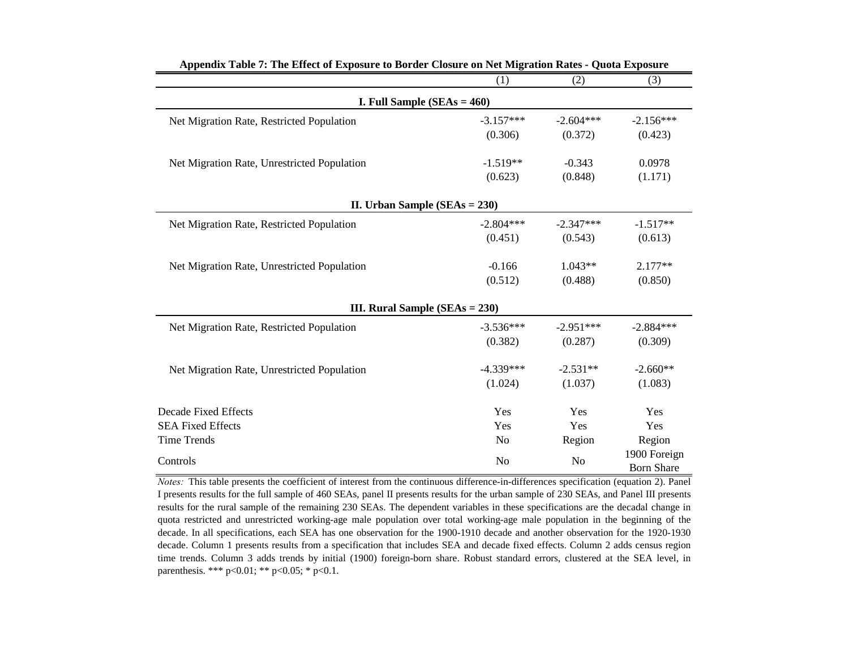|                                             | (1)            | (2)            | (3)                               |  |
|---------------------------------------------|----------------|----------------|-----------------------------------|--|
| I. Full Sample $(SEAs = 460)$               |                |                |                                   |  |
| Net Migration Rate, Restricted Population   | $-3.157***$    | $-2.604***$    | $-2.156***$                       |  |
|                                             | (0.306)        | (0.372)        | (0.423)                           |  |
| Net Migration Rate, Unrestricted Population | $-1.519**$     | $-0.343$       | 0.0978                            |  |
|                                             | (0.623)        | (0.848)        | (1.171)                           |  |
| II. Urban Sample $(SEAs = 230)$             |                |                |                                   |  |
| Net Migration Rate, Restricted Population   | $-2.804***$    | $-2.347***$    | $-1.517**$                        |  |
|                                             | (0.451)        | (0.543)        | (0.613)                           |  |
| Net Migration Rate, Unrestricted Population | $-0.166$       | $1.043**$      | $2.177**$                         |  |
|                                             | (0.512)        | (0.488)        | (0.850)                           |  |
| III. Rural Sample (SEAs = 230)              |                |                |                                   |  |
| Net Migration Rate, Restricted Population   | $-3.536***$    | $-2.951***$    | $-2.884***$                       |  |
|                                             | (0.382)        | (0.287)        | (0.309)                           |  |
| Net Migration Rate, Unrestricted Population | $-4.339***$    | $-2.531**$     | $-2.660**$                        |  |
|                                             | (1.024)        | (1.037)        | (1.083)                           |  |
| Decade Fixed Effects                        | Yes            | Yes            | Yes                               |  |
| <b>SEA Fixed Effects</b>                    | Yes            | Yes            | Yes                               |  |
| <b>Time Trends</b>                          | N <sub>o</sub> | Region         | Region                            |  |
| Controls                                    | N <sub>o</sub> | N <sub>o</sub> | 1900 Foreign<br><b>Born Share</b> |  |

**Appendix Table 7: The Effect of Exposure to Border Closure on Net Migration Rates - Quota Exposure** 

*Notes:* This table presents the coefficient of interest from the continuous difference-in-differences specification (equation 2). Panel I presents results for the full sample of 460 SEAs, panel II presents results for the urban sample of 230 SEAs, and Panel III presents results for the rural sample of the remaining 230 SEAs. The dependent variables in these specifications are the decadal change in quota restricted and unrestricted working-age male population over total working-age male population in the beginning of the decade. In all specifications, each SEA has one observation for the 1900-1910 decade and another observation for the 1920-1930 decade. Column 1 presents results from a specification that includes SEA and decade fixed effects. Column 2 adds census region time trends. Column 3 adds trends by initial (1900) foreign-born share. Robust standard errors, clustered at the SEA level, in parenthesis. \*\*\* p<0.01; \*\* p<0.05; \* p<0.1.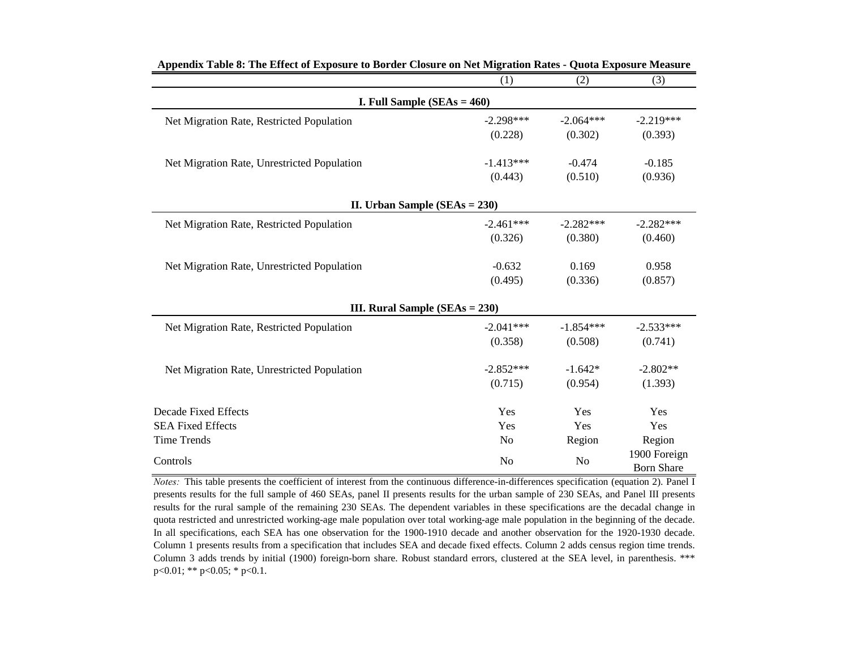|                                             | (1)                              | (2)            | (3)                               |  |  |
|---------------------------------------------|----------------------------------|----------------|-----------------------------------|--|--|
| I. Full Sample $(SEAs = 460)$               |                                  |                |                                   |  |  |
| Net Migration Rate, Restricted Population   | $-2.298***$                      | $-2.064***$    | $-2.219***$                       |  |  |
|                                             | (0.228)                          | (0.302)        | (0.393)                           |  |  |
| Net Migration Rate, Unrestricted Population | $-1.413***$                      | $-0.474$       | $-0.185$                          |  |  |
|                                             | (0.443)                          | (0.510)        | (0.936)                           |  |  |
| II. Urban Sample $(SEAs = 230)$             |                                  |                |                                   |  |  |
| Net Migration Rate, Restricted Population   | $-2.461***$                      | $-2.282***$    | $-2.282***$                       |  |  |
|                                             | (0.326)                          | (0.380)        | (0.460)                           |  |  |
| Net Migration Rate, Unrestricted Population | $-0.632$                         | 0.169          | 0.958                             |  |  |
|                                             | (0.495)                          | (0.336)        | (0.857)                           |  |  |
|                                             | III. Rural Sample $(SEAs = 230)$ |                |                                   |  |  |
| Net Migration Rate, Restricted Population   | $-2.041***$                      | $-1.854***$    | $-2.533***$                       |  |  |
|                                             | (0.358)                          | (0.508)        | (0.741)                           |  |  |
| Net Migration Rate, Unrestricted Population | $-2.852***$                      | $-1.642*$      | $-2.802**$                        |  |  |
|                                             | (0.715)                          | (0.954)        | (1.393)                           |  |  |
| <b>Decade Fixed Effects</b>                 | Yes                              | Yes            | Yes                               |  |  |
| <b>SEA Fixed Effects</b>                    | Yes                              | Yes            | Yes                               |  |  |
| <b>Time Trends</b>                          | N <sub>o</sub>                   | Region         | Region                            |  |  |
| Controls                                    | N <sub>o</sub>                   | N <sub>o</sub> | 1900 Foreign<br><b>Born Share</b> |  |  |

*Notes*: This table presents the coefficient of interest from the continuous difference-in-differences specification (equation 2). Panel I presents results for the full sample of 460 SEAs, panel II presents results for the urban sample of 230 SEAs, and Panel III presents results for the rural sample of the remaining 230 SEAs. The dependent variables in these specifications are the decadal change in quota restricted and unrestricted working-age male population over total working-age male population in the beginning of the decade. In all specifications, each SEA has one observation for the 1900-1910 decade and another observation for the 1920-1930 decade. Column 1 presents results from a specification that includes SEA and decade fixed effects. Column 2 adds census region time trends. Column 3 adds trends by initial (1900) foreign-born share. Robust standard errors, clustered at the SEA level, in parenthesis. \*\*\* p<0.01; \*\* p<0.05; \* p<0.1.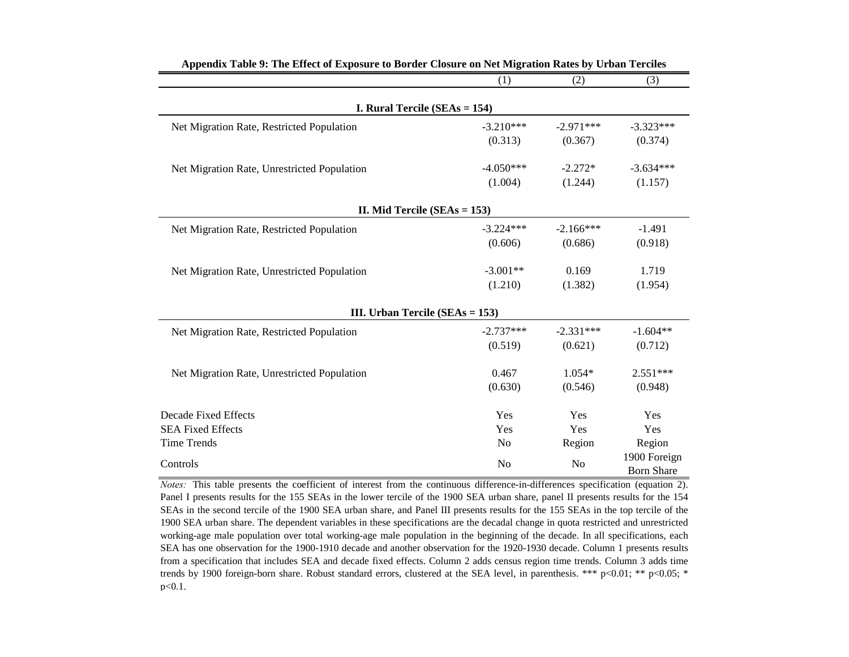|                                             | (1)            | (2)            | (3)                               |
|---------------------------------------------|----------------|----------------|-----------------------------------|
| <b>I. Rural Tercile (SEAs = 154)</b>        |                |                |                                   |
| Net Migration Rate, Restricted Population   | $-3.210***$    | $-2.971***$    | $-3.323***$                       |
|                                             | (0.313)        | (0.367)        | (0.374)                           |
| Net Migration Rate, Unrestricted Population | $-4.050***$    | $-2.272*$      | $-3.634***$                       |
|                                             | (1.004)        | (1.244)        | (1.157)                           |
| II. Mid Tercile ( $SEAs = 153$ )            |                |                |                                   |
| Net Migration Rate, Restricted Population   | $-3.224***$    | $-2.166***$    | $-1.491$                          |
|                                             | (0.606)        | (0.686)        | (0.918)                           |
| Net Migration Rate, Unrestricted Population | $-3.001**$     | 0.169          | 1.719                             |
|                                             | (1.210)        | (1.382)        | (1.954)                           |
| III. Urban Tercile ( $SEAs = 153$ )         |                |                |                                   |
| Net Migration Rate, Restricted Population   | $-2.737***$    | $-2.331***$    | $-1.604**$                        |
|                                             | (0.519)        | (0.621)        | (0.712)                           |
| Net Migration Rate, Unrestricted Population | 0.467          | $1.054*$       | $2.551***$                        |
|                                             | (0.630)        | (0.546)        | (0.948)                           |
| <b>Decade Fixed Effects</b>                 | Yes            | Yes            | Yes                               |
| <b>SEA Fixed Effects</b>                    | Yes            | Yes            | Yes                               |
| <b>Time Trends</b>                          | N <sub>o</sub> | Region         | Region                            |
| Controls                                    | N <sub>o</sub> | N <sub>o</sub> | 1900 Foreign<br><b>Born Share</b> |

| Appendix Table 9: The Effect of Exposure to Border Closure on Net Migration Rates by Urban Terciles |  |  |  |
|-----------------------------------------------------------------------------------------------------|--|--|--|
|-----------------------------------------------------------------------------------------------------|--|--|--|

*Notes:* This table presents the coefficient of interest from the continuous difference-in-differences specification (equation 2). Panel I presents results for the 155 SEAs in the lower tercile of the 1900 SEA urban share, panel II presents results for the 154 SEAs in the second tercile of the 1900 SEA urban share, and Panel III presents results for the 155 SEAs in the top tercile of the 1900 SEA urban share. The dependent variables in these specifications are the decadal change in quota restricted and unrestricted working-age male population over total working-age male population in the beginning of the decade. In all specifications, each SEA has one observation for the 1900-1910 decade and another observation for the 1920-1930 decade. Column 1 presents results from a specification that includes SEA and decade fixed effects. Column 2 adds census region time trends. Column 3 adds time trends by 1900 foreign-born share. Robust standard errors, clustered at the SEA level, in parenthesis. \*\*\* p<0.01; \*\* p<0.05; \* p<0.1.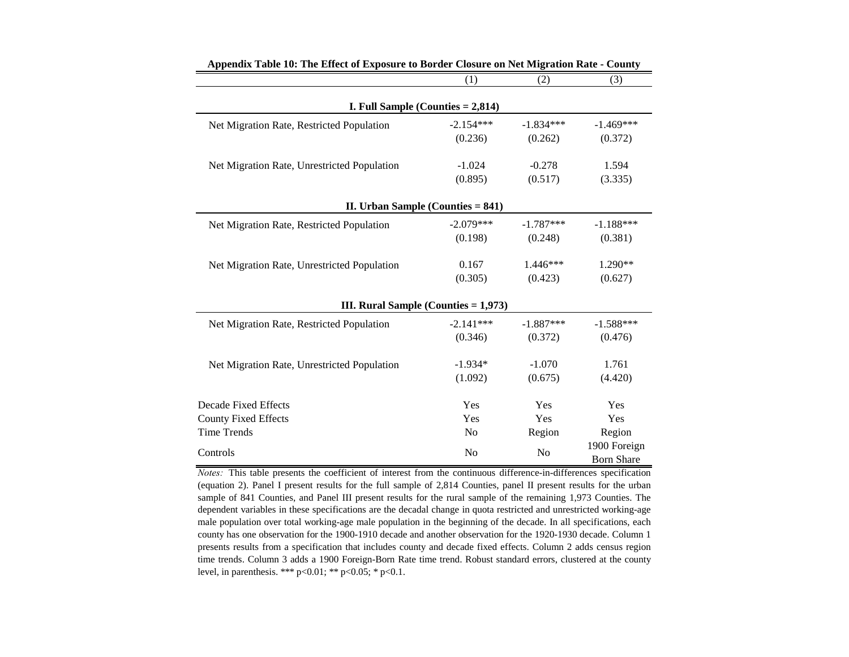|                                             | (1)            | (2)            | (3)                               |
|---------------------------------------------|----------------|----------------|-----------------------------------|
| <b>I. Full Sample (Counties = 2,814)</b>    |                |                |                                   |
| Net Migration Rate, Restricted Population   | $-2.154***$    | $-1.834***$    | $-1.469***$                       |
|                                             | (0.236)        | (0.262)        | (0.372)                           |
| Net Migration Rate, Unrestricted Population | $-1.024$       | $-0.278$       | 1.594                             |
|                                             | (0.895)        | (0.517)        | (3.335)                           |
| II. Urban Sample (Counties $= 841$ )        |                |                |                                   |
| Net Migration Rate, Restricted Population   | $-2.079***$    | $-1.787***$    | $-1.188***$                       |
|                                             | (0.198)        | (0.248)        | (0.381)                           |
| Net Migration Rate, Unrestricted Population | 0.167          | 1.446***       | 1.290**                           |
|                                             | (0.305)        | (0.423)        | (0.627)                           |
| III. Rural Sample (Counties $= 1,973$ )     |                |                |                                   |
| Net Migration Rate, Restricted Population   | $-2.141***$    | $-1.887***$    | $-1.588***$                       |
|                                             | (0.346)        | (0.372)        | (0.476)                           |
| Net Migration Rate, Unrestricted Population | $-1.934*$      | $-1.070$       | 1.761                             |
|                                             | (1.092)        | (0.675)        | (4.420)                           |
| <b>Decade Fixed Effects</b>                 | Yes            | Yes            | Yes                               |
| <b>County Fixed Effects</b>                 | Yes            | Yes            | Yes                               |
| <b>Time Trends</b>                          | N <sub>o</sub> | Region         | Region                            |
| Controls                                    | No             | N <sub>o</sub> | 1900 Foreign<br><b>Born Share</b> |

**Appendix Table 10: The Effect of Exposure to Border Closure on Net Migration Rate - County** 

*Notes:* This table presents the coefficient of interest from the continuous difference-in-differences specification (equation 2). Panel I present results for the full sample of 2,814 Counties, panel II present results for the urban sample of 841 Counties, and Panel III present results for the rural sample of the remaining 1,973 Counties. The dependent variables in these specifications are the decadal change in quota restricted and unrestricted working-age male population over total working-age male population in the beginning of the decade. In all specifications, each county has one observation for the 1900-1910 decade and another observation for the 1920-1930 decade. Column 1 presents results from a specification that includes county and decade fixed effects. Column 2 adds census region time trends. Column 3 adds a 1900 Foreign-Born Rate time trend. Robust standard errors, clustered at the county level, in parenthesis. \*\*\*  $p<0.01$ ; \*\*  $p<0.05$ ; \*  $p<0.1$ .